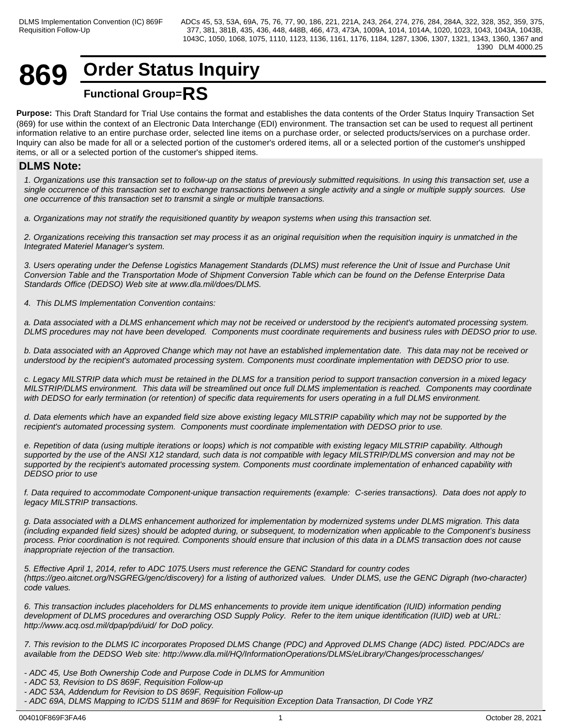# **869 Order Status Inquiry Functional Group=RS**

**Purpose:** This Draft Standard for Trial Use contains the format and establishes the data contents of the Order Status Inquiry Transaction Set (869) for use within the context of an Electronic Data Interchange (EDI) environment. The transaction set can be used to request all pertinent information relative to an entire purchase order, selected line items on a purchase order, or selected products/services on a purchase order. Inquiry can also be made for all or a selected portion of the customer's ordered items, all or a selected portion of the customer's unshipped items, or all or a selected portion of the customer's shipped items.

# **DLMS Note:**

*1. Organizations use this transaction set to follow-up on the status of previously submitted requisitions. In using this transaction set, use a single occurrence of this transaction set to exchange transactions between a single activity and a single or multiple supply sources. Use one occurrence of this transaction set to transmit a single or multiple transactions.*

*a. Organizations may not stratify the requisitioned quantity by weapon systems when using this transaction set.*

*2. Organizations receiving this transaction set may process it as an original requisition when the requisition inquiry is unmatched in the Integrated Materiel Manager's system.*

*3. Users operating under the Defense Logistics Management Standards (DLMS) must reference the Unit of Issue and Purchase Unit Conversion Table and the Transportation Mode of Shipment Conversion Table which can be found on the Defense Enterprise Data Standards Office (DEDSO) Web site at www.dla.mil/does/DLMS.*

*4. This DLMS Implementation Convention contains:*

*a. Data associated with a DLMS enhancement which may not be received or understood by the recipient's automated processing system. DLMS procedures may not have been developed. Components must coordinate requirements and business rules with DEDSO prior to use.*

*b. Data associated with an Approved Change which may not have an established implementation date. This data may not be received or understood by the recipient's automated processing system. Components must coordinate implementation with DEDSO prior to use.*

*c. Legacy MILSTRIP data which must be retained in the DLMS for a transition period to support transaction conversion in a mixed legacy MILSTRIP/DLMS environment. This data will be streamlined out once full DLMS implementation is reached. Components may coordinate with DEDSO for early termination (or retention) of specific data requirements for users operating in a full DLMS environment.*

*d. Data elements which have an expanded field size above existing legacy MILSTRIP capability which may not be supported by the recipient's automated processing system. Components must coordinate implementation with DEDSO prior to use.* 

*e. Repetition of data (using multiple iterations or loops) which is not compatible with existing legacy MILSTRIP capability. Although supported by the use of the ANSI X12 standard, such data is not compatible with legacy MILSTRIP/DLMS conversion and may not be supported by the recipient's automated processing system. Components must coordinate implementation of enhanced capability with DEDSO prior to use*

*f. Data required to accommodate Component-unique transaction requirements (example: C-series transactions). Data does not apply to legacy MILSTRIP transactions.*

*g. Data associated with a DLMS enhancement authorized for implementation by modernized systems under DLMS migration. This data (including expanded field sizes) should be adopted during, or subsequent, to modernization when applicable to the Component's business process. Prior coordination is not required. Components should ensure that inclusion of this data in a DLMS transaction does not cause inappropriate rejection of the transaction.*

*5. Effective April 1, 2014, refer to ADC 1075.Users must reference the GENC Standard for country codes (https://geo.aitcnet.org/NSGREG/genc/discovery) for a listing of authorized values. Under DLMS, use the GENC Digraph (two-character) code values.*

*6. This transaction includes placeholders for DLMS enhancements to provide item unique identification (IUID) information pending development of DLMS procedures and overarching OSD Supply Policy. Refer to the item unique identification (IUID) web at URL: http://www.acq.osd.mil/dpap/pdi/uid/ for DoD policy.*

*7. This revision to the DLMS IC incorporates Proposed DLMS Change (PDC) and Approved DLMS Change (ADC) listed. PDC/ADCs are available from the DEDSO Web site: http://www.dla.mil/HQ/InformationOperations/DLMS/eLibrary/Changes/processchanges/*

*- ADC 45, Use Both Ownership Code and Purpose Code in DLMS for Ammunition*

*- ADC 53, Revision to DS 869F, Requisition Follow-up*

- *ADC 53A, Addendum for Revision to DS 869F, Requisition Follow-up*
- *ADC 69A, DLMS Mapping to IC/DS 511M and 869F for Requisition Exception Data Transaction, DI Code YRZ*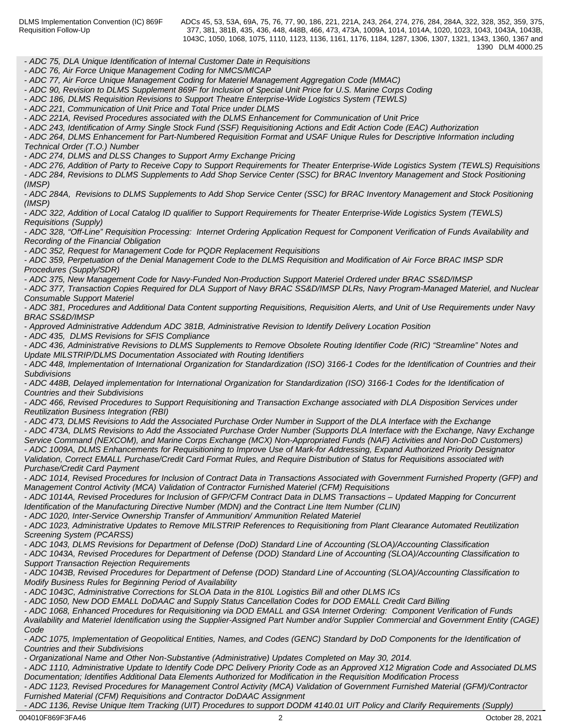*- ADC 75, DLA Unique Identification of Internal Customer Date in Requisitions* 

*- ADC 76, Air Force Unique Management Coding for NMCS/MICAP*

*- ADC 77, Air Force Unique Management Coding for Materiel Management Aggregation Code (MMAC)*

*- ADC 90, Revision to DLMS Supplement 869F for Inclusion of Special Unit Price for U.S. Marine Corps Coding*

*- ADC 186, DLMS Requisition Revisions to Support Theatre Enterprise-Wide Logistics System (TEWLS)*

*- ADC 221, Communication of Unit Price and Total Price under DLMS*

*- ADC 221A, Revised Procedures associated with the DLMS Enhancement for Communication of Unit Price*

*- ADC 243, Identification of Army Single Stock Fund (SSF) Requisitioning Actions and Edit Action Code (EAC) Authorization*

*- ADC 264, DLMS Enhancement for Part-Numbered Requisition Format and USAF Unique Rules for Descriptive Information including Technical Order (T.O.) Number*

*- ADC 274, DLMS and DLSS Changes to Support Army Exchange Pricing*

*- ADC 276, Addition of Party to Receive Copy to Support Requirements for Theater Enterprise-Wide Logistics System (TEWLS) Requisitions - ADC 284, Revisions to DLMS Supplements to Add Shop Service Center (SSC) for BRAC Inventory Management and Stock Positioning*

*(IMSP) - ADC 284A, Revisions to DLMS Supplements to Add Shop Service Center (SSC) for BRAC Inventory Management and Stock Positioning*

*(IMSP)*

*- ADC 322, Addition of Local Catalog ID qualifier to Support Requirements for Theater Enterprise-Wide Logistics System (TEWLS) Requisitions (Supply)*

*- ADC 328, "Off-Line" Requisition Processing: Internet Ordering Application Request for Component Verification of Funds Availability and Recording of the Financial Obligation*

*- ADC 352, Request for Management Code for PQDR Replacement Requisitions*

*- ADC 359, Perpetuation of the Denial Management Code to the DLMS Requisition and Modification of Air Force BRAC IMSP SDR Procedures (Supply/SDR)*

*- ADC 375, New Management Code for Navy-Funded Non-Production Support Materiel Ordered under BRAC SS&D/IMSP*

*- ADC 377, Transaction Copies Required for DLA Support of Navy BRAC SS&D/IMSP DLRs, Navy Program-Managed Materiel, and Nuclear Consumable Support Materiel*

*- ADC 381, Procedures and Additional Data Content supporting Requisitions, Requisition Alerts, and Unit of Use Requirements under Navy BRAC SS&D/IMSP*

*- Approved Administrative Addendum ADC 381B, Administrative Revision to Identify Delivery Location Position*

*- ADC 435, DLMS Revisions for SFIS Compliance*

*- ADC 436, Administrative Revisions to DLMS Supplements to Remove Obsolete Routing Identifier Code (RIC) "Streamline" Notes and Update MILSTRIP/DLMS Documentation Associated with Routing Identifiers*

*- ADC 448, Implementation of International Organization for Standardization (ISO) 3166-1 Codes for the Identification of Countries and their Subdivisions*

*- ADC 448B, Delayed implementation for International Organization for Standardization (ISO) 3166-1 Codes for the Identification of Countries and their Subdivisions*

*- ADC 466, Revised Procedures to Support Requisitioning and Transaction Exchange associated with DLA Disposition Services under Reutilization Business Integration (RBI)*

*- ADC 473, DLMS Revisions to Add the Associated Purchase Order Number in Support of the DLA Interface with the Exchange*

*- ADC 473A, DLMS Revisions to Add the Associated Purchase Order Number (Supports DLA Interface with the Exchange, Navy Exchange Service Command (NEXCOM), and Marine Corps Exchange (MCX) Non-Appropriated Funds (NAF) Activities and Non-DoD Customers) - ADC 1009A, DLMS Enhancements for Requisitioning to Improve Use of Mark-for Addressing, Expand Authorized Priority Designator Validation, Correct EMALL Purchase/Credit Card Format Rules, and Require Distribution of Status for Requisitions associated with Purchase/Credit Card Payment*

*- ADC 1014, Revised Procedures for Inclusion of Contract Data in Transactions Associated with Government Furnished Property (GFP) and Management Control Activity (MCA) Validation of Contractor Furnished Materiel (CFM) Requisitions*

*- ADC 1014A, Revised Procedures for Inclusion of GFP/CFM Contract Data in DLMS Transactions – Updated Mapping for Concurrent Identification of the Manufacturing Directive Number (MDN) and the Contract Line Item Number (CLIN)*

*- ADC 1020, Inter-Service Ownership Transfer of Ammunition/ Ammunition Related Materiel*

*- ADC 1023, Administrative Updates to Remove MILSTRIP References to Requisitioning from Plant Clearance Automated Reutilization Screening System (PCARSS)*

*- ADC 1043, DLMS Revisions for Department of Defense (DoD) Standard Line of Accounting (SLOA)/Accounting Classification*

*- ADC 1043A, Revised Procedures for Department of Defense (DOD) Standard Line of Accounting (SLOA)/Accounting Classification to Support Transaction Rejection Requirements*

*- ADC 1043B, Revised Procedures for Department of Defense (DOD) Standard Line of Accounting (SLOA)/Accounting Classification to Modify Business Rules for Beginning Period of Availability*

*- ADC 1043C, Administrative Corrections for SLOA Data in the 810L Logistics Bill and other DLMS ICs*

*- ADC 1050, New DOD EMALL DoDAAC and Supply Status Cancellation Codes for DOD EMALL Credit Card Billing*

*- ADC 1068, Enhanced Procedures for Requisitioning via DOD EMALL and GSA Internet Ordering: Component Verification of Funds Availability and Materiel Identification using the Supplier-Assigned Part Number and/or Supplier Commercial and Government Entity (CAGE) Code* **Code Code Code Code Code Code Code Code Code Code Code** 

*- ADC 1075, Implementation of Geopolitical Entities, Names, and Codes (GENC) Standard by DoD Components for the Identification of Countries and their Subdivisions*

*- Organizational Name and Other Non-Substantive (Administrative) Updates Completed on May 30, 2014.*

*- ADC 1110, Administrative Update to Identify Code DPC Delivery Priority Code as an Approved X12 Migration Code and Associated DLMS Documentation; Identifies Additional Data Elements Authorized for Modification in the Requisition Modification Process*

*- ADC 1123, Revised Procedures for Management Control Activity (MCA) Validation of Government Furnished Material (GFM)/Contractor Furnished Material (CFM) Requisitions and Contractor DoDAAC Assignment*

*- ADC 1136, Revise Unique Item Tracking (UIT) Procedures to support DODM 4140.01 UIT Policy and Clarify Requirements (Supply)*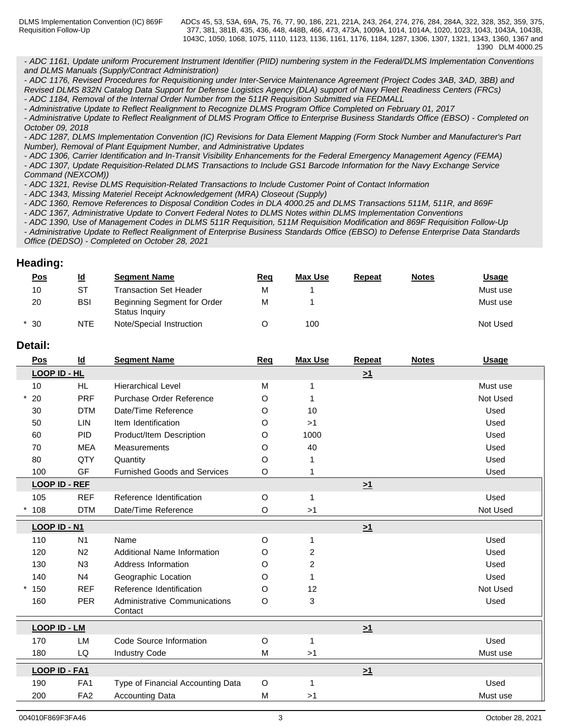*- ADC 1161, Update uniform Procurement Instrument Identifier (PIID) numbering system in the Federal/DLMS Implementation Conventions and DLMS Manuals (Supply/Contract Administration)*

*- ADC 1176, Revised Procedures for Requisitioning under Inter-Service Maintenance Agreement (Project Codes 3AB, 3AD, 3BB) and*

*Revised DLMS 832N Catalog Data Support for Defense Logistics Agency (DLA) support of Navy Fleet Readiness Centers (FRCs)*

*- ADC 1184, Removal of the Internal Order Number from the 511R Requisition Submitted via FEDMALL*

*- Administrative Update to Reflect Realignment to Recognize DLMS Program Office Completed on February 01, 2017 - Administrative Update to Reflect Realignment of DLMS Program Office to Enterprise Business Standards Office (EBSO) - Completed on*

*October 09, 2018 - ADC 1287, DLMS Implementation Convention (IC) Revisions for Data Element Mapping (Form Stock Number and Manufacturer's Part Number), Removal of Plant Equipment Number, and Administrative Updates*

*- ADC 1306, Carrier Identification and In-Transit Visibility Enhancements for the Federal Emergency Management Agency (FEMA)*

*- ADC 1307, Update Requisition-Related DLMS Transactions to Include GS1 Barcode Information for the Navy Exchange Service Command (NEXCOM))*

*- ADC 1321, Revise DLMS Requisition-Related Transactions to Include Customer Point of Contact Information*

*- ADC 1343, Missing Materiel Receipt Acknowledgement (MRA) Closeout (Supply)*

*- ADC 1360, Remove References to Disposal Condition Codes in DLA 4000.25 and DLMS Transactions 511M, 511R, and 869F*

*- ADC 1367, Administrative Update to Convert Federal Notes to DLMS Notes within DLMS Implementation Conventions*

*- ADC 1390, Use of Management Codes in DLMS 511R Requisition, 511M Requisition Modification and 869F Requisition Follow-Up - Administrative Update to Reflect Realignment of Enterprise Business Standards Office (EBSO) to Defense Enterprise Data Standards*

*Office (DEDSO) - Completed on October 28, 2021*

# **Heading:**

| <u>Pos</u> | $\underline{\mathsf{Id}}$ | <b>Segment Name</b>                           | <u>Req</u> | <b>Max Use</b> | <b>Repeat</b> | <b>Notes</b> | <u>Usage</u> |
|------------|---------------------------|-----------------------------------------------|------------|----------------|---------------|--------------|--------------|
| 10         | <b>CT</b><br>ا ب          | Transaction Set Header                        | M          |                |               |              | Must use     |
| 20         | <b>BSI</b>                | Beginning Segment for Order<br>Status Inquiry | M          |                |               |              | Must use     |
| $*30$      | <b>NTE</b>                | Note/Special Instruction                      |            | 100            |               |              | Not Used     |

# **Detail:**

| Pos                  | $\underline{\mathsf{Id}}$ | <b>Segment Name</b>                             | <b>Req</b>  | <b>Max Use</b> | <b>Repeat</b> | <b>Notes</b> | <b>Usage</b> |
|----------------------|---------------------------|-------------------------------------------------|-------------|----------------|---------------|--------------|--------------|
| LOOP ID - HL         |                           |                                                 |             |                | $\geq 1$      |              |              |
| 10                   | <b>HL</b>                 | <b>Hierarchical Level</b>                       | M           |                |               |              | Must use     |
| $*20$                | <b>PRF</b>                | Purchase Order Reference                        | O           |                |               |              | Not Used     |
| 30                   | <b>DTM</b>                | Date/Time Reference                             | O           | 10             |               |              | Used         |
| 50                   | <b>LIN</b>                | Item Identification                             | O           | >1             |               |              | Used         |
| 60                   | PID                       | Product/Item Description                        | O           | 1000           |               |              | Used         |
| 70                   | <b>MEA</b>                | Measurements                                    | O           | 40             |               |              | Used         |
| 80                   | QTY                       | Quantity                                        | O           |                |               |              | Used         |
| 100                  | <b>GF</b>                 | <b>Furnished Goods and Services</b>             | O           |                |               |              | Used         |
| <b>LOOP ID - REF</b> |                           |                                                 |             |                | $\geq 1$      |              |              |
| 105                  | <b>REF</b>                | Reference Identification                        | $\mathsf O$ |                |               |              | Used         |
| 108                  | <b>DTM</b>                | Date/Time Reference                             | O           | >1             |               |              | Not Used     |
| LOOP ID - N1         |                           |                                                 |             |                | $\geq 1$      |              |              |
| 110                  | N <sub>1</sub>            | Name                                            | $\mathsf O$ |                |               |              | Used         |
| 120                  | N <sub>2</sub>            | Additional Name Information                     | O           | 2              |               |              | Used         |
| 130                  | N <sub>3</sub>            | Address Information                             | O           | 2              |               |              | Used         |
| 140                  | N <sub>4</sub>            | Geographic Location                             | O           |                |               |              | Used         |
| $*150$               | <b>REF</b>                | Reference Identification                        | O           | 12             |               |              | Not Used     |
| 160                  | PER                       | <b>Administrative Communications</b><br>Contact | O           | 3              |               |              | Used         |
| <b>LOOP ID - LM</b>  |                           |                                                 |             |                | $\geq 1$      |              |              |
| 170                  | LM                        | Code Source Information                         | O           | 1              |               |              | Used         |
| 180                  | LQ                        | <b>Industry Code</b>                            | M           | >1             |               |              | Must use     |
| LOOP ID - FA1        |                           |                                                 |             |                | $\geq 1$      |              |              |
| 190                  | FA1                       | Type of Financial Accounting Data               | $\circ$     | 1              |               |              | Used         |
| 200                  | FA <sub>2</sub>           | <b>Accounting Data</b>                          | M           | >1             |               |              | Must use     |
|                      |                           |                                                 |             |                |               |              |              |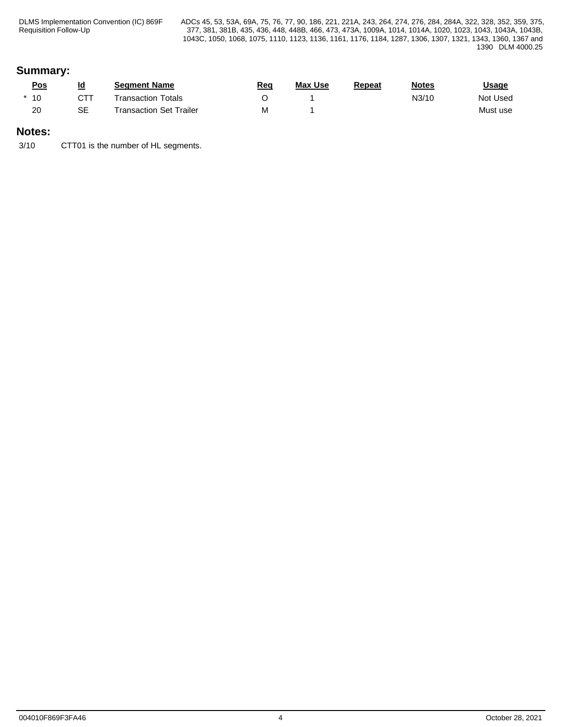DLMS Implementation Convention (IC) 869F Requisition Follow-Up

ADCs 45, 53, 53A, 69A, 75, 76, 77, 90, 186, 221, 221A, 243, 264, 274, 276, 284, 284A, 322, 328, 352, 359, 375, 377, 381, 381B, 435, 436, 448, 448B, 466, 473, 473A, 1009A, 1014, 1014A, 1020, 1023, 1043, 1043A, 1043B, 1043C, 1050, 1068, 1075, 1110, 1123, 1136, 1161, 1176, 1184, 1287, 1306, 1307, 1321, 1343, 1360, 1367 and 1390 DLM 4000.25

# **Summary:**

| <u>Pos</u> | <u>ld</u> | <b>Seament Name</b>       | <u>Req</u> | <b>Max Use</b> | Repeat | <b>Notes</b> | <u>Usage</u> |
|------------|-----------|---------------------------|------------|----------------|--------|--------------|--------------|
| $*10$      | $\cap$ TT | <b>Fransaction Totals</b> |            |                |        | N3/10        | Not Used     |
| 20         | <b>SE</b> | Transaction Set Trailer   | M          |                |        |              | Must use     |

# **Notes:**

3/10 CTT01 is the number of HL segments.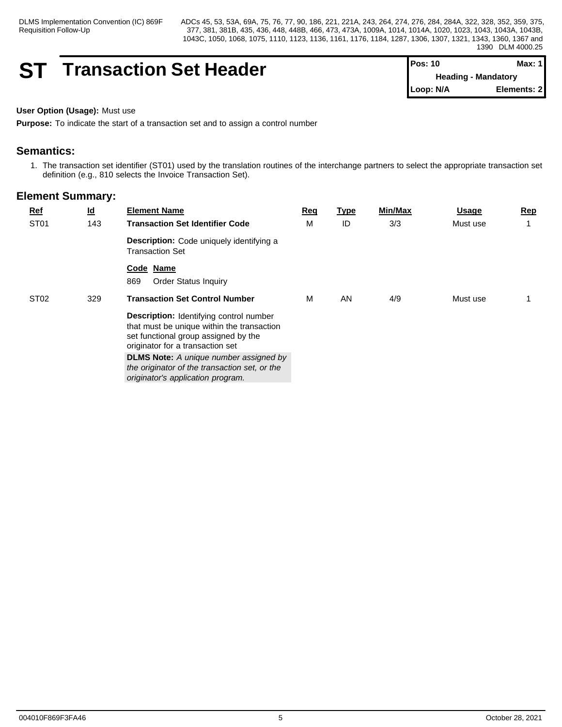# **ST Transaction Set Header**

| IPos: 10                   | Max: 1       |  |
|----------------------------|--------------|--|
| <b>Heading - Mandatory</b> |              |  |
| ∥Loop: N/A                 | Elements: 21 |  |

## **User Option (Usage):** Must use

**Purpose:** To indicate the start of a transaction set and to assign a control number

# **Semantics:**

1. The transaction set identifier (ST01) used by the translation routines of the interchange partners to select the appropriate transaction set definition (e.g., 810 selects the Invoice Transaction Set).

| <b>Ref</b>       | <u>ld</u> | <b>Element Name</b>                                                                                                                                                      | <b>Reg</b> | <u>Type</u> | Min/Max | <b>Usage</b> | <b>Rep</b> |
|------------------|-----------|--------------------------------------------------------------------------------------------------------------------------------------------------------------------------|------------|-------------|---------|--------------|------------|
| ST <sub>01</sub> | 143       | <b>Transaction Set Identifier Code</b>                                                                                                                                   | M          | ID          | 3/3     | Must use     |            |
|                  |           | Description: Code uniquely identifying a<br><b>Transaction Set</b>                                                                                                       |            |             |         |              |            |
|                  |           | Code Name                                                                                                                                                                |            |             |         |              |            |
|                  |           | 869<br><b>Order Status Inquiry</b>                                                                                                                                       |            |             |         |              |            |
| ST <sub>02</sub> | 329       | <b>Transaction Set Control Number</b>                                                                                                                                    | M          | AN          | 4/9     | Must use     |            |
|                  |           | <b>Description:</b> Identifying control number<br>that must be unique within the transaction<br>set functional group assigned by the<br>originator for a transaction set |            |             |         |              |            |
|                  |           | <b>DLMS Note:</b> A unique number assigned by                                                                                                                            |            |             |         |              |            |
|                  |           | the originator of the transaction set, or the<br>originator's application program.                                                                                       |            |             |         |              |            |
|                  |           |                                                                                                                                                                          |            |             |         |              |            |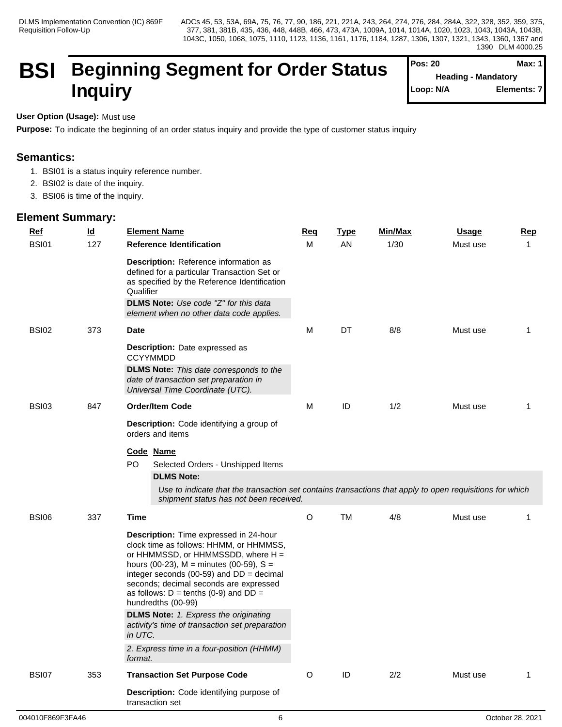# **BSI Beginning Segment for Order Status Inquiry**

| lPos: 20  |                            | Max: $1$    |
|-----------|----------------------------|-------------|
|           | <b>Heading - Mandatory</b> |             |
| Loop: N/A |                            | Elements: 7 |

# **User Option (Usage):** Must use

**Purpose:** To indicate the beginning of an order status inquiry and provide the type of customer status inquiry

# **Semantics:**

- 1. BSI01 is a status inquiry reference number.
- 2. BSI02 is date of the inquiry.
- 3. BSI06 is time of the inquiry.

| <b>Ref</b>   | $\underline{\mathsf{Id}}$ | <b>Element Name</b>                                                                                                                                                                                                                                                                                                                                                                      | <b>Req</b>  | <b>Type</b> | Min/Max | <b>Usage</b> | <b>Rep</b> |
|--------------|---------------------------|------------------------------------------------------------------------------------------------------------------------------------------------------------------------------------------------------------------------------------------------------------------------------------------------------------------------------------------------------------------------------------------|-------------|-------------|---------|--------------|------------|
| <b>BSI01</b> | 127                       | <b>Reference Identification</b>                                                                                                                                                                                                                                                                                                                                                          | M           | AN          | 1/30    | Must use     |            |
|              |                           | Description: Reference information as<br>defined for a particular Transaction Set or<br>as specified by the Reference Identification<br>Qualifier<br>DLMS Note: Use code "Z" for this data<br>element when no other data code applies.                                                                                                                                                   |             |             |         |              |            |
| BSI02        | 373                       | <b>Date</b>                                                                                                                                                                                                                                                                                                                                                                              | M           | DT          | 8/8     | Must use     | 1          |
|              |                           | <b>Description:</b> Date expressed as<br><b>CCYYMMDD</b>                                                                                                                                                                                                                                                                                                                                 |             |             |         |              |            |
|              |                           | <b>DLMS Note:</b> This date corresponds to the<br>date of transaction set preparation in<br>Universal Time Coordinate (UTC).                                                                                                                                                                                                                                                             |             |             |         |              |            |
| <b>BSI03</b> | 847                       | <b>Order/Item Code</b>                                                                                                                                                                                                                                                                                                                                                                   | м           | ID          | 1/2     | Must use     | 1          |
|              |                           | Description: Code identifying a group of<br>orders and items                                                                                                                                                                                                                                                                                                                             |             |             |         |              |            |
|              |                           | Code Name<br>PO<br>Selected Orders - Unshipped Items<br><b>DLMS Note:</b><br>Use to indicate that the transaction set contains transactions that apply to open requisitions for which<br>shipment status has not been received.                                                                                                                                                          |             |             |         |              |            |
| <b>BSI06</b> | 337                       | Time                                                                                                                                                                                                                                                                                                                                                                                     | O           | <b>TM</b>   | 4/8     | Must use     |            |
|              |                           | Description: Time expressed in 24-hour<br>clock time as follows: HHMM, or HHMMSS,<br>or HHMMSSD, or HHMMSSDD, where H =<br>hours (00-23), $M =$ minutes (00-59), $S =$<br>integer seconds (00-59) and $DD = decimal$<br>seconds; decimal seconds are expressed<br>as follows: $D = \text{tenths}$ (0-9) and $DD =$<br>hundredths (00-99)<br><b>DLMS Note:</b> 1. Express the originating |             |             |         |              |            |
|              |                           | activity's time of transaction set preparation<br>in UTC.                                                                                                                                                                                                                                                                                                                                |             |             |         |              |            |
|              |                           | 2. Express time in a four-position (HHMM)<br>format.                                                                                                                                                                                                                                                                                                                                     |             |             |         |              |            |
| <b>BSI07</b> | 353                       | <b>Transaction Set Purpose Code</b>                                                                                                                                                                                                                                                                                                                                                      | $\mathsf O$ | ID          | 2/2     | Must use     | 1          |
|              |                           | Description: Code identifying purpose of<br>transaction set                                                                                                                                                                                                                                                                                                                              |             |             |         |              |            |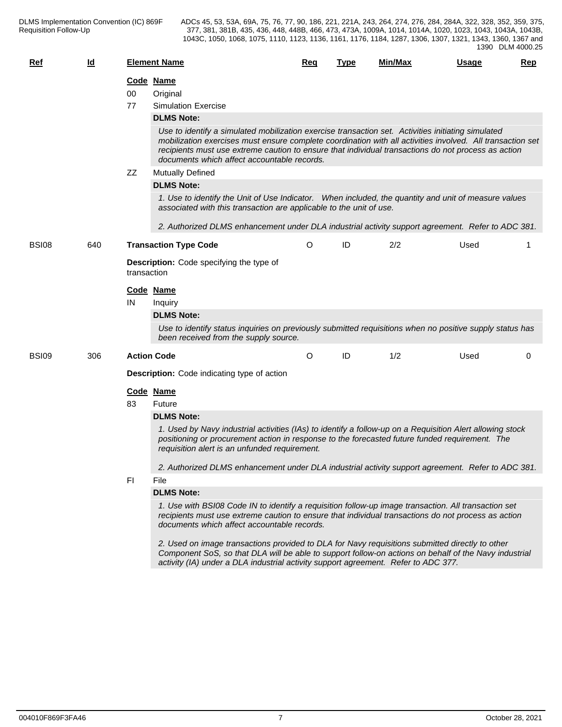| $Ref$        | Id  |     | <b>Element Name</b>                                                                                                                                                                                                                                                                                                                                                    | Req | <u>Type</u> | Min/Max | Usage | Rep |
|--------------|-----|-----|------------------------------------------------------------------------------------------------------------------------------------------------------------------------------------------------------------------------------------------------------------------------------------------------------------------------------------------------------------------------|-----|-------------|---------|-------|-----|
|              |     |     | Code Name                                                                                                                                                                                                                                                                                                                                                              |     |             |         |       |     |
|              |     | 00  | Original                                                                                                                                                                                                                                                                                                                                                               |     |             |         |       |     |
|              |     | 77  | <b>Simulation Exercise</b>                                                                                                                                                                                                                                                                                                                                             |     |             |         |       |     |
|              |     |     | <b>DLMS Note:</b>                                                                                                                                                                                                                                                                                                                                                      |     |             |         |       |     |
|              |     |     | Use to identify a simulated mobilization exercise transaction set. Activities initiating simulated<br>mobilization exercises must ensure complete coordination with all activities involved. All transaction set<br>recipients must use extreme caution to ensure that individual transactions do not process as action<br>documents which affect accountable records. |     |             |         |       |     |
|              |     | ZZ  | <b>Mutually Defined</b>                                                                                                                                                                                                                                                                                                                                                |     |             |         |       |     |
|              |     |     | <b>DLMS Note:</b>                                                                                                                                                                                                                                                                                                                                                      |     |             |         |       |     |
|              |     |     | 1. Use to identify the Unit of Use Indicator. When included, the quantity and unit of measure values<br>associated with this transaction are applicable to the unit of use.                                                                                                                                                                                            |     |             |         |       |     |
|              |     |     | 2. Authorized DLMS enhancement under DLA industrial activity support agreement. Refer to ADC 381.                                                                                                                                                                                                                                                                      |     |             |         |       |     |
| <b>BSI08</b> | 640 |     | <b>Transaction Type Code</b>                                                                                                                                                                                                                                                                                                                                           | O   | ID          | 2/2     | Used  |     |
|              |     |     | <b>Description:</b> Code specifying the type of<br>transaction                                                                                                                                                                                                                                                                                                         |     |             |         |       |     |
|              |     |     | Code Name                                                                                                                                                                                                                                                                                                                                                              |     |             |         |       |     |
|              |     | IN  | Inquiry                                                                                                                                                                                                                                                                                                                                                                |     |             |         |       |     |
|              |     |     | <b>DLMS Note:</b>                                                                                                                                                                                                                                                                                                                                                      |     |             |         |       |     |
|              |     |     | Use to identify status inquiries on previously submitted requisitions when no positive supply status has<br>been received from the supply source.                                                                                                                                                                                                                      |     |             |         |       |     |
| <b>BSI09</b> | 306 |     | <b>Action Code</b>                                                                                                                                                                                                                                                                                                                                                     | O   | ID          | 1/2     | Used  | 0   |
|              |     |     | <b>Description:</b> Code indicating type of action                                                                                                                                                                                                                                                                                                                     |     |             |         |       |     |
|              |     |     | Code Name                                                                                                                                                                                                                                                                                                                                                              |     |             |         |       |     |
|              |     | 83  | Future                                                                                                                                                                                                                                                                                                                                                                 |     |             |         |       |     |
|              |     |     | <b>DLMS Note:</b>                                                                                                                                                                                                                                                                                                                                                      |     |             |         |       |     |
|              |     |     | 1. Used by Navy industrial activities (IAs) to identify a follow-up on a Requisition Alert allowing stock<br>positioning or procurement action in response to the forecasted future funded requirement. The<br>requisition alert is an unfunded requirement.                                                                                                           |     |             |         |       |     |
|              |     |     | 2. Authorized DLMS enhancement under DLA industrial activity support agreement. Refer to ADC 381.                                                                                                                                                                                                                                                                      |     |             |         |       |     |
|              |     | FI. | File                                                                                                                                                                                                                                                                                                                                                                   |     |             |         |       |     |
|              |     |     | <b>DLMS Note:</b>                                                                                                                                                                                                                                                                                                                                                      |     |             |         |       |     |
|              |     |     | 1. Use with BSI08 Code IN to identify a requisition follow-up image transaction. All transaction set<br>recipients must use extreme caution to ensure that individual transactions do not process as action<br>documents which affect accountable records.                                                                                                             |     |             |         |       |     |
|              |     |     | 2. Used on image transactions provided to DLA for Navy requisitions submitted directly to other<br>Component SoS, so that DLA will be able to support follow-on actions on behalf of the Navy industrial<br>activity (IA) under a DLA industrial activity support agreement. Refer to ADC 377.                                                                         |     |             |         |       |     |
|              |     |     |                                                                                                                                                                                                                                                                                                                                                                        |     |             |         |       |     |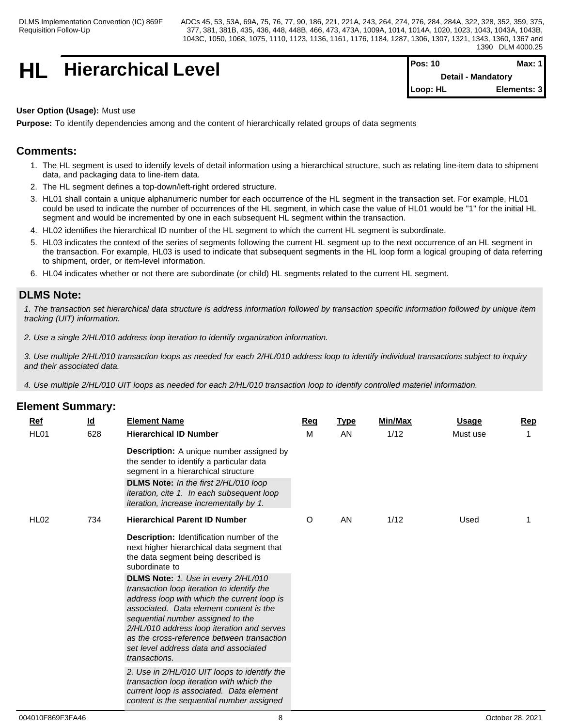# **HL** Hierarchical Level

| $Pos: 10$                 | Max: 1 I     |  |
|---------------------------|--------------|--|
| <b>Detail - Mandatory</b> |              |  |
| Loop: HL                  | Elements: 31 |  |

## **User Option (Usage):** Must use

**Purpose:** To identify dependencies among and the content of hierarchically related groups of data segments

# **Comments:**

- 1. The HL segment is used to identify levels of detail information using a hierarchical structure, such as relating line-item data to shipment data, and packaging data to line-item data.
- 2. The HL segment defines a top-down/left-right ordered structure.
- 3. HL01 shall contain a unique alphanumeric number for each occurrence of the HL segment in the transaction set. For example, HL01 could be used to indicate the number of occurrences of the HL segment, in which case the value of HL01 would be "1" for the initial HL segment and would be incremented by one in each subsequent HL segment within the transaction.
- 4. HL02 identifies the hierarchical ID number of the HL segment to which the current HL segment is subordinate.
- 5. HL03 indicates the context of the series of segments following the current HL segment up to the next occurrence of an HL segment in the transaction. For example, HL03 is used to indicate that subsequent segments in the HL loop form a logical grouping of data referring to shipment, order, or item-level information.
- 6. HL04 indicates whether or not there are subordinate (or child) HL segments related to the current HL segment.

# **DLMS Note:**

*1. The transaction set hierarchical data structure is address information followed by transaction specific information followed by unique item tracking (UIT) information.*

*2. Use a single 2/HL/010 address loop iteration to identify organization information.*

*3. Use multiple 2/HL/010 transaction loops as needed for each 2/HL/010 address loop to identify individual transactions subject to inquiry and their associated data.*

*4. Use multiple 2/HL/010 UIT loops as needed for each 2/HL/010 transaction loop to identify controlled materiel information.*

| <b>Ref</b><br>HL01 | <u>ld</u><br>628 | <b>Element Name</b><br><b>Hierarchical ID Number</b>                                                                                                                                                                                                                                                                                                                                                                                                                                                                       | <u>Req</u><br>м | <b>Type</b><br>AN | Min/Max<br>1/12 | <b>Usage</b><br>Must use | <b>Rep</b> |
|--------------------|------------------|----------------------------------------------------------------------------------------------------------------------------------------------------------------------------------------------------------------------------------------------------------------------------------------------------------------------------------------------------------------------------------------------------------------------------------------------------------------------------------------------------------------------------|-----------------|-------------------|-----------------|--------------------------|------------|
|                    |                  | <b>Description:</b> A unique number assigned by<br>the sender to identify a particular data<br>segment in a hierarchical structure<br>DLMS Note: In the first 2/HL/010 loop<br>iteration, cite 1. In each subsequent loop<br>iteration, increase incrementally by 1.                                                                                                                                                                                                                                                       |                 |                   |                 |                          |            |
| <b>HL02</b>        | 734              | <b>Hierarchical Parent ID Number</b>                                                                                                                                                                                                                                                                                                                                                                                                                                                                                       | $\circ$         | AN                | 1/12            | Used                     |            |
|                    |                  | Description: Identification number of the<br>next higher hierarchical data segment that<br>the data segment being described is<br>subordinate to<br>DLMS Note: 1. Use in every 2/HL/010<br>transaction loop iteration to identify the<br>address loop with which the current loop is<br>associated. Data element content is the<br>sequential number assigned to the<br>2/HL/010 address loop iteration and serves<br>as the cross-reference between transaction<br>set level address data and associated<br>transactions. |                 |                   |                 |                          |            |
|                    |                  | 2. Use in 2/HL/010 UIT loops to identify the<br>transaction loop iteration with which the<br>current loop is associated. Data element<br>content is the sequential number assigned                                                                                                                                                                                                                                                                                                                                         |                 |                   |                 |                          |            |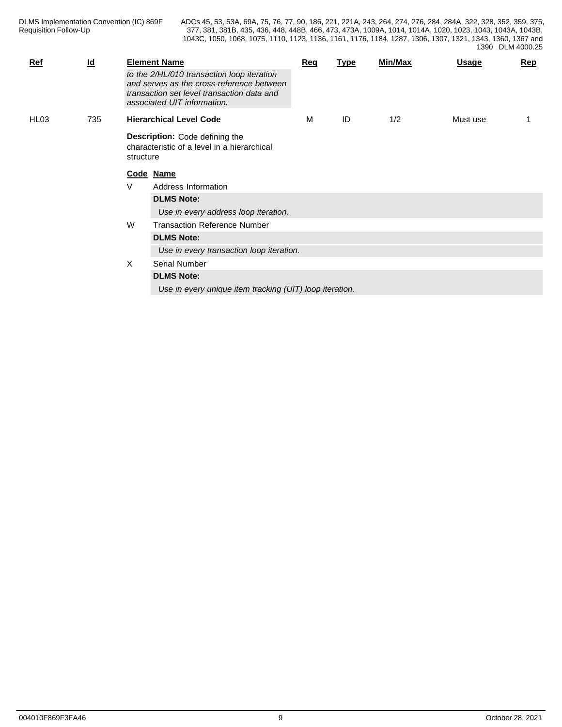| $Ref$ | $\underline{\mathsf{Id}}$ |           | <b>Element Name</b>                                                                                                                                                  | Req | <b>Type</b> | Min/Max | <b>Usage</b> | Rep |
|-------|---------------------------|-----------|----------------------------------------------------------------------------------------------------------------------------------------------------------------------|-----|-------------|---------|--------------|-----|
|       |                           |           | to the 2/HL/010 transaction loop iteration<br>and serves as the cross-reference between<br>transaction set level transaction data and<br>associated UIT information. |     |             |         |              |     |
| HL03  | 735                       |           | <b>Hierarchical Level Code</b>                                                                                                                                       | M   | ID          | 1/2     | Must use     |     |
|       |                           | structure | <b>Description:</b> Code defining the<br>characteristic of a level in a hierarchical                                                                                 |     |             |         |              |     |
|       |                           |           | Code Name                                                                                                                                                            |     |             |         |              |     |
|       |                           | V         | Address Information                                                                                                                                                  |     |             |         |              |     |
|       |                           |           | <b>DLMS Note:</b>                                                                                                                                                    |     |             |         |              |     |
|       |                           |           | Use in every address loop iteration.                                                                                                                                 |     |             |         |              |     |
|       |                           | W         | <b>Transaction Reference Number</b>                                                                                                                                  |     |             |         |              |     |
|       |                           |           | <b>DLMS Note:</b>                                                                                                                                                    |     |             |         |              |     |
|       |                           |           | Use in every transaction loop iteration.                                                                                                                             |     |             |         |              |     |
|       |                           | $\times$  | Serial Number                                                                                                                                                        |     |             |         |              |     |
|       |                           |           | <b>DLMS Note:</b>                                                                                                                                                    |     |             |         |              |     |
|       |                           |           | Use in every unique item tracking (UIT) loop iteration.                                                                                                              |     |             |         |              |     |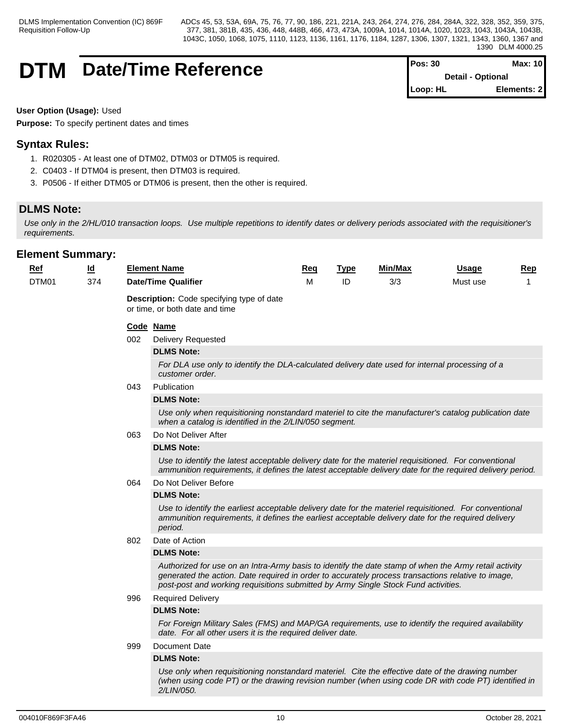# **DTM** Date/Time Reference

| $Pos: 30$                | <b>Max: 10</b> |  |
|--------------------------|----------------|--|
| <b>Detail - Optional</b> |                |  |
| ∥Loop: HL                | Elements: 2    |  |

**User Option (Usage):** Used

**Purpose:** To specify pertinent dates and times

# **Syntax Rules:**

- 1. R020305 At least one of DTM02, DTM03 or DTM05 is required.
- 2. C0403 If DTM04 is present, then DTM03 is required.
- 3. P0506 If either DTM05 or DTM06 is present, then the other is required.

# **DLMS Note:**

*Use only in the 2/HL/010 transaction loops. Use multiple repetitions to identify dates or delivery periods associated with the requisitioner's requirements.*

| $Ref$ | $\underline{\mathsf{Id}}$ |     | <b>Element Name</b>                                                                                                                                                                                                                                                                               | <u>Req</u> | <b>Type</b> | Min/Max | <b>Usage</b> | <b>Rep</b> |
|-------|---------------------------|-----|---------------------------------------------------------------------------------------------------------------------------------------------------------------------------------------------------------------------------------------------------------------------------------------------------|------------|-------------|---------|--------------|------------|
| DTM01 | 374                       |     | <b>Date/Time Qualifier</b>                                                                                                                                                                                                                                                                        | M          | ID          | 3/3     | Must use     | 1          |
|       |                           |     | Description: Code specifying type of date<br>or time, or both date and time                                                                                                                                                                                                                       |            |             |         |              |            |
|       |                           |     | Code Name                                                                                                                                                                                                                                                                                         |            |             |         |              |            |
|       |                           | 002 | <b>Delivery Requested</b>                                                                                                                                                                                                                                                                         |            |             |         |              |            |
|       |                           |     | <b>DLMS Note:</b>                                                                                                                                                                                                                                                                                 |            |             |         |              |            |
|       |                           |     | For DLA use only to identify the DLA-calculated delivery date used for internal processing of a<br>customer order.                                                                                                                                                                                |            |             |         |              |            |
|       |                           | 043 | Publication                                                                                                                                                                                                                                                                                       |            |             |         |              |            |
|       |                           |     | <b>DLMS Note:</b>                                                                                                                                                                                                                                                                                 |            |             |         |              |            |
|       |                           |     | Use only when requisitioning nonstandard materiel to cite the manufacturer's catalog publication date<br>when a catalog is identified in the 2/LIN/050 segment.                                                                                                                                   |            |             |         |              |            |
|       |                           | 063 | Do Not Deliver After                                                                                                                                                                                                                                                                              |            |             |         |              |            |
|       |                           |     | <b>DLMS Note:</b>                                                                                                                                                                                                                                                                                 |            |             |         |              |            |
|       |                           |     | Use to identify the latest acceptable delivery date for the materiel requisitioned. For conventional<br>ammunition requirements, it defines the latest acceptable delivery date for the required delivery period.                                                                                 |            |             |         |              |            |
|       |                           | 064 | Do Not Deliver Before                                                                                                                                                                                                                                                                             |            |             |         |              |            |
|       |                           |     | <b>DLMS Note:</b>                                                                                                                                                                                                                                                                                 |            |             |         |              |            |
|       |                           |     | Use to identify the earliest acceptable delivery date for the materiel requisitioned. For conventional<br>ammunition requirements, it defines the earliest acceptable delivery date for the required delivery<br>period.                                                                          |            |             |         |              |            |
|       |                           | 802 | Date of Action                                                                                                                                                                                                                                                                                    |            |             |         |              |            |
|       |                           |     | <b>DLMS Note:</b>                                                                                                                                                                                                                                                                                 |            |             |         |              |            |
|       |                           |     | Authorized for use on an Intra-Army basis to identify the date stamp of when the Army retail activity<br>generated the action. Date required in order to accurately process transactions relative to image,<br>post-post and working requisitions submitted by Army Single Stock Fund activities. |            |             |         |              |            |
|       |                           | 996 | <b>Required Delivery</b>                                                                                                                                                                                                                                                                          |            |             |         |              |            |
|       |                           |     | <b>DLMS Note:</b>                                                                                                                                                                                                                                                                                 |            |             |         |              |            |
|       |                           |     | For Foreign Military Sales (FMS) and MAP/GA requirements, use to identify the required availability<br>date. For all other users it is the required deliver date.                                                                                                                                 |            |             |         |              |            |
|       |                           | 999 | Document Date                                                                                                                                                                                                                                                                                     |            |             |         |              |            |
|       |                           |     | <b>DLMS Note:</b>                                                                                                                                                                                                                                                                                 |            |             |         |              |            |
|       |                           |     | Use only when requisitioning nonstandard materiel. Cite the effective date of the drawing number<br>(when using code PT) or the drawing revision number (when using code DR with code PT) identified in<br>2/LIN/050.                                                                             |            |             |         |              |            |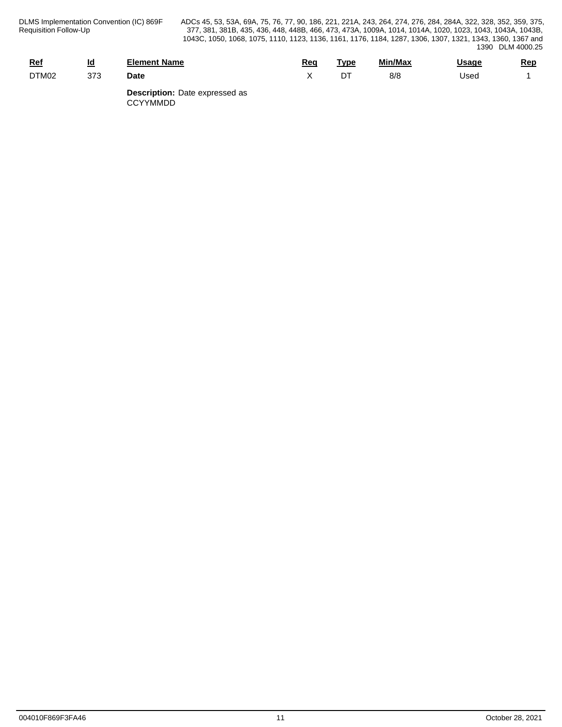| <u>Ref</u> | Id<br>- | Element Name                  | Rec | Tvpe    | Min/Max | Usaqe | Rep<br>___ |
|------------|---------|-------------------------------|-----|---------|---------|-------|------------|
| DTM02      | 373     | <b>Date</b>                   |     | דח<br>້ | 8/8     | Used  |            |
|            |         | $\overline{\phantom{0}}$<br>. |     |         |         |       |            |

**Description:** Date expressed as CCYYMMDD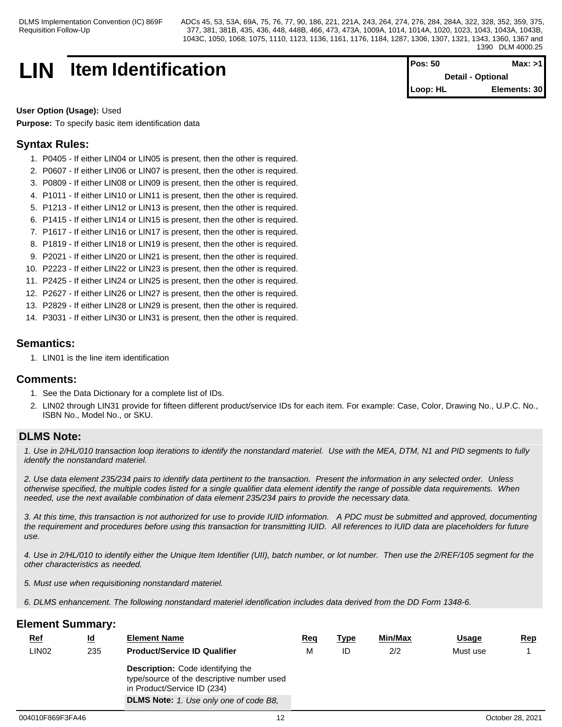# **LIN** Item Identification

| $Pos: 50$                | Max: >11     |  |
|--------------------------|--------------|--|
| <b>Detail - Optional</b> |              |  |
| $Loop: HL$               | Elements: 30 |  |

## **User Option (Usage):** Used

**Purpose:** To specify basic item identification data

# **Syntax Rules:**

- 1. P0405 If either LIN04 or LIN05 is present, then the other is required.
- 2. P0607 If either LIN06 or LIN07 is present, then the other is required.
- 3. P0809 If either LIN08 or LIN09 is present, then the other is required.
- 4. P1011 If either LIN10 or LIN11 is present, then the other is required.
- 5. P1213 If either LIN12 or LIN13 is present, then the other is required.
- 6. P1415 If either LIN14 or LIN15 is present, then the other is required.
- 7. P1617 If either LIN16 or LIN17 is present, then the other is required.
- 8. P1819 If either LIN18 or LIN19 is present, then the other is required.
- 9. P2021 If either LIN20 or LIN21 is present, then the other is required.
- 10. P2223 If either LIN22 or LIN23 is present, then the other is required.
- 11. P2425 If either LIN24 or LIN25 is present, then the other is required.
- 12. P2627 If either LIN26 or LIN27 is present, then the other is required.
- 13. P2829 If either LIN28 or LIN29 is present, then the other is required.
- 14. P3031 If either LIN30 or LIN31 is present, then the other is required.

## **Semantics:**

1. LIN01 is the line item identification

## **Comments:**

- 1. See the Data Dictionary for a complete list of IDs.
- 2. LIN02 through LIN31 provide for fifteen different product/service IDs for each item. For example: Case, Color, Drawing No., U.P.C. No., ISBN No., Model No., or SKU.

# **DLMS Note:**

*1. Use in 2/HL/010 transaction loop iterations to identify the nonstandard materiel. Use with the MEA, DTM, N1 and PID segments to fully identify the nonstandard materiel.*

*2. Use data element 235/234 pairs to identify data pertinent to the transaction. Present the information in any selected order. Unless otherwise specified, the multiple codes listed for a single qualifier data element identify the range of possible data requirements. When needed, use the next available combination of data element 235/234 pairs to provide the necessary data.*

*3. At this time, this transaction is not authorized for use to provide IUID information. A PDC must be submitted and approved, documenting the requirement and procedures before using this transaction for transmitting IUID. All references to IUID data are placeholders for future use.*

*4. Use in 2/HL/010 to identify either the Unique Item Identifier (UII), batch number, or lot number. Then use the 2/REF/105 segment for the other characteristics as needed.*

*5. Must use when requisitioning nonstandard materiel.*

*6. DLMS enhancement. The following nonstandard materiel identification includes data derived from the DD Form 1348-6.*

| <u>Ref</u> | <u>ld</u> | <b>Element Name</b>                                                                                                                                                    | <u>Req</u> | <u>Type</u> | Min/Max | <b>Usage</b> | Rep |
|------------|-----------|------------------------------------------------------------------------------------------------------------------------------------------------------------------------|------------|-------------|---------|--------------|-----|
| LIN02      | 235       | <b>Product/Service ID Qualifier</b>                                                                                                                                    | М          | ID          | 2/2     | Must use     |     |
|            |           | <b>Description:</b> Code identifying the<br>type/source of the descriptive number used<br>in Product/Service ID (234)<br><b>DLMS Note:</b> 1. Use only one of code B8, |            |             |         |              |     |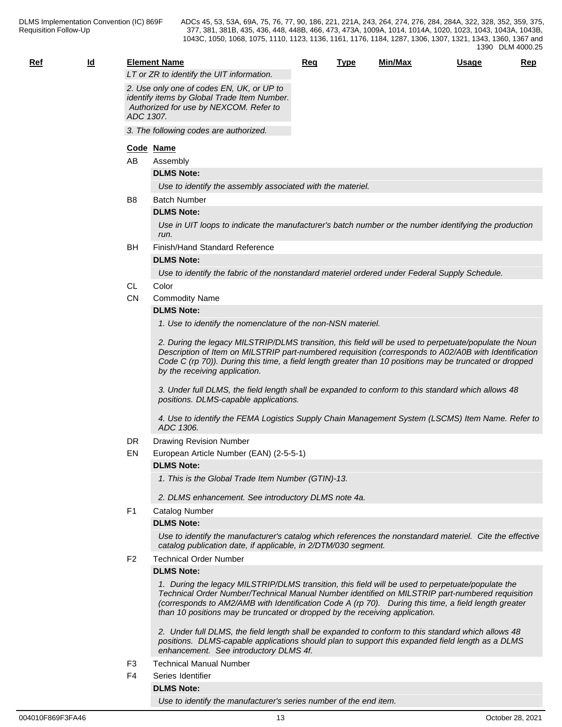| ۰.<br>. .<br>v<br>× |  |
|---------------------|--|
|                     |  |

| <b>Element Name</b><br>Min/Max<br><u>Ref</u><br><u>ld</u><br><b>Rep</b><br><b>Req</b><br>Usage<br><b>Type</b>                                                                                                                                                                                                                                                                               |
|---------------------------------------------------------------------------------------------------------------------------------------------------------------------------------------------------------------------------------------------------------------------------------------------------------------------------------------------------------------------------------------------|
| LT or ZR to identify the UIT information.                                                                                                                                                                                                                                                                                                                                                   |
| 2. Use only one of codes EN, UK, or UP to<br>identify items by Global Trade Item Number.<br>Authorized for use by NEXCOM. Refer to<br>ADC 1307.                                                                                                                                                                                                                                             |
| 3. The following codes are authorized.                                                                                                                                                                                                                                                                                                                                                      |
| Code Name                                                                                                                                                                                                                                                                                                                                                                                   |
| AB<br>Assembly                                                                                                                                                                                                                                                                                                                                                                              |
| <b>DLMS Note:</b>                                                                                                                                                                                                                                                                                                                                                                           |
| Use to identify the assembly associated with the materiel.                                                                                                                                                                                                                                                                                                                                  |
| B <sub>8</sub><br><b>Batch Number</b>                                                                                                                                                                                                                                                                                                                                                       |
| <b>DLMS Note:</b>                                                                                                                                                                                                                                                                                                                                                                           |
| Use in UIT loops to indicate the manufacturer's batch number or the number identifying the production<br>run.                                                                                                                                                                                                                                                                               |
| Finish/Hand Standard Reference<br>BН                                                                                                                                                                                                                                                                                                                                                        |
| <b>DLMS Note:</b>                                                                                                                                                                                                                                                                                                                                                                           |
| Use to identify the fabric of the nonstandard materiel ordered under Federal Supply Schedule.                                                                                                                                                                                                                                                                                               |
| CL<br>Color                                                                                                                                                                                                                                                                                                                                                                                 |
| <b>CN</b><br><b>Commodity Name</b><br><b>DLMS Note:</b>                                                                                                                                                                                                                                                                                                                                     |
| 1. Use to identify the nomenclature of the non-NSN materiel.                                                                                                                                                                                                                                                                                                                                |
|                                                                                                                                                                                                                                                                                                                                                                                             |
| 2. During the legacy MILSTRIP/DLMS transition, this field will be used to perpetuate/populate the Noun<br>Description of Item on MILSTRIP part-numbered requisition (corresponds to A02/A0B with Identification<br>Code C (rp 70)). During this time, a field length greater than 10 positions may be truncated or dropped<br>by the receiving application.                                 |
| 3. Under full DLMS, the field length shall be expanded to conform to this standard which allows 48<br>positions. DLMS-capable applications.                                                                                                                                                                                                                                                 |
| 4. Use to identify the FEMA Logistics Supply Chain Management System (LSCMS) Item Name. Refer to<br>ADC 1306.                                                                                                                                                                                                                                                                               |
| <b>Drawing Revision Number</b><br>DR                                                                                                                                                                                                                                                                                                                                                        |
| EN<br>European Article Number (EAN) (2-5-5-1)                                                                                                                                                                                                                                                                                                                                               |
| <b>DLMS Note:</b>                                                                                                                                                                                                                                                                                                                                                                           |
| 1. This is the Global Trade Item Number (GTIN)-13.                                                                                                                                                                                                                                                                                                                                          |
| 2. DLMS enhancement. See introductory DLMS note 4a.                                                                                                                                                                                                                                                                                                                                         |
| F <sub>1</sub><br><b>Catalog Number</b>                                                                                                                                                                                                                                                                                                                                                     |
| <b>DLMS Note:</b>                                                                                                                                                                                                                                                                                                                                                                           |
| Use to identify the manufacturer's catalog which references the nonstandard materiel. Cite the effective<br>catalog publication date, if applicable, in 2/DTM/030 segment.                                                                                                                                                                                                                  |
| F <sub>2</sub><br><b>Technical Order Number</b>                                                                                                                                                                                                                                                                                                                                             |
| <b>DLMS Note:</b>                                                                                                                                                                                                                                                                                                                                                                           |
| 1. During the legacy MILSTRIP/DLMS transition, this field will be used to perpetuate/populate the<br>Technical Order Number/Technical Manual Number identified on MILSTRIP part-numbered requisition<br>(corresponds to AM2/AMB with Identification Code A (rp 70). During this time, a field length greater<br>than 10 positions may be truncated or dropped by the receiving application. |
| 2. Under full DLMS, the field length shall be expanded to conform to this standard which allows 48<br>positions. DLMS-capable applications should plan to support this expanded field length as a DLMS<br>enhancement. See introductory DLMS 4f.                                                                                                                                            |
| <b>Technical Manual Number</b><br>F <sub>3</sub>                                                                                                                                                                                                                                                                                                                                            |

- F4 Series Identifier
	- **DLMS Note:**

*Use to identify the manufacturer's series number of the end item.*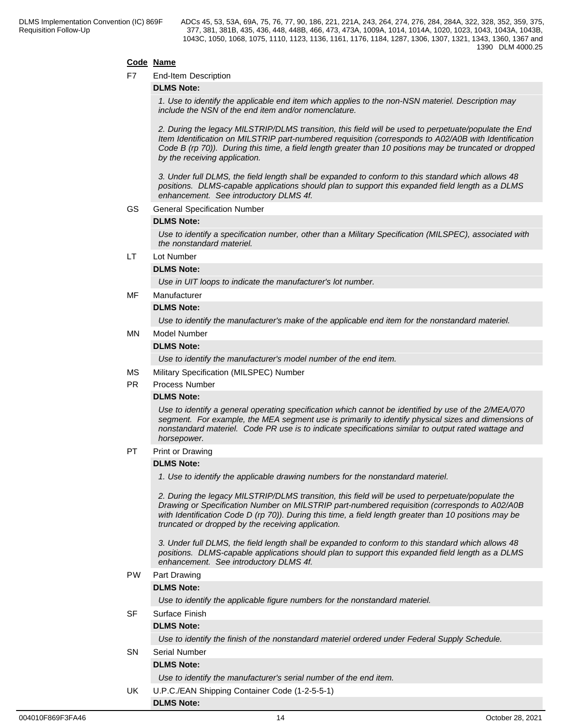## **Code Name**

F7 End-Item Description

### **DLMS Note:**

*1. Use to identify the applicable end item which applies to the non-NSN materiel. Description may include the NSN of the end item and/or nomenclature.*

*2. During the legacy MILSTRIP/DLMS transition, this field will be used to perpetuate/populate the End Item Identification on MILSTRIP part-numbered requisition (corresponds to A02/A0B with Identification Code B (rp 70)). During this time, a field length greater than 10 positions may be truncated or dropped by the receiving application.* 

*3. Under full DLMS, the field length shall be expanded to conform to this standard which allows 48 positions. DLMS-capable applications should plan to support this expanded field length as a DLMS enhancement. See introductory DLMS 4f.*

### GS General Specification Number

## **DLMS Note:**

*Use to identify a specification number, other than a Military Specification (MILSPEC), associated with the nonstandard materiel.*

## LT Lot Number

## **DLMS Note:**

*Use in UIT loops to indicate the manufacturer's lot number.*

MF Manufacturer

## **DLMS Note:**

*Use to identify the manufacturer's make of the applicable end item for the nonstandard materiel.*

### MN Model Number

## **DLMS Note:**

*Use to identify the manufacturer's model number of the end item.*

- MS Military Specification (MILSPEC) Number
- PR Process Number

### **DLMS Note:**

*Use to identify a general operating specification which cannot be identified by use of the 2/MEA/070 segment. For example, the MEA segment use is primarily to identify physical sizes and dimensions of nonstandard materiel. Code PR use is to indicate specifications similar to output rated wattage and horsepower.*

PT Print or Drawing

## **DLMS Note:**

*1. Use to identify the applicable drawing numbers for the nonstandard materiel.*

*2. During the legacy MILSTRIP/DLMS transition, this field will be used to perpetuate/populate the Drawing or Specification Number on MILSTRIP part-numbered requisition (corresponds to A02/A0B with Identification Code D (rp 70)). During this time, a field length greater than 10 positions may be truncated or dropped by the receiving application.* 

*3. Under full DLMS, the field length shall be expanded to conform to this standard which allows 48 positions. DLMS-capable applications should plan to support this expanded field length as a DLMS enhancement. See introductory DLMS 4f.*

## PW Part Drawing

## **DLMS Note:**

*Use to identify the applicable figure numbers for the nonstandard materiel.*

### SF Surface Finish

## **DLMS Note:**

*Use to identify the finish of the nonstandard materiel ordered under Federal Supply Schedule.*

SN Serial Number

**DLMS Note:**

*Use to identify the manufacturer's serial number of the end item.*

UK U.P.C./EAN Shipping Container Code (1-2-5-5-1)

**DLMS Note:**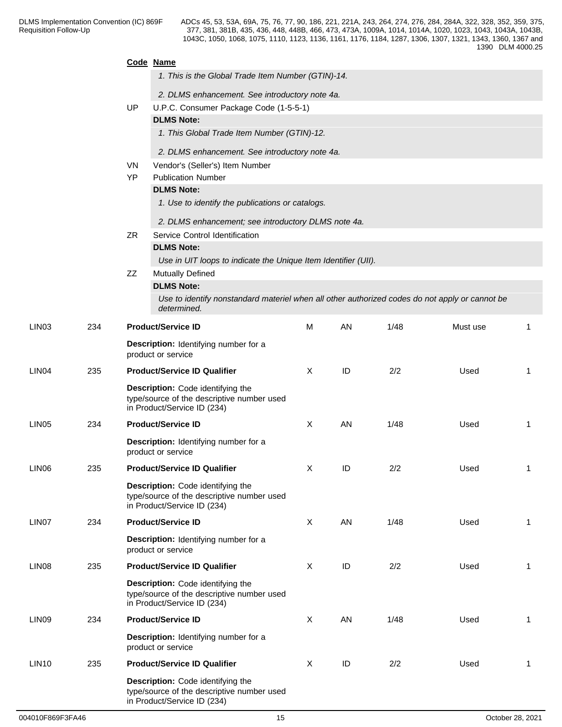|                   |     |           | Code Name                                                                                                      |   |          |      |          |                         |
|-------------------|-----|-----------|----------------------------------------------------------------------------------------------------------------|---|----------|------|----------|-------------------------|
|                   |     |           | 1. This is the Global Trade Item Number (GTIN)-14.                                                             |   |          |      |          |                         |
|                   |     |           | 2. DLMS enhancement. See introductory note 4a.                                                                 |   |          |      |          |                         |
|                   |     | UP        | U.P.C. Consumer Package Code (1-5-5-1)                                                                         |   |          |      |          |                         |
|                   |     |           | <b>DLMS Note:</b>                                                                                              |   |          |      |          |                         |
|                   |     |           | 1. This Global Trade Item Number (GTIN)-12.                                                                    |   |          |      |          |                         |
|                   |     |           | 2. DLMS enhancement. See introductory note 4a.                                                                 |   |          |      |          |                         |
|                   |     | VN        | Vendor's (Seller's) Item Number                                                                                |   |          |      |          |                         |
|                   |     | YP        | <b>Publication Number</b><br><b>DLMS Note:</b>                                                                 |   |          |      |          |                         |
|                   |     |           | 1. Use to identify the publications or catalogs.                                                               |   |          |      |          |                         |
|                   |     |           |                                                                                                                |   |          |      |          |                         |
|                   |     | <b>ZR</b> | 2. DLMS enhancement; see introductory DLMS note 4a.<br>Service Control Identification                          |   |          |      |          |                         |
|                   |     |           | <b>DLMS Note:</b>                                                                                              |   |          |      |          |                         |
|                   |     |           | Use in UIT loops to indicate the Unique Item Identifier (UII).                                                 |   |          |      |          |                         |
|                   |     | ZZ        | <b>Mutually Defined</b>                                                                                        |   |          |      |          |                         |
|                   |     |           | <b>DLMS Note:</b>                                                                                              |   |          |      |          |                         |
|                   |     |           | Use to identify nonstandard materiel when all other authorized codes do not apply or cannot be<br>determined.  |   |          |      |          |                         |
| LIN <sub>03</sub> | 234 |           | <b>Product/Service ID</b>                                                                                      | М | AN       | 1/48 | Must use | -1                      |
|                   |     |           | Description: Identifying number for a<br>product or service                                                    |   |          |      |          |                         |
| LIN <sub>04</sub> | 235 |           | <b>Product/Service ID Qualifier</b>                                                                            | X | ID       | 2/2  | Used     | $\overline{1}$          |
|                   |     |           | Description: Code identifying the<br>type/source of the descriptive number used<br>in Product/Service ID (234) |   |          |      |          |                         |
| LIN <sub>05</sub> | 234 |           | <b>Product/Service ID</b>                                                                                      | X | AN       | 1/48 | Used     | $\overline{1}$          |
|                   |     |           | Description: Identifying number for a<br>product or service                                                    |   |          |      |          |                         |
| LIN06             | 235 |           | <b>Product/Service ID Qualifier</b>                                                                            | X | ID       | 2/2  | Used     | $\overline{\mathbf{1}}$ |
|                   |     |           | Description: Code identifying the<br>type/source of the descriptive number used<br>in Product/Service ID (234) |   |          |      |          |                         |
| LIN07             | 234 |           | <b>Product/Service ID</b>                                                                                      | X | AN       | 1/48 | Used     | $\overline{1}$          |
|                   |     |           | Description: Identifying number for a<br>product or service                                                    |   |          |      |          |                         |
| LIN <sub>08</sub> | 235 |           | <b>Product/Service ID Qualifier</b>                                                                            | X | $\sf ID$ | 2/2  | Used     | $\overline{1}$          |
|                   |     |           | Description: Code identifying the<br>type/source of the descriptive number used<br>in Product/Service ID (234) |   |          |      |          |                         |
| LIN09             | 234 |           | <b>Product/Service ID</b>                                                                                      | X | AN       | 1/48 | Used     | $\overline{1}$          |
|                   |     |           | Description: Identifying number for a<br>product or service                                                    |   |          |      |          |                         |
| <b>LIN10</b>      | 235 |           | <b>Product/Service ID Qualifier</b>                                                                            | X | $\sf ID$ | 2/2  | Used     | $\overline{1}$          |
|                   |     |           | Description: Code identifying the<br>type/source of the descriptive number used<br>in Product/Service ID (234) |   |          |      |          |                         |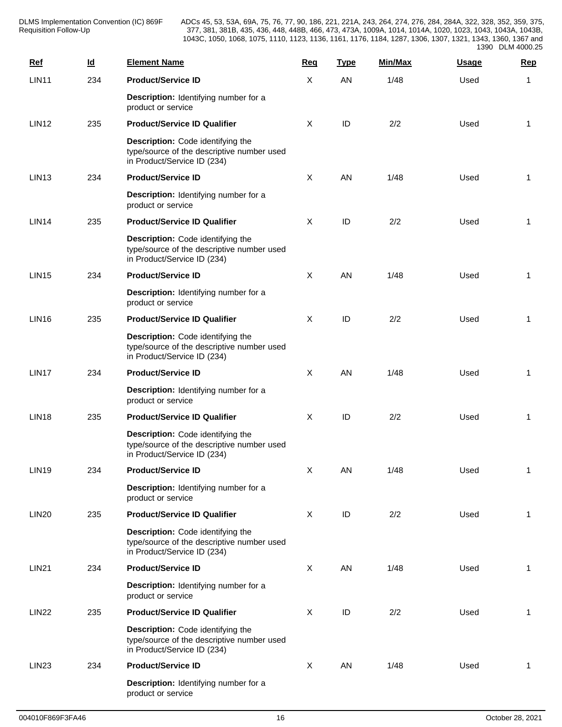| $Ref$             | $\underline{\mathsf{Id}}$ | <b>Element Name</b>                                                                                            | Req          | <b>Type</b> | Min/Max | <b>Usage</b> | Rep          |
|-------------------|---------------------------|----------------------------------------------------------------------------------------------------------------|--------------|-------------|---------|--------------|--------------|
| <b>LIN11</b>      | 234                       | <b>Product/Service ID</b>                                                                                      | X            | AN          | 1/48    | Used         | 1            |
|                   |                           | Description: Identifying number for a<br>product or service                                                    |              |             |         |              |              |
| <b>LIN12</b>      | 235                       | <b>Product/Service ID Qualifier</b>                                                                            | X            | ID          | 2/2     | Used         | 1            |
|                   |                           | Description: Code identifying the<br>type/source of the descriptive number used<br>in Product/Service ID (234) |              |             |         |              |              |
| LIN <sub>13</sub> | 234                       | <b>Product/Service ID</b>                                                                                      | $\mathsf{X}$ | AN          | 1/48    | Used         | -1           |
|                   |                           | Description: Identifying number for a<br>product or service                                                    |              |             |         |              |              |
| <b>LIN14</b>      | 235                       | <b>Product/Service ID Qualifier</b>                                                                            | $\mathsf{X}$ | ID          | 2/2     | Used         | -1           |
|                   |                           | Description: Code identifying the<br>type/source of the descriptive number used<br>in Product/Service ID (234) |              |             |         |              |              |
| <b>LIN15</b>      | 234                       | <b>Product/Service ID</b>                                                                                      | $\mathsf{X}$ | AN          | 1/48    | Used         | 1            |
|                   |                           | Description: Identifying number for a<br>product or service                                                    |              |             |         |              |              |
| <b>LIN16</b>      | 235                       | <b>Product/Service ID Qualifier</b>                                                                            | $\mathsf{X}$ | ID          | 2/2     | Used         | 1            |
|                   |                           | Description: Code identifying the<br>type/source of the descriptive number used<br>in Product/Service ID (234) |              |             |         |              |              |
| LIN17             | 234                       | <b>Product/Service ID</b>                                                                                      | $\mathsf{X}$ | AN          | 1/48    | Used         | 1            |
|                   |                           | Description: Identifying number for a<br>product or service                                                    |              |             |         |              |              |
| <b>LIN18</b>      | 235                       | <b>Product/Service ID Qualifier</b>                                                                            | X            | $\sf ID$    | 2/2     | Used         | 1            |
|                   |                           | Description: Code identifying the<br>type/source of the descriptive number used<br>in Product/Service ID (234) |              |             |         |              |              |
| LIN <sub>19</sub> | 234                       | <b>Product/Service ID</b>                                                                                      | X            | AN          | 1/48    | Used         | 1            |
|                   |                           | Description: Identifying number for a<br>product or service                                                    |              |             |         |              |              |
| <b>LIN20</b>      | 235                       | <b>Product/Service ID Qualifier</b>                                                                            | $\mathsf{X}$ | ID          | 2/2     | Used         | 1            |
|                   |                           | Description: Code identifying the<br>type/source of the descriptive number used<br>in Product/Service ID (234) |              |             |         |              |              |
| <b>LIN21</b>      | 234                       | <b>Product/Service ID</b>                                                                                      | $\mathsf{X}$ | AN          | 1/48    | Used         | $\mathbf{1}$ |
|                   |                           | Description: Identifying number for a<br>product or service                                                    |              |             |         |              |              |
| <b>LIN22</b>      | 235                       | <b>Product/Service ID Qualifier</b>                                                                            | $\mathsf{X}$ | $\sf ID$    | 2/2     | Used         | $\mathbf{1}$ |
|                   |                           | Description: Code identifying the<br>type/source of the descriptive number used<br>in Product/Service ID (234) |              |             |         |              |              |
| <b>LIN23</b>      | 234                       | <b>Product/Service ID</b>                                                                                      | $\mathsf{X}$ | AN          | 1/48    | Used         | $\mathbf{1}$ |
|                   |                           | Description: Identifying number for a<br>product or service                                                    |              |             |         |              |              |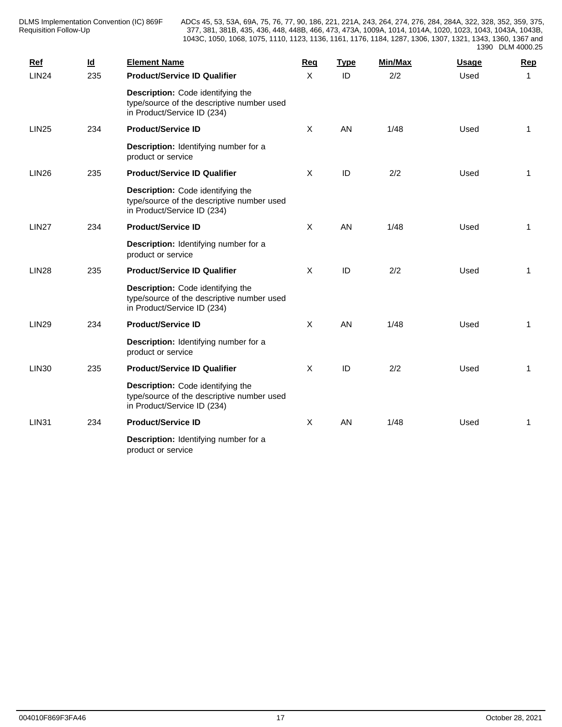DLMS Implementation Convention (IC) 869F Requisition Follow-Up

| $Ref$<br><b>LIN24</b> | $\underline{\mathsf{Id}}$<br>235 | <b>Element Name</b><br><b>Product/Service ID Qualifier</b>                                                     | Req<br>X     | <b>Type</b><br>ID | Min/Max<br>2/2 | <b>Usage</b><br>Used | <b>Rep</b><br>1 |
|-----------------------|----------------------------------|----------------------------------------------------------------------------------------------------------------|--------------|-------------------|----------------|----------------------|-----------------|
|                       |                                  | Description: Code identifying the<br>type/source of the descriptive number used<br>in Product/Service ID (234) |              |                   |                |                      |                 |
| <b>LIN25</b>          | 234                              | <b>Product/Service ID</b>                                                                                      | $\sf X$      | AN                | 1/48           | Used                 | 1               |
|                       |                                  | Description: Identifying number for a<br>product or service                                                    |              |                   |                |                      |                 |
| <b>LIN26</b>          | 235                              | <b>Product/Service ID Qualifier</b>                                                                            | X            | $\mathsf{ID}$     | 2/2            | Used                 | $\mathbf{1}$    |
|                       |                                  | Description: Code identifying the<br>type/source of the descriptive number used<br>in Product/Service ID (234) |              |                   |                |                      |                 |
| <b>LIN27</b>          | 234                              | <b>Product/Service ID</b>                                                                                      | $\mathsf{X}$ | AN                | 1/48           | Used                 | 1               |
|                       |                                  | Description: Identifying number for a<br>product or service                                                    |              |                   |                |                      |                 |
| <b>LIN28</b>          | 235                              | <b>Product/Service ID Qualifier</b>                                                                            | X            | ID                | 2/2            | Used                 | 1               |
|                       |                                  | Description: Code identifying the<br>type/source of the descriptive number used<br>in Product/Service ID (234) |              |                   |                |                      |                 |
| <b>LIN29</b>          | 234                              | <b>Product/Service ID</b>                                                                                      | X            | AN                | 1/48           | Used                 | 1               |
|                       |                                  | Description: Identifying number for a<br>product or service                                                    |              |                   |                |                      |                 |
| <b>LIN30</b>          | 235                              | <b>Product/Service ID Qualifier</b>                                                                            | X            | ID                | 2/2            | Used                 | $\mathbf{1}$    |
|                       |                                  | Description: Code identifying the<br>type/source of the descriptive number used<br>in Product/Service ID (234) |              |                   |                |                      |                 |
| <b>LIN31</b>          | 234                              | <b>Product/Service ID</b>                                                                                      | $\mathsf{X}$ | AN                | 1/48           | Used                 | $\mathbf{1}$    |
|                       |                                  | Description: Identifying number for a<br>product or service                                                    |              |                   |                |                      |                 |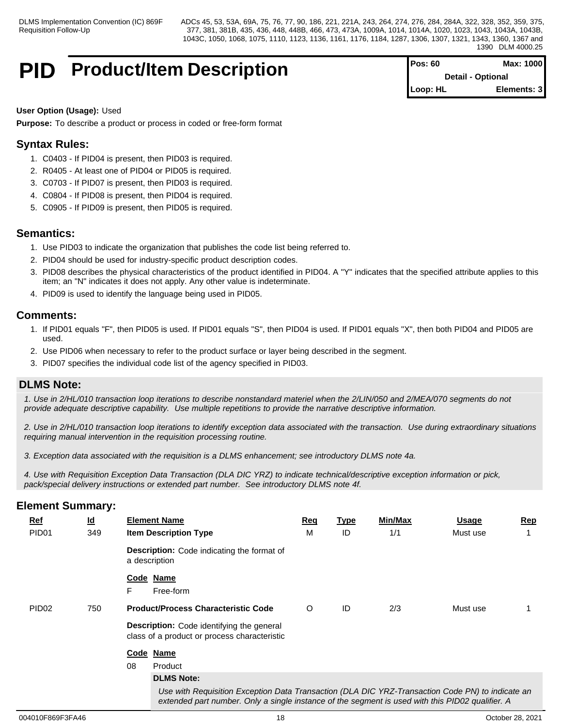# **PID** Product/Item Description

| <b>Pos: 60</b> | Max: 1000                |  |
|----------------|--------------------------|--|
|                | <b>Detail - Optional</b> |  |
| Loop: HL       | Elements: 3              |  |

## **User Option (Usage):** Used

**Purpose:** To describe a product or process in coded or free-form format

# **Syntax Rules:**

- 1. C0403 If PID04 is present, then PID03 is required.
- 2. R0405 At least one of PID04 or PID05 is required.
- 3. C0703 If PID07 is present, then PID03 is required.
- 4. C0804 If PID08 is present, then PID04 is required.
- 5. C0905 If PID09 is present, then PID05 is required.

# **Semantics:**

- 1. Use PID03 to indicate the organization that publishes the code list being referred to.
- 2. PID04 should be used for industry-specific product description codes.
- 3. PID08 describes the physical characteristics of the product identified in PID04. A "Y" indicates that the specified attribute applies to this item; an "N" indicates it does not apply. Any other value is indeterminate.
- 4. PID09 is used to identify the language being used in PID05.

# **Comments:**

- 1. If PID01 equals "F", then PID05 is used. If PID01 equals "S", then PID04 is used. If PID01 equals "X", then both PID04 and PID05 are used.
- 2. Use PID06 when necessary to refer to the product surface or layer being described in the segment.
- 3. PID07 specifies the individual code list of the agency specified in PID03.

# **DLMS Note:**

*1. Use in 2/HL/010 transaction loop iterations to describe nonstandard materiel when the 2/LIN/050 and 2/MEA/070 segments do not provide adequate descriptive capability. Use multiple repetitions to provide the narrative descriptive information.*

*2. Use in 2/HL/010 transaction loop iterations to identify exception data associated with the transaction. Use during extraordinary situations requiring manual intervention in the requisition processing routine.*

*3. Exception data associated with the requisition is a DLMS enhancement; see introductory DLMS note 4a.* 

*4. Use with Requisition Exception Data Transaction (DLA DIC YRZ) to indicate technical/descriptive exception information or pick, pack/special delivery instructions or extended part number. See introductory DLMS note 4f.*

| $Ref$             | $\underline{\mathsf{Id}}$ | <b>Element Name</b>                                                                                                                                                                                  | Req | <u>Type</u> | Min/Max | <b>Usage</b> | Rep |
|-------------------|---------------------------|------------------------------------------------------------------------------------------------------------------------------------------------------------------------------------------------------|-----|-------------|---------|--------------|-----|
| PID <sub>01</sub> | 349                       | <b>Item Description Type</b>                                                                                                                                                                         | M   | ID          | 1/1     | Must use     |     |
|                   |                           | <b>Description:</b> Code indicating the format of<br>a description                                                                                                                                   |     |             |         |              |     |
|                   |                           | Code Name<br>Free-form                                                                                                                                                                               |     |             |         |              |     |
| PID <sub>02</sub> | 750                       | <b>Product/Process Characteristic Code</b>                                                                                                                                                           | O   | ID          | 2/3     | Must use     |     |
|                   |                           | Description: Code identifying the general<br>class of a product or process characteristic                                                                                                            |     |             |         |              |     |
|                   |                           | Code Name                                                                                                                                                                                            |     |             |         |              |     |
|                   |                           | 08<br>Product                                                                                                                                                                                        |     |             |         |              |     |
|                   |                           | <b>DLMS Note:</b>                                                                                                                                                                                    |     |             |         |              |     |
|                   |                           | Use with Requisition Exception Data Transaction (DLA DIC YRZ-Transaction Code PN) to indicate an<br>extended part number. Only a single instance of the segment is used with this PID02 qualifier. A |     |             |         |              |     |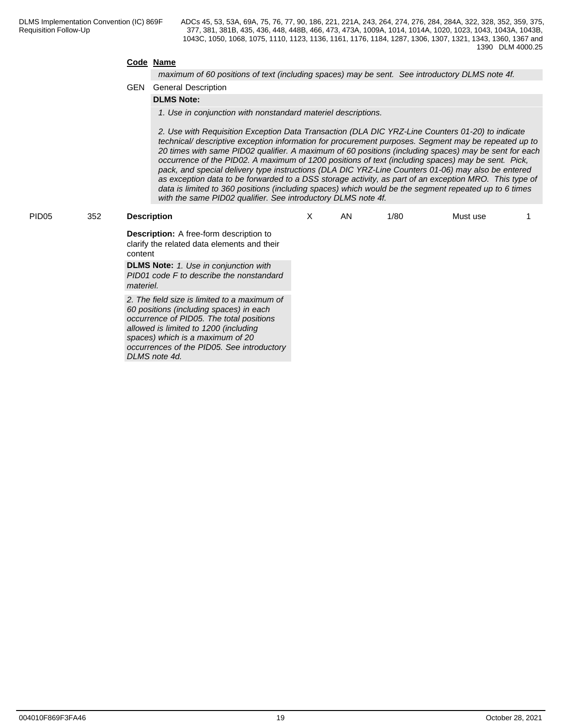## **Code Name**

*maximum of 60 positions of text (including spaces) may be sent. See introductory DLMS note 4f.*

# GEN General Description

# **DLMS Note:**

*1. Use in conjunction with nonstandard materiel descriptions.*

*2. Use with Requisition Exception Data Transaction (DLA DIC YRZ-Line Counters 01-20) to indicate technical/ descriptive exception information for procurement purposes. Segment may be repeated up to 20 times with same PID02 qualifier. A maximum of 60 positions (including spaces) may be sent for each occurrence of the PID02. A maximum of 1200 positions of text (including spaces) may be sent. Pick, pack, and special delivery type instructions (DLA DIC YRZ-Line Counters 01-06) may also be entered as exception data to be forwarded to a DSS storage activity, as part of an exception MRO. This type of data is limited to 360 positions (including spaces) which would be the segment repeated up to 6 times with the same PID02 qualifier. See introductory DLMS note 4f.*

## PID05 352 **Description**

X AN 1/80 Must use 1

**Description:** A free-form description to clarify the related data elements and their content

**DLMS Note:** *1. Use in conjunction with PID01 code F to describe the nonstandard materiel.*

*2. The field size is limited to a maximum of 60 positions (including spaces) in each occurrence of PID05. The total positions allowed is limited to 1200 (including spaces) which is a maximum of 20 occurrences of the PID05. See introductory DLMS note 4d.*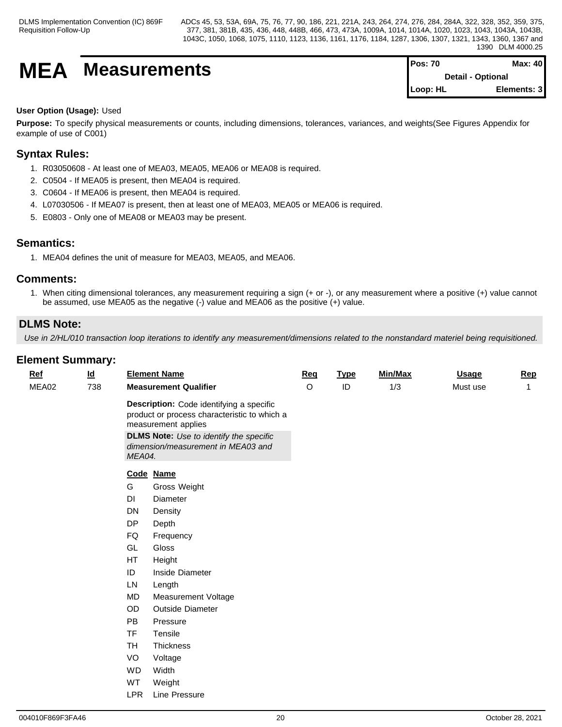# **MEA** Measurements

| IPos: 70                 | Max: $401$  |  |
|--------------------------|-------------|--|
| <b>Detail - Optional</b> |             |  |
| <b>ILoop: HL</b>         | Elements: 3 |  |

## **User Option (Usage):** Used

**Purpose:** To specify physical measurements or counts, including dimensions, tolerances, variances, and weights(See Figures Appendix for example of use of C001)

# **Syntax Rules:**

- 1. R03050608 At least one of MEA03, MEA05, MEA06 or MEA08 is required.
- 2. C0504 If MEA05 is present, then MEA04 is required.
- 3. C0604 If MEA06 is present, then MEA04 is required.
- 4. L07030506 If MEA07 is present, then at least one of MEA03, MEA05 or MEA06 is required.
- 5. E0803 Only one of MEA08 or MEA03 may be present.

# **Semantics:**

1. MEA04 defines the unit of measure for MEA03, MEA05, and MEA06.

## **Comments:**

1. When citing dimensional tolerances, any measurement requiring a sign (+ or -), or any measurement where a positive (+) value cannot be assumed, use MEA05 as the negative (-) value and MEA06 as the positive (+) value.

# **DLMS Note:**

*Use in 2/HL/010 transaction loop iterations to identify any measurement/dimensions related to the nonstandard materiel being requisitioned.*

| $Ref$ | $\underline{\mathsf{Id}}$ |            | <b>Element Name</b>                                                                                                                                                                                     | <b>Req</b> | <b>Type</b> | Min/Max | <b>Usage</b> | Rep          |
|-------|---------------------------|------------|---------------------------------------------------------------------------------------------------------------------------------------------------------------------------------------------------------|------------|-------------|---------|--------------|--------------|
| MEA02 | 738                       |            | <b>Measurement Qualifier</b>                                                                                                                                                                            | O          | $\sf ID$    | 1/3     | Must use     | $\mathbf{1}$ |
|       |                           | MEA04.     | Description: Code identifying a specific<br>product or process characteristic to which a<br>measurement applies<br><b>DLMS Note:</b> Use to identify the specific<br>dimension/measurement in MEA03 and |            |             |         |              |              |
|       |                           |            | Code Name                                                                                                                                                                                               |            |             |         |              |              |
|       |                           | G          | Gross Weight                                                                                                                                                                                            |            |             |         |              |              |
|       |                           | DI         | Diameter                                                                                                                                                                                                |            |             |         |              |              |
|       |                           | DN         | Density                                                                                                                                                                                                 |            |             |         |              |              |
|       |                           | DP         | Depth                                                                                                                                                                                                   |            |             |         |              |              |
|       |                           | FQ         | Frequency                                                                                                                                                                                               |            |             |         |              |              |
|       |                           | GL         | Gloss                                                                                                                                                                                                   |            |             |         |              |              |
|       |                           | HT         | Height                                                                                                                                                                                                  |            |             |         |              |              |
|       |                           | ID         | Inside Diameter                                                                                                                                                                                         |            |             |         |              |              |
|       |                           | LN         | Length                                                                                                                                                                                                  |            |             |         |              |              |
|       |                           | <b>MD</b>  | Measurement Voltage                                                                                                                                                                                     |            |             |         |              |              |
|       |                           | OD         | Outside Diameter                                                                                                                                                                                        |            |             |         |              |              |
|       |                           | <b>PB</b>  | Pressure                                                                                                                                                                                                |            |             |         |              |              |
|       |                           | <b>TF</b>  | Tensile                                                                                                                                                                                                 |            |             |         |              |              |
|       |                           | <b>TH</b>  | Thickness                                                                                                                                                                                               |            |             |         |              |              |
|       |                           | VO         | Voltage                                                                                                                                                                                                 |            |             |         |              |              |
|       |                           | <b>WD</b>  | Width                                                                                                                                                                                                   |            |             |         |              |              |
|       |                           | WT         | Weight                                                                                                                                                                                                  |            |             |         |              |              |
|       |                           | <b>LPR</b> | Line Pressure                                                                                                                                                                                           |            |             |         |              |              |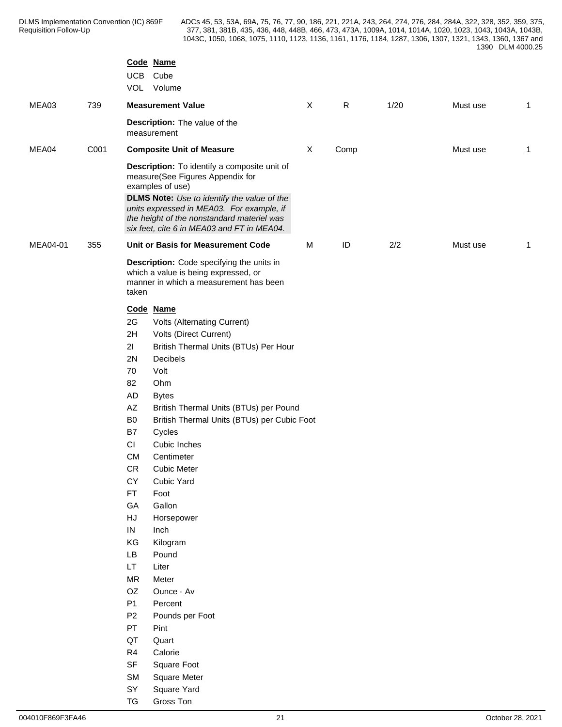|          |      | UCB                     | Code Name<br>Cube<br>VOL Volume                                                                                                                                                                                                                                                              |   |           |      |          |                |
|----------|------|-------------------------|----------------------------------------------------------------------------------------------------------------------------------------------------------------------------------------------------------------------------------------------------------------------------------------------|---|-----------|------|----------|----------------|
| MEA03    | 739  |                         | <b>Measurement Value</b>                                                                                                                                                                                                                                                                     | X | ${\sf R}$ | 1/20 | Must use | $\overline{1}$ |
|          |      |                         | Description: The value of the<br>measurement                                                                                                                                                                                                                                                 |   |           |      |          |                |
| MEA04    | C001 |                         | <b>Composite Unit of Measure</b>                                                                                                                                                                                                                                                             | X | Comp      |      | Must use | $\overline{1}$ |
|          |      |                         | Description: To identify a composite unit of<br>measure(See Figures Appendix for<br>examples of use)<br>DLMS Note: Use to identify the value of the<br>units expressed in MEA03. For example, if<br>the height of the nonstandard materiel was<br>six feet, cite 6 in MEA03 and FT in MEA04. |   |           |      |          |                |
| MEA04-01 | 355  |                         | Unit or Basis for Measurement Code                                                                                                                                                                                                                                                           | М | $\sf ID$  | 2/2  | Must use | $\overline{1}$ |
|          |      | taken                   | Description: Code specifying the units in<br>which a value is being expressed, or<br>manner in which a measurement has been                                                                                                                                                                  |   |           |      |          |                |
|          |      |                         | Code Name                                                                                                                                                                                                                                                                                    |   |           |      |          |                |
|          |      | 2G                      | Volts (Alternating Current)                                                                                                                                                                                                                                                                  |   |           |      |          |                |
|          |      | 2H                      | Volts (Direct Current)                                                                                                                                                                                                                                                                       |   |           |      |          |                |
|          |      | 21                      | British Thermal Units (BTUs) Per Hour                                                                                                                                                                                                                                                        |   |           |      |          |                |
|          |      | 2N                      | Decibels                                                                                                                                                                                                                                                                                     |   |           |      |          |                |
|          |      | 70                      | Volt                                                                                                                                                                                                                                                                                         |   |           |      |          |                |
|          |      | 82                      | Ohm                                                                                                                                                                                                                                                                                          |   |           |      |          |                |
|          |      | <b>AD</b>               | <b>Bytes</b>                                                                                                                                                                                                                                                                                 |   |           |      |          |                |
|          |      | $\mathsf{A}\mathsf{Z}$  | British Thermal Units (BTUs) per Pound                                                                                                                                                                                                                                                       |   |           |      |          |                |
|          |      | B <sub>0</sub>          | British Thermal Units (BTUs) per Cubic Foot                                                                                                                                                                                                                                                  |   |           |      |          |                |
|          |      | B7                      | Cycles                                                                                                                                                                                                                                                                                       |   |           |      |          |                |
|          |      | CI                      | Cubic Inches                                                                                                                                                                                                                                                                                 |   |           |      |          |                |
|          |      | <b>CM</b><br>${\sf CR}$ | Centimeter<br><b>Cubic Meter</b>                                                                                                                                                                                                                                                             |   |           |      |          |                |
|          |      | CY                      | Cubic Yard                                                                                                                                                                                                                                                                                   |   |           |      |          |                |
|          |      | FT                      | Foot                                                                                                                                                                                                                                                                                         |   |           |      |          |                |
|          |      | GA                      | Gallon                                                                                                                                                                                                                                                                                       |   |           |      |          |                |
|          |      | $\mathsf{H}\mathsf{J}$  | Horsepower                                                                                                                                                                                                                                                                                   |   |           |      |          |                |
|          |      | IN                      | Inch                                                                                                                                                                                                                                                                                         |   |           |      |          |                |
|          |      | KG                      | Kilogram                                                                                                                                                                                                                                                                                     |   |           |      |          |                |
|          |      | LB                      | Pound                                                                                                                                                                                                                                                                                        |   |           |      |          |                |
|          |      | LT.                     | Liter                                                                                                                                                                                                                                                                                        |   |           |      |          |                |
|          |      | <b>MR</b>               | Meter                                                                                                                                                                                                                                                                                        |   |           |      |          |                |
|          |      | OZ                      | Ounce - Av                                                                                                                                                                                                                                                                                   |   |           |      |          |                |
|          |      | <b>P1</b>               | Percent                                                                                                                                                                                                                                                                                      |   |           |      |          |                |
|          |      | P2                      | Pounds per Foot                                                                                                                                                                                                                                                                              |   |           |      |          |                |
|          |      | PT                      | Pint                                                                                                                                                                                                                                                                                         |   |           |      |          |                |
|          |      | QT                      | Quart                                                                                                                                                                                                                                                                                        |   |           |      |          |                |
|          |      | R <sub>4</sub>          | Calorie                                                                                                                                                                                                                                                                                      |   |           |      |          |                |
|          |      | <b>SF</b>               | Square Foot                                                                                                                                                                                                                                                                                  |   |           |      |          |                |
|          |      | SM                      | Square Meter                                                                                                                                                                                                                                                                                 |   |           |      |          |                |
|          |      | SY                      | Square Yard                                                                                                                                                                                                                                                                                  |   |           |      |          |                |

TG Gross Ton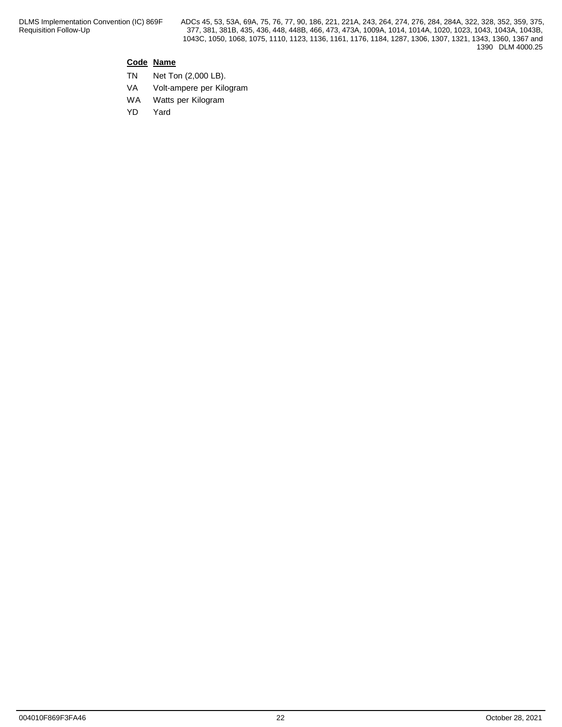## **Code Name**

- TN Net Ton (2,000 LB).
- VA Volt-ampere per Kilogram
- WA Watts per Kilogram
- YD Yard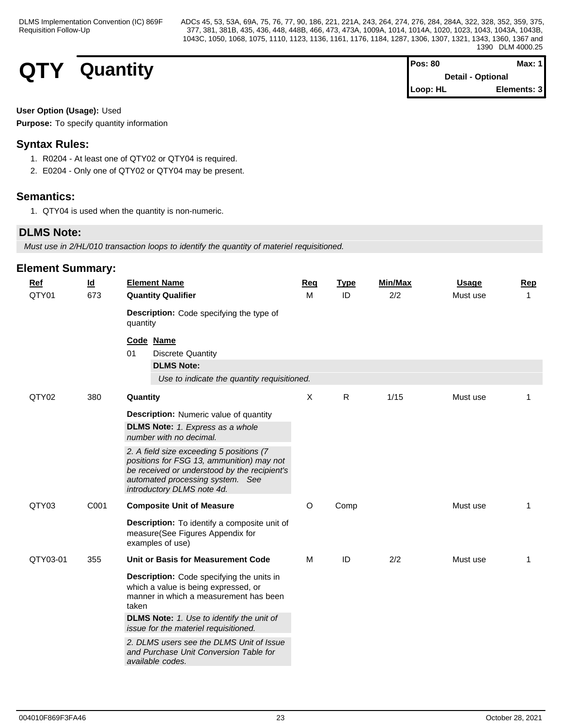# **QTY Quantity**

| $Proof 12.5 Proof 12.5 12.5 12.5 12.5 12.5 12.5 12.5 12.5 12.5 12.5 12.5 12.5 12.5 12.5 12.5 12.5 12.5 12.5 12.5 12.5$ | Max: 1 I    |
|------------------------------------------------------------------------------------------------------------------------|-------------|
| <b>Detail - Optional</b>                                                                                               |             |
| Loop: HL                                                                                                               | Elements: 3 |

## **User Option (Usage):** Used

**Purpose:** To specify quantity information

# **Syntax Rules:**

- 1. R0204 At least one of QTY02 or QTY04 is required.
- 2. E0204 Only one of QTY02 or QTY04 may be present.

# **Semantics:**

1. QTY04 is used when the quantity is non-numeric.

# **DLMS Note:**

*Must use in 2/HL/010 transaction loops to identify the quantity of materiel requisitioned.*

| $Ref$    | $\underline{\mathsf{Id}}$ | <b>Element Name</b>                                                                                                                                                                                     | Req     | <b>Type</b>  | Min/Max | <b>Usage</b> | Rep         |
|----------|---------------------------|---------------------------------------------------------------------------------------------------------------------------------------------------------------------------------------------------------|---------|--------------|---------|--------------|-------------|
| QTY01    | 673                       | <b>Quantity Qualifier</b><br>Description: Code specifying the type of                                                                                                                                   | M       | ID           | 2/2     | Must use     | $\mathbf 1$ |
|          |                           | quantity                                                                                                                                                                                                |         |              |         |              |             |
|          |                           | Code Name<br>01<br><b>Discrete Quantity</b>                                                                                                                                                             |         |              |         |              |             |
|          |                           | <b>DLMS Note:</b><br>Use to indicate the quantity requisitioned.                                                                                                                                        |         |              |         |              |             |
| QTY02    | 380                       | Quantity                                                                                                                                                                                                | X       | $\mathsf{R}$ | 1/15    | Must use     | 1           |
|          |                           | <b>Description:</b> Numeric value of quantity<br>DLMS Note: 1. Express as a whole<br>number with no decimal.                                                                                            |         |              |         |              |             |
|          |                           | 2. A field size exceeding 5 positions (7<br>positions for FSG 13, ammunition) may not<br>be received or understood by the recipient's<br>automated processing system. See<br>introductory DLMS note 4d. |         |              |         |              |             |
| QTY03    | C001                      | <b>Composite Unit of Measure</b>                                                                                                                                                                        | $\circ$ | Comp         |         | Must use     | $\mathbf 1$ |
|          |                           | Description: To identify a composite unit of<br>measure(See Figures Appendix for<br>examples of use)                                                                                                    |         |              |         |              |             |
| QTY03-01 | 355                       | Unit or Basis for Measurement Code                                                                                                                                                                      | M       | ID           | 2/2     | Must use     | 1           |
|          |                           | Description: Code specifying the units in<br>which a value is being expressed, or<br>manner in which a measurement has been<br>taken                                                                    |         |              |         |              |             |
|          |                           | <b>DLMS Note:</b> 1. Use to identify the unit of<br>issue for the materiel requisitioned.                                                                                                               |         |              |         |              |             |
|          |                           | 2. DLMS users see the DLMS Unit of Issue<br>and Purchase Unit Conversion Table for<br>available codes.                                                                                                  |         |              |         |              |             |
|          |                           |                                                                                                                                                                                                         |         |              |         |              |             |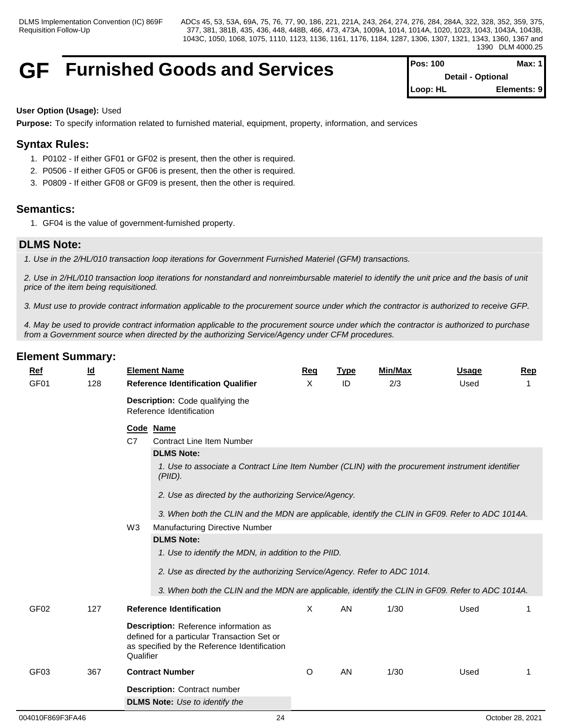# **GF Furnished Goods and Services Pos: 100 Max: 1**

| $Pos: 100$               | Max: $1$    |  |
|--------------------------|-------------|--|
| <b>Detail - Optional</b> |             |  |
| $\mathsf{Loop: HL}$      | Elements: 9 |  |

## **User Option (Usage):** Used

**Purpose:** To specify information related to furnished material, equipment, property, information, and services

# **Syntax Rules:**

- 1. P0102 If either GF01 or GF02 is present, then the other is required.
- 2. P0506 If either GF05 or GF06 is present, then the other is required.
- 3. P0809 If either GF08 or GF09 is present, then the other is required.

# **Semantics:**

1. GF04 is the value of government-furnished property.

# **DLMS Note:**

*1. Use in the 2/HL/010 transaction loop iterations for Government Furnished Materiel (GFM) transactions.* 

*2. Use in 2/HL/010 transaction loop iterations for nonstandard and nonreimbursable materiel to identify the unit price and the basis of unit price of the item being requisitioned.*

*3. Must use to provide contract information applicable to the procurement source under which the contractor is authorized to receive GFP.* 

*4. May be used to provide contract information applicable to the procurement source under which the contractor is authorized to purchase from a Government source when directed by the authorizing Service/Agency under CFM procedures.*

| Ref              | $\underline{\mathsf{Id}}$ | <b>Element Name</b>                                                                                                                                      | <b>Reg</b> | <b>Type</b> | <b>Min/Max</b> | <b>Usage</b> | <b>Rep</b>  |
|------------------|---------------------------|----------------------------------------------------------------------------------------------------------------------------------------------------------|------------|-------------|----------------|--------------|-------------|
| GF <sub>01</sub> | 128                       | <b>Reference Identification Qualifier</b>                                                                                                                | X          | ID          | 2/3            | Used         |             |
|                  |                           | <b>Description:</b> Code qualifying the<br>Reference Identification                                                                                      |            |             |                |              |             |
|                  |                           | Code Name                                                                                                                                                |            |             |                |              |             |
|                  |                           | C7<br><b>Contract Line Item Number</b>                                                                                                                   |            |             |                |              |             |
|                  |                           | <b>DLMS Note:</b>                                                                                                                                        |            |             |                |              |             |
|                  |                           | 1. Use to associate a Contract Line Item Number (CLIN) with the procurement instrument identifier<br>$(PIID)$ .                                          |            |             |                |              |             |
|                  |                           | 2. Use as directed by the authorizing Service/Agency.                                                                                                    |            |             |                |              |             |
|                  |                           | 3. When both the CLIN and the MDN are applicable, identify the CLIN in GF09. Refer to ADC 1014A.                                                         |            |             |                |              |             |
|                  |                           | W <sub>3</sub><br>Manufacturing Directive Number                                                                                                         |            |             |                |              |             |
|                  |                           | <b>DLMS Note:</b>                                                                                                                                        |            |             |                |              |             |
|                  |                           | 1. Use to identify the MDN, in addition to the PIID.                                                                                                     |            |             |                |              |             |
|                  |                           | 2. Use as directed by the authorizing Service/Agency. Refer to ADC 1014.                                                                                 |            |             |                |              |             |
|                  |                           |                                                                                                                                                          |            |             |                |              |             |
|                  |                           | 3. When both the CLIN and the MDN are applicable, identify the CLIN in GF09. Refer to ADC 1014A.                                                         |            |             |                |              |             |
| GF <sub>02</sub> | 127                       | <b>Reference Identification</b>                                                                                                                          | $\times$   | AN          | 1/30           | Used         | $\mathbf 1$ |
|                  |                           | <b>Description:</b> Reference information as<br>defined for a particular Transaction Set or<br>as specified by the Reference Identification<br>Qualifier |            |             |                |              |             |
| GF <sub>03</sub> | 367                       | <b>Contract Number</b>                                                                                                                                   | O          | AN          | 1/30           | Used         | 1           |
|                  |                           | <b>Description: Contract number</b>                                                                                                                      |            |             |                |              |             |
|                  |                           | <b>DLMS Note:</b> Use to identify the                                                                                                                    |            |             |                |              |             |
|                  |                           |                                                                                                                                                          |            |             |                |              |             |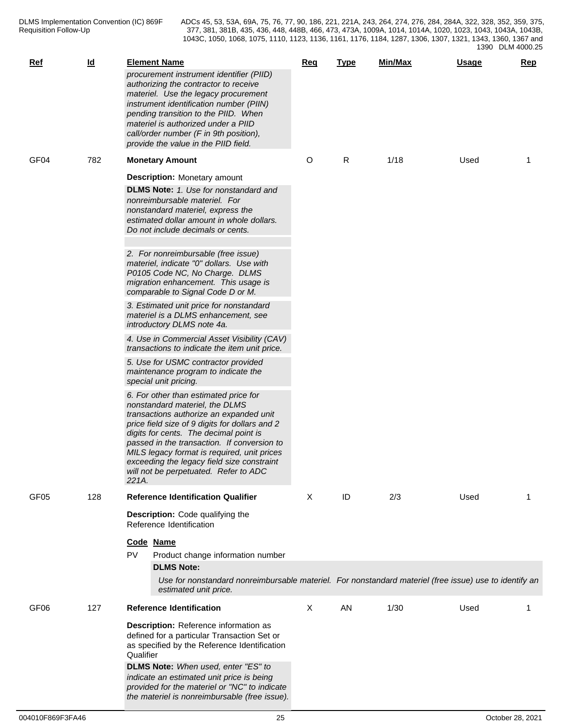| $Ref$            | <u>ld</u> | <b>Element Name</b><br>procurement instrument identifier (PIID)<br>authorizing the contractor to receive<br>materiel. Use the legacy procurement<br>instrument identification number (PIIN)<br>pending transition to the PIID. When<br>materiel is authorized under a PIID<br>call/order number (F in 9th position),<br>provide the value in the PIID field.                                                 | <u>Req</u> | <b>Type</b> | Min/Max | <b>Usage</b> | Rep |
|------------------|-----------|--------------------------------------------------------------------------------------------------------------------------------------------------------------------------------------------------------------------------------------------------------------------------------------------------------------------------------------------------------------------------------------------------------------|------------|-------------|---------|--------------|-----|
| GF <sub>04</sub> | 782       | <b>Monetary Amount</b>                                                                                                                                                                                                                                                                                                                                                                                       | O          | R           | 1/18    | Used         | -1  |
|                  |           | <b>Description:</b> Monetary amount<br><b>DLMS Note:</b> 1. Use for nonstandard and<br>nonreimbursable materiel. For<br>nonstandard materiel, express the<br>estimated dollar amount in whole dollars.<br>Do not include decimals or cents.<br>2. For nonreimbursable (free issue)<br>materiel, indicate "0" dollars. Use with<br>P0105 Code NC, No Charge. DLMS<br>migration enhancement. This usage is     |            |             |         |              |     |
|                  |           | comparable to Signal Code D or M.<br>3. Estimated unit price for nonstandard<br>materiel is a DLMS enhancement, see                                                                                                                                                                                                                                                                                          |            |             |         |              |     |
|                  |           | introductory DLMS note 4a.<br>4. Use in Commercial Asset Visibility (CAV)                                                                                                                                                                                                                                                                                                                                    |            |             |         |              |     |
|                  |           | transactions to indicate the item unit price.<br>5. Use for USMC contractor provided                                                                                                                                                                                                                                                                                                                         |            |             |         |              |     |
|                  |           | maintenance program to indicate the<br>special unit pricing.                                                                                                                                                                                                                                                                                                                                                 |            |             |         |              |     |
|                  |           | 6. For other than estimated price for<br>nonstandard materiel, the DLMS<br>transactions authorize an expanded unit<br>price field size of 9 digits for dollars and 2<br>digits for cents. The decimal point is<br>passed in the transaction. If conversion to<br>MILS legacy format is required, unit prices<br>exceeding the legacy field size constraint<br>will not be perpetuated. Refer to ADC<br>221A. |            |             |         |              |     |
| GF <sub>05</sub> | 128       | <b>Reference Identification Qualifier</b>                                                                                                                                                                                                                                                                                                                                                                    | X          | ID          | 2/3     | Used         | -1  |
|                  |           | Description: Code qualifying the<br>Reference Identification<br>Code Name<br>PV<br>Product change information number<br><b>DLMS Note:</b>                                                                                                                                                                                                                                                                    |            |             |         |              |     |
|                  |           | Use for nonstandard nonreimbursable materiel. For nonstandard materiel (free issue) use to identify an<br>estimated unit price.                                                                                                                                                                                                                                                                              |            |             |         |              |     |
| GF <sub>06</sub> | 127       | <b>Reference Identification</b>                                                                                                                                                                                                                                                                                                                                                                              | X          | AN          | 1/30    | Used         |     |
|                  |           | Description: Reference information as<br>defined for a particular Transaction Set or<br>as specified by the Reference Identification<br>Qualifier<br>DLMS Note: When used, enter "ES" to<br>indicate an estimated unit price is being<br>provided for the materiel or "NC" to indicate<br>the materiel is nonreimbursable (free issue).                                                                      |            |             |         |              |     |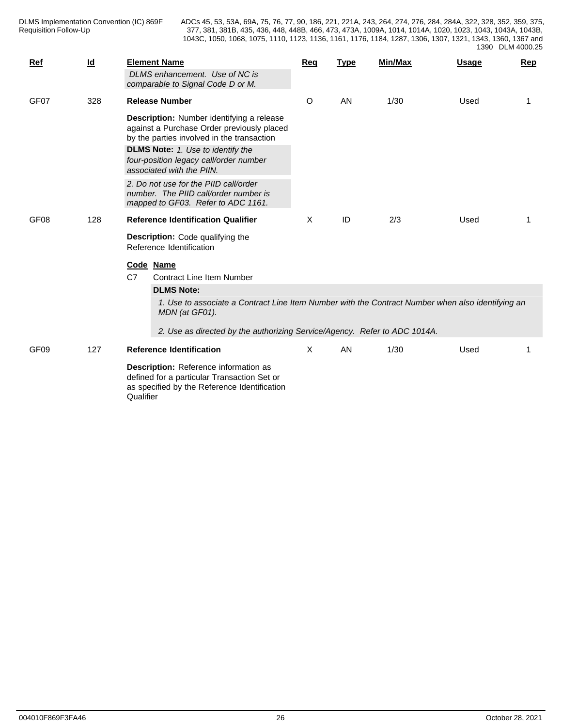| Ref              | $\underline{\mathsf{Id}}$ | <b>Element Name</b><br>DLMS enhancement. Use of NC is<br>comparable to Signal Code D or M.                                                                                                                                                                                                                                                                                | <b>Req</b> | <b>Type</b> | Min/Max | Usage | Rep |
|------------------|---------------------------|---------------------------------------------------------------------------------------------------------------------------------------------------------------------------------------------------------------------------------------------------------------------------------------------------------------------------------------------------------------------------|------------|-------------|---------|-------|-----|
| GF07             | 328                       | <b>Release Number</b>                                                                                                                                                                                                                                                                                                                                                     | O          | AN          | 1/30    | Used  | 1   |
|                  |                           | Description: Number identifying a release<br>against a Purchase Order previously placed<br>by the parties involved in the transaction<br>DLMS Note: 1. Use to identify the<br>four-position legacy call/order number<br>associated with the PIIN.<br>2. Do not use for the PIID call/order<br>number. The PIID call/order number is<br>mapped to GF03. Refer to ADC 1161. |            |             |         |       |     |
| GF <sub>08</sub> | 128                       | <b>Reference Identification Qualifier</b>                                                                                                                                                                                                                                                                                                                                 | X          | ID          | 2/3     | Used  | 1   |
|                  |                           | Description: Code qualifying the<br>Reference Identification<br>Code Name<br>C7<br><b>Contract Line Item Number</b>                                                                                                                                                                                                                                                       |            |             |         |       |     |
|                  |                           | <b>DLMS Note:</b>                                                                                                                                                                                                                                                                                                                                                         |            |             |         |       |     |
|                  |                           | 1. Use to associate a Contract Line Item Number with the Contract Number when also identifying an<br>MDN (at GF01).<br>2. Use as directed by the authorizing Service/Agency. Refer to ADC 1014A.                                                                                                                                                                          |            |             |         |       |     |
| GF <sub>09</sub> | 127                       | <b>Reference Identification</b>                                                                                                                                                                                                                                                                                                                                           | X          | AN          | 1/30    | Used  | 1   |
|                  |                           |                                                                                                                                                                                                                                                                                                                                                                           |            |             |         |       |     |
|                  |                           | Description: Reference information as<br>defined for a particular Transaction Set or<br>as specified by the Reference Identification<br>Qualifier                                                                                                                                                                                                                         |            |             |         |       |     |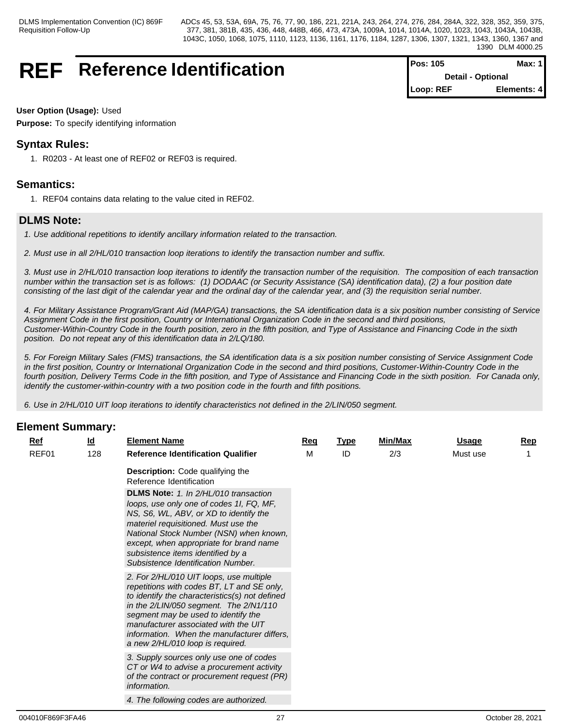# **REF** Reference Identification

| <b>I</b> Pos: 105 | Max: $1$                 |
|-------------------|--------------------------|
|                   | <b>Detail - Optional</b> |
| Loop: REF         | Elements: 4              |

## **User Option (Usage):** Used

**Purpose:** To specify identifying information

# **Syntax Rules:**

1. R0203 - At least one of REF02 or REF03 is required.

# **Semantics:**

1. REF04 contains data relating to the value cited in REF02.

# **DLMS Note:**

- *1. Use additional repetitions to identify ancillary information related to the transaction.*
- *2. Must use in all 2/HL/010 transaction loop iterations to identify the transaction number and suffix.*

*3. Must use in 2/HL/010 transaction loop iterations to identify the transaction number of the requisition. The composition of each transaction number within the transaction set is as follows: (1) DODAAC (or Security Assistance (SA) identification data), (2) a four position date consisting of the last digit of the calendar year and the ordinal day of the calendar year, and (3) the requisition serial number.*

*4. For Military Assistance Program/Grant Aid (MAP/GA) transactions, the SA identification data is a six position number consisting of Service Assignment Code in the first position, Country or International Organization Code in the second and third positions, Customer-Within-Country Code in the fourth position, zero in the fifth position, and Type of Assistance and Financing Code in the sixth position. Do not repeat any of this identification data in 2/LQ/180.*

*5. For Foreign Military Sales (FMS) transactions, the SA identification data is a six position number consisting of Service Assignment Code in the first position, Country or International Organization Code in the second and third positions, Customer-Within-Country Code in the fourth position, Delivery Terms Code in the fifth position, and Type of Assistance and Financing Code in the sixth position. For Canada only, identify the customer-within-country with a two position code in the fourth and fifth positions.*

*6. Use in 2/HL/010 UIT loop iterations to identify characteristics not defined in the 2/LIN/050 segment.*

| $Ref$ | $\underline{\mathsf{Id}}$ | <b>Element Name</b>                                                                                                                                                                                                                                                                                                                                 | Req | <b>Type</b> | Min/Max | <u>Usage</u> | <b>Rep</b> |
|-------|---------------------------|-----------------------------------------------------------------------------------------------------------------------------------------------------------------------------------------------------------------------------------------------------------------------------------------------------------------------------------------------------|-----|-------------|---------|--------------|------------|
| REF01 | 128                       | <b>Reference Identification Qualifier</b>                                                                                                                                                                                                                                                                                                           | M   | ID          | 2/3     | Must use     |            |
|       |                           | Description: Code qualifying the<br>Reference Identification                                                                                                                                                                                                                                                                                        |     |             |         |              |            |
|       |                           | <b>DLMS Note:</b> 1. In 2/HL/010 transaction<br>loops, use only one of codes 1I, FQ, MF,<br>NS, S6, WL, ABV, or XD to identify the<br>materiel requisitioned. Must use the<br>National Stock Number (NSN) when known,<br>except, when appropriate for brand name<br>subsistence items identified by a<br>Subsistence Identification Number.         |     |             |         |              |            |
|       |                           | 2. For 2/HL/010 UIT loops, use multiple<br>repetitions with codes BT, LT and SE only,<br>to identify the characteristics(s) not defined<br>in the 2/LIN/050 segment. The 2/N1/110<br>segment may be used to identify the<br>manufacturer associated with the UIT<br>information. When the manufacturer differs,<br>a new 2/HL/010 loop is required. |     |             |         |              |            |
|       |                           | 3. Supply sources only use one of codes<br>CT or W4 to advise a procurement activity<br>of the contract or procurement request (PR)<br>information.                                                                                                                                                                                                 |     |             |         |              |            |
|       |                           | 4. The following codes are authorized.                                                                                                                                                                                                                                                                                                              |     |             |         |              |            |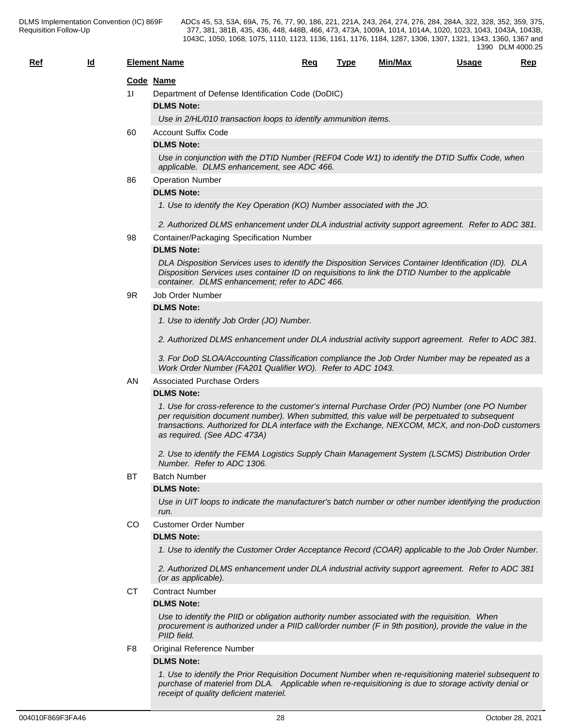| <b>Ref</b> | <u>ld</u> |                | <b>Element Name</b>                                                                                                                                                                                                                                                                                                                  | Req | <b>Type</b> | Min/Max | <b>Usage</b> | Rep |
|------------|-----------|----------------|--------------------------------------------------------------------------------------------------------------------------------------------------------------------------------------------------------------------------------------------------------------------------------------------------------------------------------------|-----|-------------|---------|--------------|-----|
|            |           | 11             | Code Name<br>Department of Defense Identification Code (DoDIC)                                                                                                                                                                                                                                                                       |     |             |         |              |     |
|            |           |                | <b>DLMS Note:</b>                                                                                                                                                                                                                                                                                                                    |     |             |         |              |     |
|            |           |                | Use in 2/HL/010 transaction loops to identify ammunition items.                                                                                                                                                                                                                                                                      |     |             |         |              |     |
|            |           | 60             | <b>Account Suffix Code</b><br><b>DLMS Note:</b>                                                                                                                                                                                                                                                                                      |     |             |         |              |     |
|            |           |                | Use in conjunction with the DTID Number (REF04 Code W1) to identify the DTID Suffix Code, when<br>applicable. DLMS enhancement, see ADC 466.                                                                                                                                                                                         |     |             |         |              |     |
|            |           | 86             | <b>Operation Number</b>                                                                                                                                                                                                                                                                                                              |     |             |         |              |     |
|            |           |                | <b>DLMS Note:</b>                                                                                                                                                                                                                                                                                                                    |     |             |         |              |     |
|            |           |                | 1. Use to identify the Key Operation (KO) Number associated with the JO.                                                                                                                                                                                                                                                             |     |             |         |              |     |
|            |           |                | 2. Authorized DLMS enhancement under DLA industrial activity support agreement. Refer to ADC 381.                                                                                                                                                                                                                                    |     |             |         |              |     |
|            |           | 98             | Container/Packaging Specification Number                                                                                                                                                                                                                                                                                             |     |             |         |              |     |
|            |           |                | <b>DLMS Note:</b>                                                                                                                                                                                                                                                                                                                    |     |             |         |              |     |
|            |           |                | DLA Disposition Services uses to identify the Disposition Services Container Identification (ID). DLA<br>Disposition Services uses container ID on requisitions to link the DTID Number to the applicable<br>container. DLMS enhancement; refer to ADC 466.                                                                          |     |             |         |              |     |
|            |           | 9R.            | Job Order Number                                                                                                                                                                                                                                                                                                                     |     |             |         |              |     |
|            |           |                | <b>DLMS Note:</b>                                                                                                                                                                                                                                                                                                                    |     |             |         |              |     |
|            |           |                | 1. Use to identify Job Order (JO) Number.                                                                                                                                                                                                                                                                                            |     |             |         |              |     |
|            |           |                | 2. Authorized DLMS enhancement under DLA industrial activity support agreement. Refer to ADC 381.                                                                                                                                                                                                                                    |     |             |         |              |     |
|            |           |                | 3. For DoD SLOA/Accounting Classification compliance the Job Order Number may be repeated as a<br>Work Order Number (FA201 Qualifier WO). Refer to ADC 1043.                                                                                                                                                                         |     |             |         |              |     |
|            |           | AN             | <b>Associated Purchase Orders</b>                                                                                                                                                                                                                                                                                                    |     |             |         |              |     |
|            |           |                | <b>DLMS Note:</b>                                                                                                                                                                                                                                                                                                                    |     |             |         |              |     |
|            |           |                | 1. Use for cross-reference to the customer's internal Purchase Order (PO) Number (one PO Number<br>per requisition document number). When submitted, this value will be perpetuated to subsequent<br>transactions. Authorized for DLA interface with the Exchange, NEXCOM, MCX, and non-DoD customers<br>as required. (See ADC 473A) |     |             |         |              |     |
|            |           |                | 2. Use to identify the FEMA Logistics Supply Chain Management System (LSCMS) Distribution Order<br>Number. Refer to ADC 1306.                                                                                                                                                                                                        |     |             |         |              |     |
|            |           | ВT             | <b>Batch Number</b>                                                                                                                                                                                                                                                                                                                  |     |             |         |              |     |
|            |           |                | <b>DLMS Note:</b>                                                                                                                                                                                                                                                                                                                    |     |             |         |              |     |
|            |           |                | Use in UIT loops to indicate the manufacturer's batch number or other number identifying the production<br>run.                                                                                                                                                                                                                      |     |             |         |              |     |
|            |           | CO.            | <b>Customer Order Number</b>                                                                                                                                                                                                                                                                                                         |     |             |         |              |     |
|            |           |                | <b>DLMS Note:</b>                                                                                                                                                                                                                                                                                                                    |     |             |         |              |     |
|            |           |                | 1. Use to identify the Customer Order Acceptance Record (COAR) applicable to the Job Order Number.                                                                                                                                                                                                                                   |     |             |         |              |     |
|            |           |                | 2. Authorized DLMS enhancement under DLA industrial activity support agreement. Refer to ADC 381<br>(or as applicable).                                                                                                                                                                                                              |     |             |         |              |     |
|            |           | СT             | <b>Contract Number</b>                                                                                                                                                                                                                                                                                                               |     |             |         |              |     |
|            |           |                | <b>DLMS Note:</b>                                                                                                                                                                                                                                                                                                                    |     |             |         |              |     |
|            |           |                | Use to identify the PIID or obligation authority number associated with the requisition. When<br>procurement is authorized under a PIID call/order number (F in 9th position), provide the value in the<br>PIID field.                                                                                                               |     |             |         |              |     |
|            |           | F <sub>8</sub> | Original Reference Number                                                                                                                                                                                                                                                                                                            |     |             |         |              |     |
|            |           |                |                                                                                                                                                                                                                                                                                                                                      |     |             |         |              |     |

## **DLMS Note:**

*1. Use to identify the Prior Requisition Document Number when re-requisitioning materiel subsequent to purchase of materiel from DLA. Applicable when re-requisitioning is due to storage activity denial or receipt of quality deficient materiel.*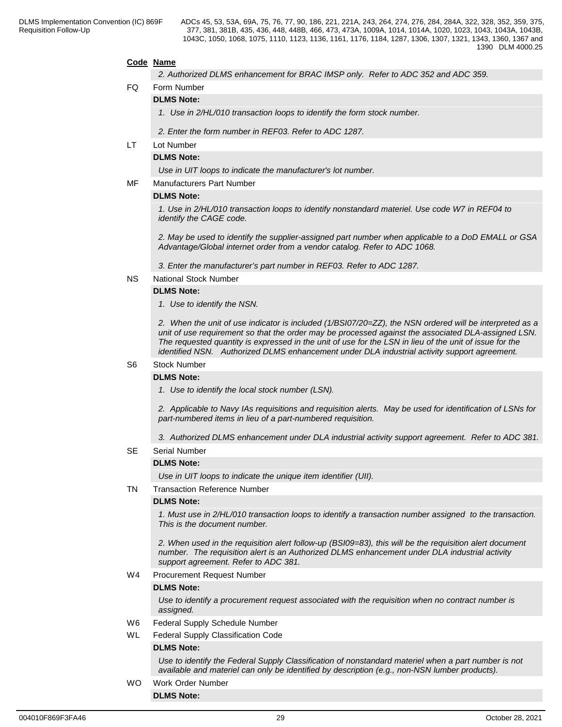## **Code Name**

*2. Authorized DLMS enhancement for BRAC IMSP only. Refer to ADC 352 and ADC 359.*

### FQ Form Number

## **DLMS Note:**

*1. Use in 2/HL/010 transaction loops to identify the form stock number.*

*2. Enter the form number in REF03. Refer to ADC 1287.*

LT Lot Number

## **DLMS Note:**

*Use in UIT loops to indicate the manufacturer's lot number.*

MF Manufacturers Part Number

### **DLMS Note:**

*1. Use in 2/HL/010 transaction loops to identify nonstandard materiel. Use code W7 in REF04 to identify the CAGE code.*

*2. May be used to identify the supplier-assigned part number when applicable to a DoD EMALL or GSA Advantage/Global internet order from a vendor catalog. Refer to ADC 1068.*

*3. Enter the manufacturer's part number in REF03. Refer to ADC 1287.*

NS National Stock Number

### **DLMS Note:**

*1. Use to identify the NSN.* 

*2. When the unit of use indicator is included (1/BSI07/20=ZZ), the NSN ordered will be interpreted as a unit of use requirement so that the order may be processed against the associated DLA-assigned LSN. The requested quantity is expressed in the unit of use for the LSN in lieu of the unit of issue for the identified NSN. Authorized DLMS enhancement under DLA industrial activity support agreement.*

## S6 Stock Number

## **DLMS Note:**

*1. Use to identify the local stock number (LSN).* 

*2. Applicable to Navy IAs requisitions and requisition alerts. May be used for identification of LSNs for part-numbered items in lieu of a part-numbered requisition.*

*3. Authorized DLMS enhancement under DLA industrial activity support agreement. Refer to ADC 381.*

### SE Serial Number

### **DLMS Note:**

*Use in UIT loops to indicate the unique item identifier (UII).*

### TN Transaction Reference Number

### **DLMS Note:**

*1. Must use in 2/HL/010 transaction loops to identify a transaction number assigned to the transaction. This is the document number.*

*2. When used in the requisition alert follow-up (BSI09=83), this will be the requisition alert document number. The requisition alert is an Authorized DLMS enhancement under DLA industrial activity support agreement. Refer to ADC 381.*

W4 Procurement Request Number

### **DLMS Note:**

*Use to identify a procurement request associated with the requisition when no contract number is assigned.*

- W6 Federal Supply Schedule Number
- WL Federal Supply Classification Code

## **DLMS Note:**

*Use to identify the Federal Supply Classification of nonstandard materiel when a part number is not available and materiel can only be identified by description (e.g., non-NSN lumber products).*

## WO Work Order Number

**DLMS Note:**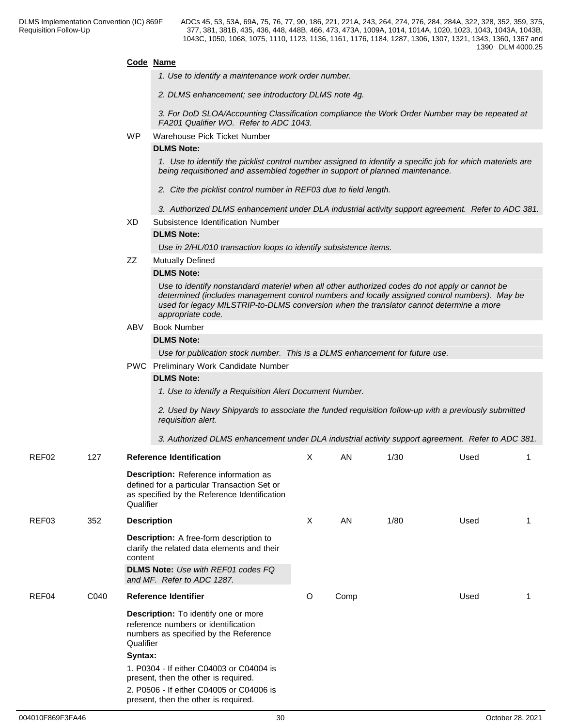### **Code Name**

- *1. Use to identify a maintenance work order number.*
- *2. DLMS enhancement; see introductory DLMS note 4g.*

*3. For DoD SLOA/Accounting Classification compliance the Work Order Number may be repeated at FA201 Qualifier WO. Refer to ADC 1043.*

WP Warehouse Pick Ticket Number

### **DLMS Note:**

*1. Use to identify the picklist control number assigned to identify a specific job for which materiels are being requisitioned and assembled together in support of planned maintenance.* 

- *2. Cite the picklist control number in REF03 due to field length.*
- *3. Authorized DLMS enhancement under DLA industrial activity support agreement. Refer to ADC 381.*
- XD Subsistence Identification Number

## **DLMS Note:**

*Use in 2/HL/010 transaction loops to identify subsistence items.*

ZZ Mutually Defined

## **DLMS Note:**

*Use to identify nonstandard materiel when all other authorized codes do not apply or cannot be determined (includes management control numbers and locally assigned control numbers). May be used for legacy MILSTRIP-to-DLMS conversion when the translator cannot determine a more appropriate code.* 

ABV Book Number

## **DLMS Note:**

*Use for publication stock number. This is a DLMS enhancement for future use.*

PWC Preliminary Work Candidate Number

### **DLMS Note:**

*1. Use to identify a Requisition Alert Document Number.* 

*2. Used by Navy Shipyards to associate the funded requisition follow-up with a previously submitted requisition alert.* 

*3. Authorized DLMS enhancement under DLA industrial activity support agreement. Refer to ADC 381.*

| REF02 | 127  | <b>Reference Identification</b>                                                                                                                   | X | AN   | 1/30 | Used |  |
|-------|------|---------------------------------------------------------------------------------------------------------------------------------------------------|---|------|------|------|--|
|       |      | Description: Reference information as<br>defined for a particular Transaction Set or<br>as specified by the Reference Identification<br>Qualifier |   |      |      |      |  |
| REF03 | 352  | <b>Description</b>                                                                                                                                | X | AN   | 1/80 | Used |  |
|       |      | <b>Description:</b> A free-form description to<br>clarify the related data elements and their<br>content                                          |   |      |      |      |  |
|       |      | <b>DLMS Note:</b> Use with REF01 codes FQ<br>and MF. Refer to ADC 1287.                                                                           |   |      |      |      |  |
| REF04 | C040 | <b>Reference Identifier</b>                                                                                                                       | O | Comp |      | Used |  |
|       |      | <b>Description:</b> To identify one or more<br>reference numbers or identification<br>numbers as specified by the Reference<br>Qualifier          |   |      |      |      |  |
|       |      | Syntax:                                                                                                                                           |   |      |      |      |  |
|       |      | 1. P0304 - If either C04003 or C04004 is<br>present, then the other is required.                                                                  |   |      |      |      |  |
|       |      | 2. P0506 - If either C04005 or C04006 is<br>present, then the other is required.                                                                  |   |      |      |      |  |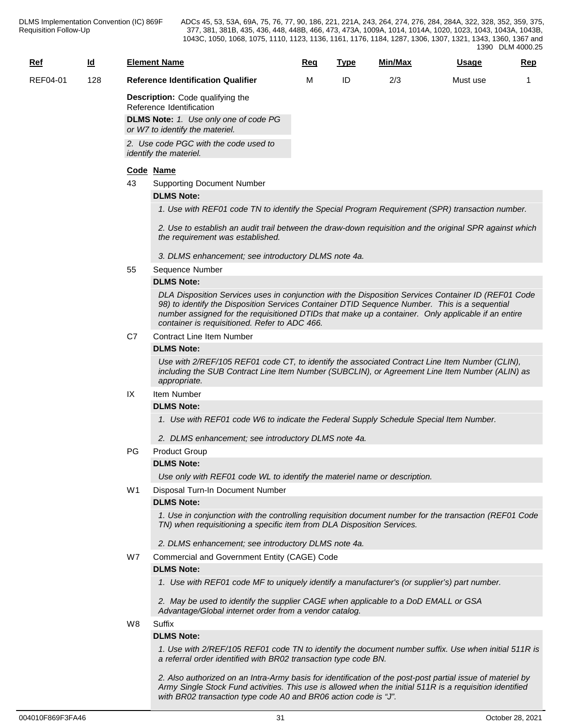| <u>Ref</u> | Id<br>- | <b>Element Name</b>                       | Reg | $\overline{\phantom{0}}$<br>Type | Min/Max<br>--- | Jsaqe    | <u>Rep</u> |
|------------|---------|-------------------------------------------|-----|----------------------------------|----------------|----------|------------|
| REF04-01   | 128     | <b>Reference Identification Qualifier</b> | IVI |                                  | 2/3            | Must use |            |

**Description:** Code qualifying the Reference Identification

**DLMS Note:** *1. Use only one of code PG or W7 to identify the materiel.*

*2. Use code PGC with the code used to identify the materiel.*

## **Code Name**

43 Supporting Document Number

## **DLMS Note:**

*1. Use with REF01 code TN to identify the Special Program Requirement (SPR) transaction number.*

*2. Use to establish an audit trail between the draw-down requisition and the original SPR against which the requirement was established.*

- *3. DLMS enhancement; see introductory DLMS note 4a.*
- 55 Sequence Number

### **DLMS Note:**

*DLA Disposition Services uses in conjunction with the Disposition Services Container ID (REF01 Code 98) to identify the Disposition Services Container DTID Sequence Number. This is a sequential number assigned for the requisitioned DTIDs that make up a container. Only applicable if an entire container is requisitioned. Refer to ADC 466.*

C7 Contract Line Item Number

## **DLMS Note:**

*Use with 2/REF/105 REF01 code CT, to identify the associated Contract Line Item Number (CLIN), including the SUB Contract Line Item Number (SUBCLIN), or Agreement Line Item Number (ALIN) as appropriate.*

## IX Item Number

**DLMS Note:**

*1. Use with REF01 code W6 to indicate the Federal Supply Schedule Special Item Number.*

*2. DLMS enhancement; see introductory DLMS note 4a.*

### PG Product Group

## **DLMS Note:**

*Use only with REF01 code WL to identify the materiel name or description.*

## W1 Disposal Turn-In Document Number

## **DLMS Note:**

*1. Use in conjunction with the controlling requisition document number for the transaction (REF01 Code TN) when requisitioning a specific item from DLA Disposition Services.*

- *2. DLMS enhancement; see introductory DLMS note 4a.*
- W7 Commercial and Government Entity (CAGE) Code

## **DLMS Note:**

*1. Use with REF01 code MF to uniquely identify a manufacturer's (or supplier's) part number.*

*2. May be used to identify the supplier CAGE when applicable to a DoD EMALL or GSA Advantage/Global internet order from a vendor catalog.* 

W8 Suffix

### **DLMS Note:**

*1. Use with 2/REF/105 REF01 code TN to identify the document number suffix. Use when initial 511R is a referral order identified with BR02 transaction type code BN.*

*2. Also authorized on an Intra-Army basis for identification of the post-post partial issue of materiel by Army Single Stock Fund activities. This use is allowed when the initial 511R is a requisition identified with BR02 transaction type code A0 and BR06 action code is "J".*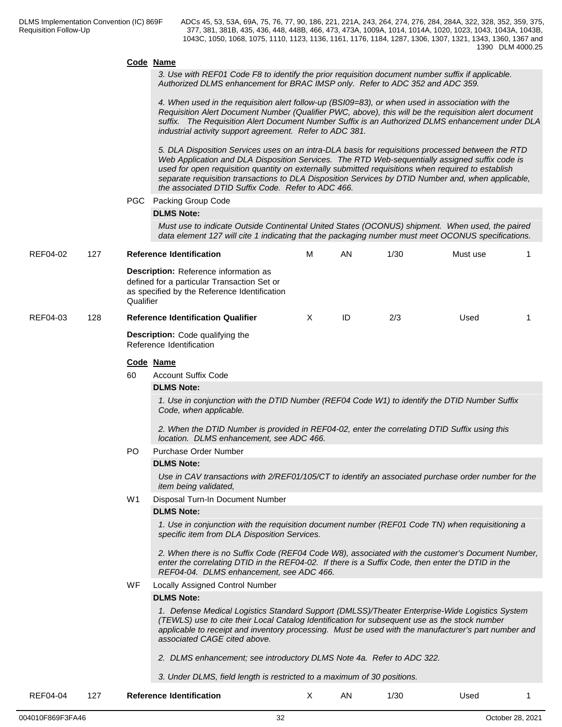### **Code Name**

*3. Use with REF01 Code F8 to identify the prior requisition document number suffix if applicable. Authorized DLMS enhancement for BRAC IMSP only. Refer to ADC 352 and ADC 359.*

*4. When used in the requisition alert follow-up (BSI09=83), or when used in association with the Requisition Alert Document Number (Qualifier PWC, above), this will be the requisition alert document suffix. The Requisition Alert Document Number Suffix is an Authorized DLMS enhancement under DLA industrial activity support agreement. Refer to ADC 381.*

*5. DLA Disposition Services uses on an intra-DLA basis for requisitions processed between the RTD Web Application and DLA Disposition Services. The RTD Web-sequentially assigned suffix code is used for open requisition quantity on externally submitted requisitions when required to establish separate requisition transactions to DLA Disposition Services by DTID Number and, when applicable, the associated DTID Suffix Code. Refer to ADC 466.*

#### PGC Packing Group Code

### **DLMS Note:**

*Must use to indicate Outside Continental United States (OCONUS) shipment. When used, the paired data element 127 will cite 1 indicating that the packaging number must meet OCONUS specifications.*

| REF04-02 | 127 | <b>Reference Identification</b>                                                                                                                          | м | AN | 1/30 | Must use |  |
|----------|-----|----------------------------------------------------------------------------------------------------------------------------------------------------------|---|----|------|----------|--|
|          |     | <b>Description:</b> Reference information as<br>defined for a particular Transaction Set or<br>as specified by the Reference Identification<br>Qualifier |   |    |      |          |  |
| REF04-03 | 128 | <b>Reference Identification Qualifier</b>                                                                                                                |   | ID | 2/3  | Used     |  |
|          |     | <b>Description:</b> Code qualifying the                                                                                                                  |   |    |      |          |  |

Reference Identification

### **Code Name**

60 Account Suffix Code

### **DLMS Note:**

*1. Use in conjunction with the DTID Number (REF04 Code W1) to identify the DTID Number Suffix Code, when applicable.* 

*2. When the DTID Number is provided in REF04-02, enter the correlating DTID Suffix using this location. DLMS enhancement, see ADC 466.*

### PO Purchase Order Number

### **DLMS Note:**

*Use in CAV transactions with 2/REF01/105/CT to identify an associated purchase order number for the item being validated,*

W1 Disposal Turn-In Document Number

### **DLMS Note:**

*1. Use in conjunction with the requisition document number (REF01 Code TN) when requisitioning a specific item from DLA Disposition Services.* 

*2. When there is no Suffix Code (REF04 Code W8), associated with the customer's Document Number, enter the correlating DTID in the REF04-02. If there is a Suffix Code, then enter the DTID in the REF04-04. DLMS enhancement, see ADC 466.*

WF Locally Assigned Control Number

## **DLMS Note:**

*1. Defense Medical Logistics Standard Support (DMLSS)/Theater Enterprise-Wide Logistics System (TEWLS) use to cite their Local Catalog Identification for subsequent use as the stock number applicable to receipt and inventory processing. Must be used with the manufacturer's part number and associated CAGE cited above.*

*2. DLMS enhancement; see introductory DLMS Note 4a. Refer to ADC 322.*

*3. Under DLMS, field length is restricted to a maximum of 30 positions.*

| <b>REF04-0</b><br>$-0.00$<br>$10-$<br>$^{\circ}$<br>Reference<br><b>Identification</b><br>╯<br>$\cdot$ 14 |  | ΑN | 7ว∩<br>,,,, | Used |  |  |
|-----------------------------------------------------------------------------------------------------------|--|----|-------------|------|--|--|
|-----------------------------------------------------------------------------------------------------------|--|----|-------------|------|--|--|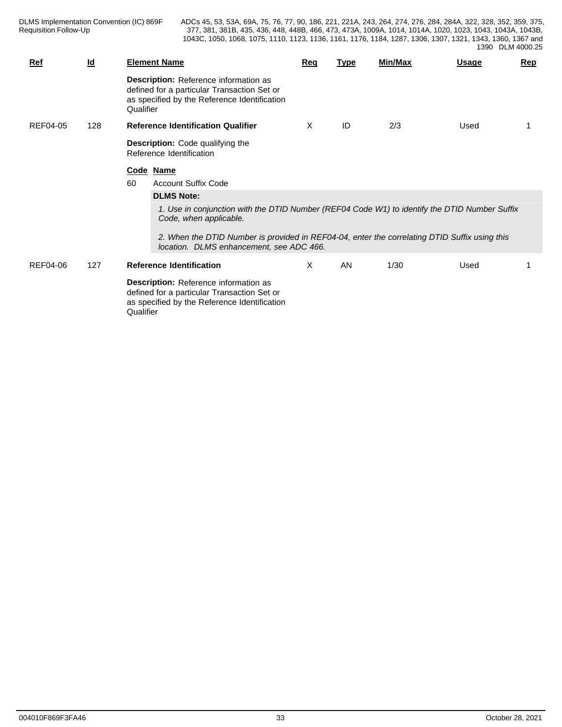DLMS Implementation Convention (IC) 869F Requisition Follow-Up

| Ref             | $\underline{\mathsf{Id}}$ |                                                                                                                         | <b>Element Name</b>                                                                                                                       | Req | <u>Type</u> | Min/Max | <b>Usage</b> | Rep |  |  |  |
|-----------------|---------------------------|-------------------------------------------------------------------------------------------------------------------------|-------------------------------------------------------------------------------------------------------------------------------------------|-----|-------------|---------|--------------|-----|--|--|--|
|                 |                           | Qualifier                                                                                                               | Description: Reference information as<br>defined for a particular Transaction Set or<br>as specified by the Reference Identification      |     |             |         |              |     |  |  |  |
| <b>REF04-05</b> | 128                       |                                                                                                                         | <b>Reference Identification Qualifier</b>                                                                                                 | X   | ID          | 2/3     | Used         |     |  |  |  |
|                 |                           |                                                                                                                         | Description: Code qualifying the<br>Reference Identification                                                                              |     |             |         |              |     |  |  |  |
|                 |                           |                                                                                                                         | Code Name                                                                                                                                 |     |             |         |              |     |  |  |  |
|                 |                           | 60                                                                                                                      | <b>Account Suffix Code</b>                                                                                                                |     |             |         |              |     |  |  |  |
|                 |                           |                                                                                                                         | <b>DLMS Note:</b>                                                                                                                         |     |             |         |              |     |  |  |  |
|                 |                           | 1. Use in conjunction with the DTID Number (REF04 Code W1) to identify the DTID Number Suffix<br>Code, when applicable. |                                                                                                                                           |     |             |         |              |     |  |  |  |
|                 |                           |                                                                                                                         | 2. When the DTID Number is provided in REF04-04, enter the correlating DTID Suffix using this<br>location. DLMS enhancement, see ADC 466. |     |             |         |              |     |  |  |  |
| REF04-06        | 127                       |                                                                                                                         | <b>Reference Identification</b>                                                                                                           | X.  | AN          | 1/30    | Used         |     |  |  |  |
|                 |                           | Qualifier                                                                                                               | Description: Reference information as<br>defined for a particular Transaction Set or<br>as specified by the Reference Identification      |     |             |         |              |     |  |  |  |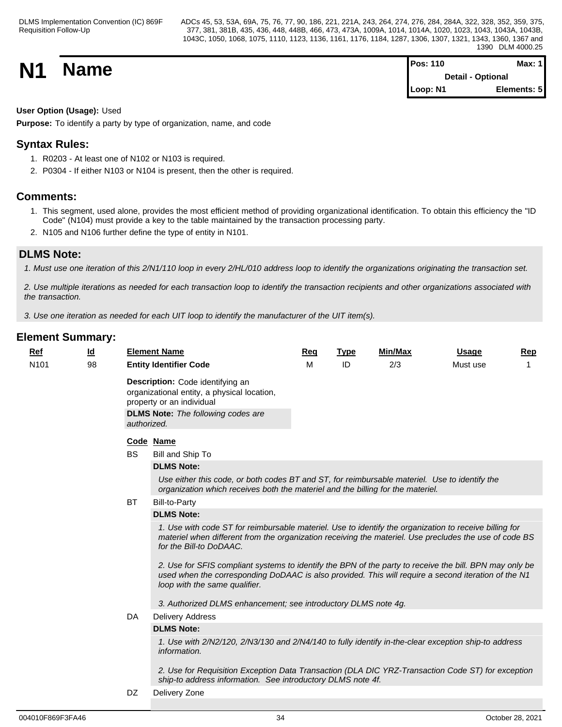**N1 Name Max:** 1 **Max:** 1 **Detail - Optional Loop: N1 Elements: 5**

## **User Option (Usage):** Used

**Purpose:** To identify a party by type of organization, name, and code

# **Syntax Rules:**

- 1. R0203 At least one of N102 or N103 is required.
- 2. P0304 If either N103 or N104 is present, then the other is required.

# **Comments:**

- 1. This segment, used alone, provides the most efficient method of providing organizational identification. To obtain this efficiency the "ID Code" (N104) must provide a key to the table maintained by the transaction processing party.
- 2. N105 and N106 further define the type of entity in N101.

# **DLMS Note:**

*1. Must use one iteration of this 2/N1/110 loop in every 2/HL/010 address loop to identify the organizations originating the transaction set.*

*2. Use multiple iterations as needed for each transaction loop to identify the transaction recipients and other organizations associated with the transaction.*

*3. Use one iteration as needed for each UIT loop to identify the manufacturer of the UIT item(s).*

| Ref              | $\underline{\mathsf{Id}}$ |             | <b>Element Name</b>                                                                                                                                                                                                                             | Req | <b>Type</b> | Min/Max | Usage    | Rep |  |  |
|------------------|---------------------------|-------------|-------------------------------------------------------------------------------------------------------------------------------------------------------------------------------------------------------------------------------------------------|-----|-------------|---------|----------|-----|--|--|
| N <sub>101</sub> | 98                        |             | <b>Entity Identifier Code</b>                                                                                                                                                                                                                   | м   | ID          | 2/3     | Must use |     |  |  |
|                  |                           | authorized. | Description: Code identifying an<br>organizational entity, a physical location,<br>property or an individual<br><b>DLMS Note:</b> The following codes are                                                                                       |     |             |         |          |     |  |  |
|                  |                           | Code Name   |                                                                                                                                                                                                                                                 |     |             |         |          |     |  |  |
|                  |                           | <b>BS</b>   | Bill and Ship To                                                                                                                                                                                                                                |     |             |         |          |     |  |  |
|                  |                           |             | <b>DLMS Note:</b>                                                                                                                                                                                                                               |     |             |         |          |     |  |  |
|                  |                           |             | Use either this code, or both codes BT and ST, for reimbursable materiel. Use to identify the<br>organization which receives both the materiel and the billing for the materiel.                                                                |     |             |         |          |     |  |  |
|                  |                           | BT          | <b>Bill-to-Party</b>                                                                                                                                                                                                                            |     |             |         |          |     |  |  |
|                  |                           |             | <b>DLMS Note:</b>                                                                                                                                                                                                                               |     |             |         |          |     |  |  |
|                  |                           |             | 1. Use with code ST for reimbursable materiel. Use to identify the organization to receive billing for<br>materiel when different from the organization receiving the materiel. Use precludes the use of code BS<br>for the Bill-to DoDAAC.     |     |             |         |          |     |  |  |
|                  |                           |             | 2. Use for SFIS compliant systems to identify the BPN of the party to receive the bill. BPN may only be<br>used when the corresponding DoDAAC is also provided. This will require a second iteration of the N1<br>loop with the same qualifier. |     |             |         |          |     |  |  |
|                  |                           |             | 3. Authorized DLMS enhancement; see introductory DLMS note 4g.                                                                                                                                                                                  |     |             |         |          |     |  |  |
|                  |                           | DA          | <b>Delivery Address</b>                                                                                                                                                                                                                         |     |             |         |          |     |  |  |
|                  |                           |             | <b>DLMS Note:</b>                                                                                                                                                                                                                               |     |             |         |          |     |  |  |
|                  |                           |             | 1. Use with 2/N2/120, 2/N3/130 and 2/N4/140 to fully identify in-the-clear exception ship-to address<br>information.                                                                                                                            |     |             |         |          |     |  |  |
|                  |                           |             | 2. Use for Requisition Exception Data Transaction (DLA DIC YRZ-Transaction Code ST) for exception<br>ship-to address information. See introductory DLMS note 4f.                                                                                |     |             |         |          |     |  |  |
|                  |                           | DZ          | Delivery Zone                                                                                                                                                                                                                                   |     |             |         |          |     |  |  |
|                  |                           |             |                                                                                                                                                                                                                                                 |     |             |         |          |     |  |  |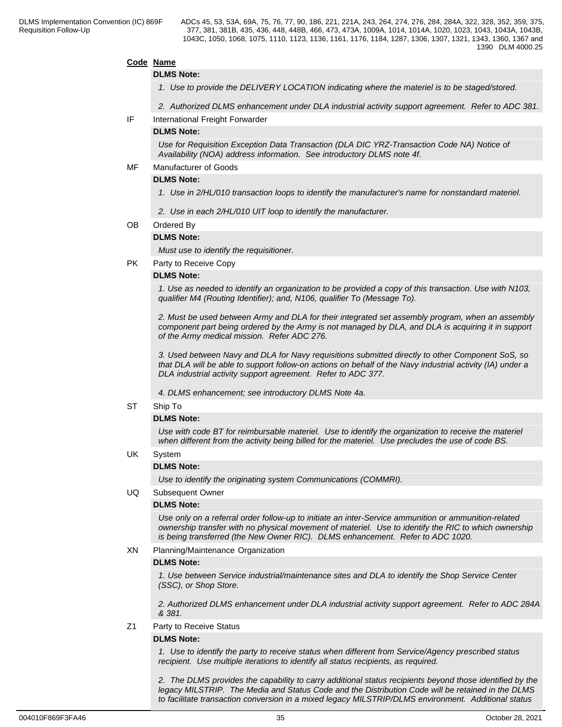## **Code Name**

### **DLMS Note:**

*1. Use to provide the DELIVERY LOCATION indicating where the materiel is to be staged/stored.* 

*2. Authorized DLMS enhancement under DLA industrial activity support agreement. Refer to ADC 381.*

IF International Freight Forwarder

## **DLMS Note:**

*Use for Requisition Exception Data Transaction (DLA DIC YRZ-Transaction Code NA) Notice of Availability (NOA) address information. See introductory DLMS note 4f.*

MF Manufacturer of Goods

## **DLMS Note:**

- *1. Use in 2/HL/010 transaction loops to identify the manufacturer's name for nonstandard materiel.*
- *2. Use in each 2/HL/010 UIT loop to identify the manufacturer.*

## OB Ordered By

## **DLMS Note:**

*Must use to identify the requisitioner.*

PK Party to Receive Copy

### **DLMS Note:**

*1. Use as needed to identify an organization to be provided a copy of this transaction. Use with N103, qualifier M4 (Routing Identifier); and, N106, qualifier To (Message To).*

*2. Must be used between Army and DLA for their integrated set assembly program, when an assembly component part being ordered by the Army is not managed by DLA, and DLA is acquiring it in support of the Army medical mission. Refer ADC 276.* 

*3. Used between Navy and DLA for Navy requisitions submitted directly to other Component SoS, so that DLA will be able to support follow-on actions on behalf of the Navy industrial activity (IA) under a DLA industrial activity support agreement. Refer to ADC 377.*

*4. DLMS enhancement; see introductory DLMS Note 4a.*

## ST Ship To

## **DLMS Note:**

*Use with code BT for reimbursable materiel. Use to identify the organization to receive the materiel when different from the activity being billed for the materiel. Use precludes the use of code BS.*

UK System

## **DLMS Note:**

*Use to identify the originating system Communications (COMMRI).*

## UQ Subsequent Owner

## **DLMS Note:**

*Use only on a referral order follow-up to initiate an inter-Service ammunition or ammunition-related ownership transfer with no physical movement of materiel. Use to identify the RIC to which ownership is being transferred (the New Owner RIC). DLMS enhancement. Refer to ADC 1020.*

## XN Planning/Maintenance Organization

### **DLMS Note:**

*1. Use between Service industrial/maintenance sites and DLA to identify the Shop Service Center (SSC), or Shop Store.*

*2. Authorized DLMS enhancement under DLA industrial activity support agreement. Refer to ADC 284A & 381.*

Z1 Party to Receive Status

## **DLMS Note:**

*1. Use to identify the party to receive status when different from Service/Agency prescribed status recipient. Use multiple iterations to identify all status recipients, as required.*

*2. The DLMS provides the capability to carry additional status recipients beyond those identified by the legacy MILSTRIP. The Media and Status Code and the Distribution Code will be retained in the DLMS to facilitate transaction conversion in a mixed legacy MILSTRIP/DLMS environment. Additional status*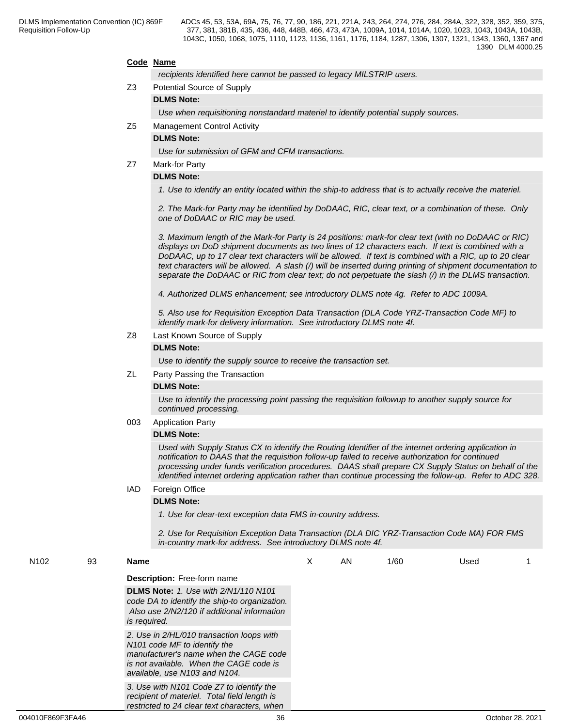### **Code Name**

*recipients identified here cannot be passed to legacy MILSTRIP users.*

Z3 Potential Source of Supply

## **DLMS Note:**

*Use when requisitioning nonstandard materiel to identify potential supply sources.*

Z5 Management Control Activity

## **DLMS Note:**

*Use for submission of GFM and CFM transactions.*

## Z7 Mark-for Party

## **DLMS Note:**

*1. Use to identify an entity located within the ship-to address that is to actually receive the materiel.*

*2. The Mark-for Party may be identified by DoDAAC, RIC, clear text, or a combination of these. Only one of DoDAAC or RIC may be used.*

*3. Maximum length of the Mark-for Party is 24 positions: mark-for clear text (with no DoDAAC or RIC) displays on DoD shipment documents as two lines of 12 characters each. If text is combined with a DoDAAC, up to 17 clear text characters will be allowed. If text is combined with a RIC, up to 20 clear text characters will be allowed. A slash (/) will be inserted during printing of shipment documentation to separate the DoDAAC or RIC from clear text; do not perpetuate the slash (/) in the DLMS transaction.*

*4. Authorized DLMS enhancement; see introductory DLMS note 4g. Refer to ADC 1009A.*

*5. Also use for Requisition Exception Data Transaction (DLA Code YRZ-Transaction Code MF) to identify mark-for delivery information. See introductory DLMS note 4f.*

## Z8 Last Known Source of Supply

## **DLMS Note:**

*Use to identify the supply source to receive the transaction set.*

### ZL Party Passing the Transaction

## **DLMS Note:**

*Use to identify the processing point passing the requisition followup to another supply source for continued processing.*

### 003 Application Party

## **DLMS Note:**

*Used with Supply Status CX to identify the Routing Identifier of the internet ordering application in notification to DAAS that the requisition follow-up failed to receive authorization for continued processing under funds verification procedures. DAAS shall prepare CX Supply Status on behalf of the identified internet ordering application rather than continue processing the follow-up. Refer to ADC 328.*

## IAD Foreign Office

### **DLMS Note:**

*1. Use for clear-text exception data FMS in-country address.*

*2. Use for Requisition Exception Data Transaction (DLA DIC YRZ-Transaction Code MA) FOR FMS in-country mark-for address. See introductory DLMS note 4f.*

| N <sub>102</sub> | 93 | Name                                                                                                                                                                                                        | X | AN | 1/60 | Used |  |
|------------------|----|-------------------------------------------------------------------------------------------------------------------------------------------------------------------------------------------------------------|---|----|------|------|--|
|                  |    | <b>Description:</b> Free-form name                                                                                                                                                                          |   |    |      |      |  |
|                  |    | <b>DLMS Note: 1. Use with 2/N1/110 N101</b><br>code DA to identify the ship-to organization.<br>Also use 2/N2/120 if additional information<br>is required.                                                 |   |    |      |      |  |
|                  |    | 2. Use in 2/HL/010 transaction loops with<br>N <sub>101</sub> code MF to identify the<br>manufacturer's name when the CAGE code<br>is not available. When the CAGE code is<br>available, use N103 and N104. |   |    |      |      |  |
|                  |    | 3. Use with N101 Code Z7 to identify the<br>recipient of materiel. Total field length is<br>restricted to 24 clear text characters, when                                                                    |   |    |      |      |  |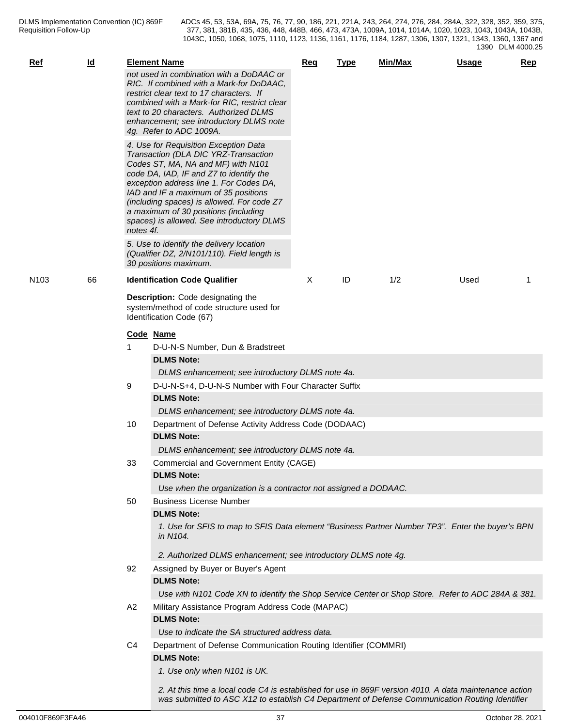| $Ref$            | $\underline{\mathsf{Id}}$ |           | <b>Element Name</b><br>not used in combination with a DoDAAC or<br>RIC. If combined with a Mark-for DoDAAC,<br>restrict clear text to 17 characters. If<br>combined with a Mark-for RIC, restrict clear<br>text to 20 characters. Authorized DLMS<br>enhancement; see introductory DLMS note<br>4g. Refer to ADC 1009A.                                                              | <u>Req</u> | <b>Type</b> | Min/Max | <b>Usage</b> | <b>Rep</b> |  |  |  |  |
|------------------|---------------------------|-----------|--------------------------------------------------------------------------------------------------------------------------------------------------------------------------------------------------------------------------------------------------------------------------------------------------------------------------------------------------------------------------------------|------------|-------------|---------|--------------|------------|--|--|--|--|
|                  |                           | notes 4f. | 4. Use for Requisition Exception Data<br>Transaction (DLA DIC YRZ-Transaction<br>Codes ST, MA, NA and MF) with N101<br>code DA, IAD, IF and Z7 to identify the<br>exception address line 1. For Codes DA,<br>IAD and IF a maximum of 35 positions<br>(including spaces) is allowed. For code Z7<br>a maximum of 30 positions (including<br>spaces) is allowed. See introductory DLMS |            |             |         |              |            |  |  |  |  |
|                  |                           |           | 5. Use to identify the delivery location<br>(Qualifier DZ, 2/N101/110). Field length is<br>30 positions maximum.                                                                                                                                                                                                                                                                     |            |             |         |              |            |  |  |  |  |
| N <sub>103</sub> | 66                        |           | <b>Identification Code Qualifier</b>                                                                                                                                                                                                                                                                                                                                                 | X          | ID          | 1/2     | Used         | -1         |  |  |  |  |
|                  |                           |           | Description: Code designating the<br>system/method of code structure used for<br>Identification Code (67)                                                                                                                                                                                                                                                                            |            |             |         |              |            |  |  |  |  |
|                  |                           |           | Code Name                                                                                                                                                                                                                                                                                                                                                                            |            |             |         |              |            |  |  |  |  |
|                  |                           |           | D-U-N-S Number, Dun & Bradstreet                                                                                                                                                                                                                                                                                                                                                     |            |             |         |              |            |  |  |  |  |
|                  |                           |           | <b>DLMS Note:</b>                                                                                                                                                                                                                                                                                                                                                                    |            |             |         |              |            |  |  |  |  |
|                  |                           |           | DLMS enhancement; see introductory DLMS note 4a.                                                                                                                                                                                                                                                                                                                                     |            |             |         |              |            |  |  |  |  |
|                  |                           | 9         | D-U-N-S+4, D-U-N-S Number with Four Character Suffix                                                                                                                                                                                                                                                                                                                                 |            |             |         |              |            |  |  |  |  |
|                  |                           |           | <b>DLMS Note:</b>                                                                                                                                                                                                                                                                                                                                                                    |            |             |         |              |            |  |  |  |  |
|                  |                           |           | DLMS enhancement; see introductory DLMS note 4a.<br>Department of Defense Activity Address Code (DODAAC)                                                                                                                                                                                                                                                                             |            |             |         |              |            |  |  |  |  |
|                  |                           | 10        | <b>DLMS Note:</b>                                                                                                                                                                                                                                                                                                                                                                    |            |             |         |              |            |  |  |  |  |
|                  |                           |           |                                                                                                                                                                                                                                                                                                                                                                                      |            |             |         |              |            |  |  |  |  |
|                  |                           |           | DLMS enhancement; see introductory DLMS note 4a.                                                                                                                                                                                                                                                                                                                                     |            |             |         |              |            |  |  |  |  |
|                  |                           | 33        | Commercial and Government Entity (CAGE)<br><b>DLMS Note:</b>                                                                                                                                                                                                                                                                                                                         |            |             |         |              |            |  |  |  |  |
|                  |                           | 50        | Use when the organization is a contractor not assigned a DODAAC.                                                                                                                                                                                                                                                                                                                     |            |             |         |              |            |  |  |  |  |
|                  |                           |           | <b>Business License Number</b><br><b>DLMS Note:</b>                                                                                                                                                                                                                                                                                                                                  |            |             |         |              |            |  |  |  |  |
|                  |                           |           | 1. Use for SFIS to map to SFIS Data element "Business Partner Number TP3". Enter the buyer's BPN<br>in N104.                                                                                                                                                                                                                                                                         |            |             |         |              |            |  |  |  |  |
|                  |                           |           | 2. Authorized DLMS enhancement; see introductory DLMS note 4g.                                                                                                                                                                                                                                                                                                                       |            |             |         |              |            |  |  |  |  |
|                  |                           | 92        | Assigned by Buyer or Buyer's Agent                                                                                                                                                                                                                                                                                                                                                   |            |             |         |              |            |  |  |  |  |
|                  |                           |           | <b>DLMS Note:</b>                                                                                                                                                                                                                                                                                                                                                                    |            |             |         |              |            |  |  |  |  |
|                  |                           |           | Use with N101 Code XN to identify the Shop Service Center or Shop Store. Refer to ADC 284A & 381.                                                                                                                                                                                                                                                                                    |            |             |         |              |            |  |  |  |  |
|                  |                           | A2        | Military Assistance Program Address Code (MAPAC)                                                                                                                                                                                                                                                                                                                                     |            |             |         |              |            |  |  |  |  |
|                  |                           |           | <b>DLMS Note:</b>                                                                                                                                                                                                                                                                                                                                                                    |            |             |         |              |            |  |  |  |  |
|                  |                           |           | Use to indicate the SA structured address data.                                                                                                                                                                                                                                                                                                                                      |            |             |         |              |            |  |  |  |  |
|                  |                           | C4        | Department of Defense Communication Routing Identifier (COMMRI)                                                                                                                                                                                                                                                                                                                      |            |             |         |              |            |  |  |  |  |
|                  |                           |           | <b>DLMS Note:</b>                                                                                                                                                                                                                                                                                                                                                                    |            |             |         |              |            |  |  |  |  |
|                  |                           |           | 1. Use only when N101 is UK.                                                                                                                                                                                                                                                                                                                                                         |            |             |         |              |            |  |  |  |  |
|                  |                           |           | 2. At this time a local code C4 is established for use in 869F version 4010. A data maintenance action<br>was submitted to ASC X12 to establish C4 Department of Defense Communication Routing Identifier                                                                                                                                                                            |            |             |         |              |            |  |  |  |  |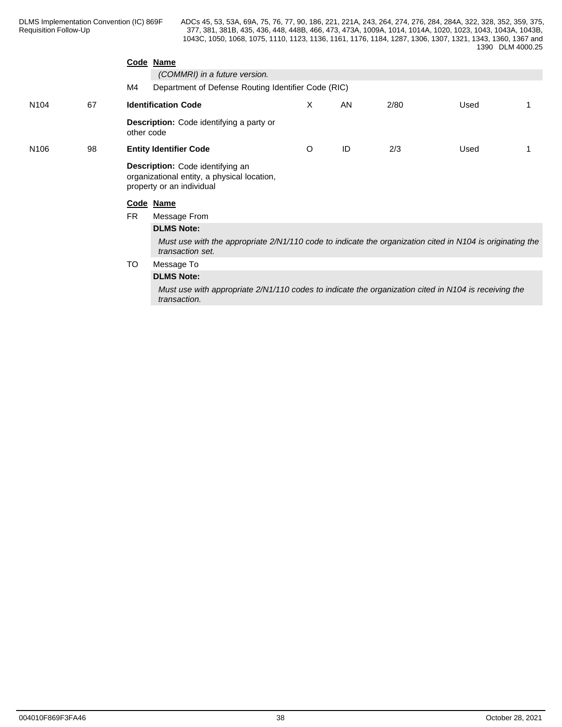|                  |    |                                                                                                              | Code Name                                                                                                                     |         |    |      |      |  |  |  |
|------------------|----|--------------------------------------------------------------------------------------------------------------|-------------------------------------------------------------------------------------------------------------------------------|---------|----|------|------|--|--|--|
|                  |    |                                                                                                              | (COMMRI) in a future version.                                                                                                 |         |    |      |      |  |  |  |
|                  |    | M4                                                                                                           | Department of Defense Routing Identifier Code (RIC)                                                                           |         |    |      |      |  |  |  |
| N <sub>104</sub> | 67 |                                                                                                              | <b>Identification Code</b>                                                                                                    | X       | AN | 2/80 | Used |  |  |  |
|                  |    | other code                                                                                                   | <b>Description:</b> Code identifying a party or                                                                               |         |    |      |      |  |  |  |
| N <sub>106</sub> | 98 |                                                                                                              | <b>Entity Identifier Code</b>                                                                                                 | $\circ$ | ID | 2/3  | Used |  |  |  |
|                  |    | Description: Code identifying an<br>organizational entity, a physical location,<br>property or an individual |                                                                                                                               |         |    |      |      |  |  |  |
|                  |    |                                                                                                              | Code Name                                                                                                                     |         |    |      |      |  |  |  |
|                  |    | <b>FR</b>                                                                                                    | Message From                                                                                                                  |         |    |      |      |  |  |  |
|                  |    |                                                                                                              | <b>DLMS Note:</b>                                                                                                             |         |    |      |      |  |  |  |
|                  |    |                                                                                                              | Must use with the appropriate 2/N1/110 code to indicate the organization cited in N104 is originating the<br>transaction set. |         |    |      |      |  |  |  |
|                  |    | TO                                                                                                           | Message To                                                                                                                    |         |    |      |      |  |  |  |
|                  |    |                                                                                                              | <b>DLMS Note:</b>                                                                                                             |         |    |      |      |  |  |  |
|                  |    |                                                                                                              | Must use with appropriate 2/N1/110 codes to indicate the organization cited in N104 is receiving the<br>transaction.          |         |    |      |      |  |  |  |
|                  |    |                                                                                                              |                                                                                                                               |         |    |      |      |  |  |  |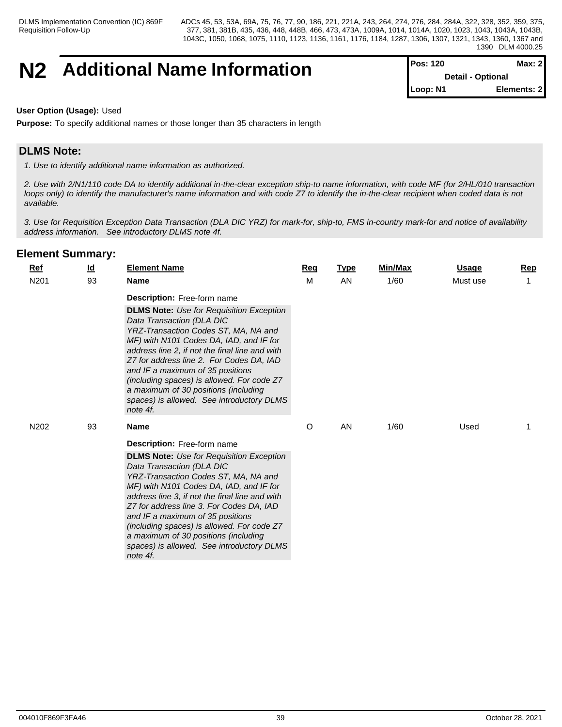# **N2** Additional Name Information

| <b>IPos: 120</b>         | Max: 2      |  |
|--------------------------|-------------|--|
| <b>Detail - Optional</b> |             |  |
| Loop: N1                 | Elements: 2 |  |

## **User Option (Usage):** Used

**Purpose:** To specify additional names or those longer than 35 characters in length

# **DLMS Note:**

*1. Use to identify additional name information as authorized.*

*2. Use with 2/N1/110 code DA to identify additional in-the-clear exception ship-to name information, with code MF (for 2/HL/010 transaction loops only) to identify the manufacturer's name information and with code Z7 to identify the in-the-clear recipient when coded data is not available.*

*3. Use for Requisition Exception Data Transaction (DLA DIC YRZ) for mark-for, ship-to, FMS in-country mark-for and notice of availability address information. See introductory DLMS note 4f.*

| Ref              | $\underline{\mathsf{Id}}$ | <b>Element Name</b>                                                                                                                                                                                                                                                                                                                                                                                                                                                                    | <u>Req</u> | <b>Type</b> | Min/Max | <b>Usage</b> | Rep |
|------------------|---------------------------|----------------------------------------------------------------------------------------------------------------------------------------------------------------------------------------------------------------------------------------------------------------------------------------------------------------------------------------------------------------------------------------------------------------------------------------------------------------------------------------|------------|-------------|---------|--------------|-----|
| N <sub>201</sub> | 93                        | <b>Name</b>                                                                                                                                                                                                                                                                                                                                                                                                                                                                            | М          | AN          | 1/60    | Must use     |     |
|                  |                           | <b>Description:</b> Free-form name<br><b>DLMS Note:</b> Use for Requisition Exception<br>Data Transaction (DLA DIC<br>YRZ-Transaction Codes ST, MA, NA and<br>MF) with N101 Codes DA, IAD, and IF for<br>address line 2, if not the final line and with<br>Z7 for address line 2. For Codes DA, IAD<br>and IF a maximum of 35 positions<br>(including spaces) is allowed. For code Z7<br>a maximum of 30 positions (including<br>spaces) is allowed. See introductory DLMS<br>note 4f. |            |             |         |              |     |
| N <sub>202</sub> | 93                        | <b>Name</b>                                                                                                                                                                                                                                                                                                                                                                                                                                                                            | O          | AN          | 1/60    | Used         |     |
|                  |                           | Description: Free-form name<br><b>DLMS Note:</b> Use for Requisition Exception<br>Data Transaction (DLA DIC<br>YRZ-Transaction Codes ST, MA, NA and<br>MF) with N101 Codes DA, IAD, and IF for<br>address line 3, if not the final line and with<br>Z7 for address line 3. For Codes DA, IAD<br>and IF a maximum of 35 positions<br>(including spaces) is allowed. For code Z7<br>a maximum of 30 positions (including<br>spaces) is allowed. See introductory DLMS<br>note 4f.        |            |             |         |              |     |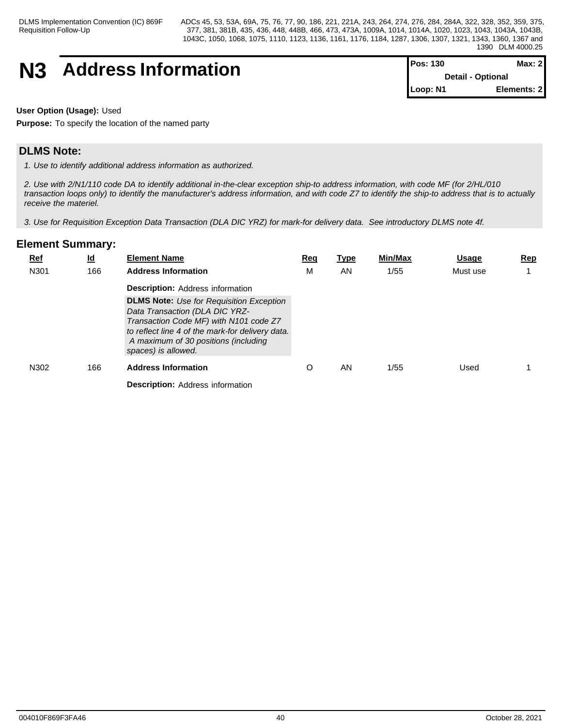# **N3** Address Information

| $Pos: 130$               | Max: 2I      |  |
|--------------------------|--------------|--|
| <b>Detail - Optional</b> |              |  |
| $L$ oop: N1              | Elements: 21 |  |

**User Option (Usage):** Used

**Purpose:** To specify the location of the named party

# **DLMS Note:**

*1. Use to identify additional address information as authorized.*

*2. Use with 2/N1/110 code DA to identify additional in-the-clear exception ship-to address information, with code MF (for 2/HL/010 transaction loops only) to identify the manufacturer's address information, and with code Z7 to identify the ship-to address that is to actually receive the materiel.*

*3. Use for Requisition Exception Data Transaction (DLA DIC YRZ) for mark-for delivery data. See introductory DLMS note 4f.*

| <u>Ref</u><br>N301 | . .<br>$\underline{\mathsf{Id}}$<br>166 | <b>Element Name</b><br><b>Address Information</b>                                                                                                                                                                                                                                         | <u>Req</u><br>М | <u>Type</u><br>AN | Min/Max<br>1/55 | <b>Usage</b><br>Must use | <u>Rep</u> |
|--------------------|-----------------------------------------|-------------------------------------------------------------------------------------------------------------------------------------------------------------------------------------------------------------------------------------------------------------------------------------------|-----------------|-------------------|-----------------|--------------------------|------------|
|                    |                                         | <b>Description: Address information</b><br><b>DLMS Note:</b> Use for Requisition Exception<br>Data Transaction (DLA DIC YRZ-<br>Transaction Code MF) with N101 code Z7<br>to reflect line 4 of the mark-for delivery data.<br>A maximum of 30 positions (including<br>spaces) is allowed. |                 |                   |                 |                          |            |
| N302               | 166                                     | <b>Address Information</b>                                                                                                                                                                                                                                                                |                 | AN                | 1/55            | Used                     |            |
|                    |                                         | <b>Description: Address information</b>                                                                                                                                                                                                                                                   |                 |                   |                 |                          |            |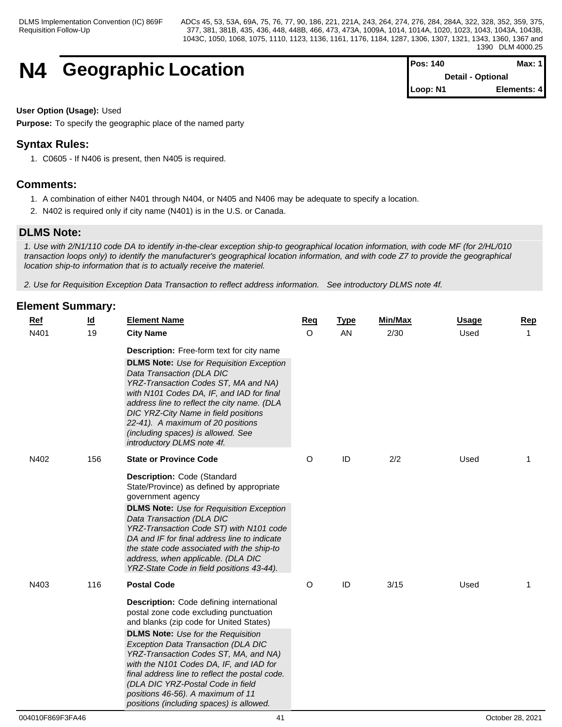# **N4 Geographic Location**

| $Pos: 140$               | Max: $1$    |  |
|--------------------------|-------------|--|
| <b>Detail - Optional</b> |             |  |
| $\blacksquare$ Loop: N1  | Elements: 4 |  |

## **User Option (Usage):** Used

**Purpose:** To specify the geographic place of the named party

# **Syntax Rules:**

1. C0605 - If N406 is present, then N405 is required.

## **Comments:**

- 1. A combination of either N401 through N404, or N405 and N406 may be adequate to specify a location.
- 2. N402 is required only if city name (N401) is in the U.S. or Canada.

# **DLMS Note:**

*1. Use with 2/N1/110 code DA to identify in-the-clear exception ship-to geographical location information, with code MF (for 2/HL/010 transaction loops only) to identify the manufacturer's geographical location information, and with code Z7 to provide the geographical location ship-to information that is to actually receive the materiel.*

*2. Use for Requisition Exception Data Transaction to reflect address information. See introductory DLMS note 4f.*

| Ref  | $\underline{\mathsf{Id}}$ | <b>Element Name</b>                                                                                                                                                                                                                                                                                                                                                                                                                                                           | Req     | <b>Type</b> | Min/Max | <b>Usage</b> | Rep          |
|------|---------------------------|-------------------------------------------------------------------------------------------------------------------------------------------------------------------------------------------------------------------------------------------------------------------------------------------------------------------------------------------------------------------------------------------------------------------------------------------------------------------------------|---------|-------------|---------|--------------|--------------|
| N401 | 19                        | <b>City Name</b>                                                                                                                                                                                                                                                                                                                                                                                                                                                              | $\circ$ | AN          | 2/30    | Used         | $\mathbf{1}$ |
|      |                           | <b>Description:</b> Free-form text for city name<br><b>DLMS Note:</b> Use for Requisition Exception<br>Data Transaction (DLA DIC<br>YRZ-Transaction Codes ST, MA and NA)<br>with N101 Codes DA, IF, and IAD for final<br>address line to reflect the city name. (DLA<br>DIC YRZ-City Name in field positions<br>22-41). A maximum of 20 positions<br>(including spaces) is allowed. See<br>introductory DLMS note 4f.                                                         |         |             |         |              |              |
| N402 | 156                       | <b>State or Province Code</b>                                                                                                                                                                                                                                                                                                                                                                                                                                                 | O       | ID          | 2/2     | Used         | $\mathbf{1}$ |
|      |                           | Description: Code (Standard<br>State/Province) as defined by appropriate<br>government agency<br><b>DLMS Note:</b> Use for Requisition Exception<br>Data Transaction (DLA DIC<br>YRZ-Transaction Code ST) with N101 code<br>DA and IF for final address line to indicate<br>the state code associated with the ship-to<br>address, when applicable. (DLA DIC<br>YRZ-State Code in field positions 43-44).                                                                     |         |             |         |              |              |
| N403 | 116                       | <b>Postal Code</b>                                                                                                                                                                                                                                                                                                                                                                                                                                                            | $\circ$ | ID          | 3/15    | Used         | $\mathbf{1}$ |
|      |                           | Description: Code defining international<br>postal zone code excluding punctuation<br>and blanks (zip code for United States)<br><b>DLMS Note:</b> Use for the Requisition<br>Exception Data Transaction (DLA DIC<br>YRZ-Transaction Codes ST, MA, and NA)<br>with the N101 Codes DA, IF, and IAD for<br>final address line to reflect the postal code.<br>(DLA DIC YRZ-Postal Code in field<br>positions 46-56). A maximum of 11<br>positions (including spaces) is allowed. |         |             |         |              |              |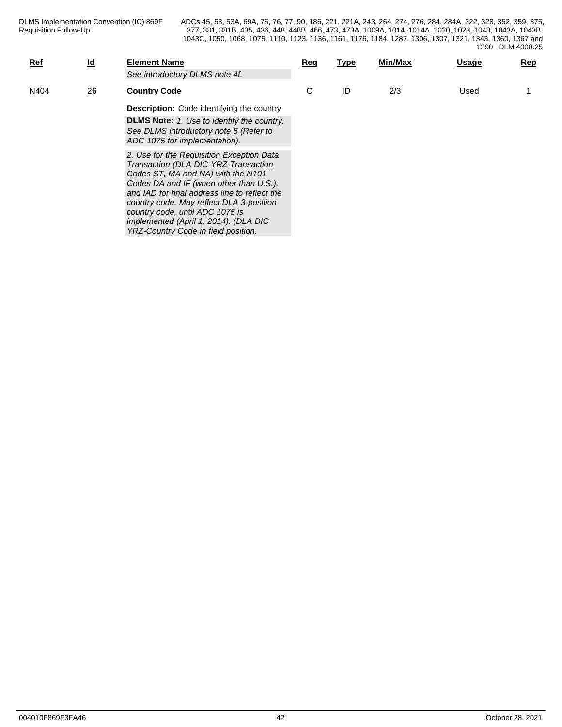| Ref  | <u>ld</u> | <b>Element Name</b>                                                                                                                                                                                                                                                                                                                                                                | Req | Type | Min/Max | <b>Usage</b> | Rep |
|------|-----------|------------------------------------------------------------------------------------------------------------------------------------------------------------------------------------------------------------------------------------------------------------------------------------------------------------------------------------------------------------------------------------|-----|------|---------|--------------|-----|
|      |           | See introductory DLMS note 4f.                                                                                                                                                                                                                                                                                                                                                     |     |      |         |              |     |
| N404 | 26        | <b>Country Code</b>                                                                                                                                                                                                                                                                                                                                                                | O   | ID   | 2/3     | Used         |     |
|      |           | <b>Description:</b> Code identifying the country                                                                                                                                                                                                                                                                                                                                   |     |      |         |              |     |
|      |           | <b>DLMS Note:</b> 1. Use to identify the country.<br>See DLMS introductory note 5 (Refer to<br>ADC 1075 for implementation).                                                                                                                                                                                                                                                       |     |      |         |              |     |
|      |           | 2. Use for the Requisition Exception Data<br>Transaction (DLA DIC YRZ-Transaction<br>Codes ST, MA and NA) with the N101<br>Codes DA and IF (when other than U.S.),<br>and IAD for final address line to reflect the<br>country code. May reflect DLA 3-position<br>country code, until ADC 1075 is<br>implemented (April 1, 2014). (DLA DIC<br>YRZ-Country Code in field position. |     |      |         |              |     |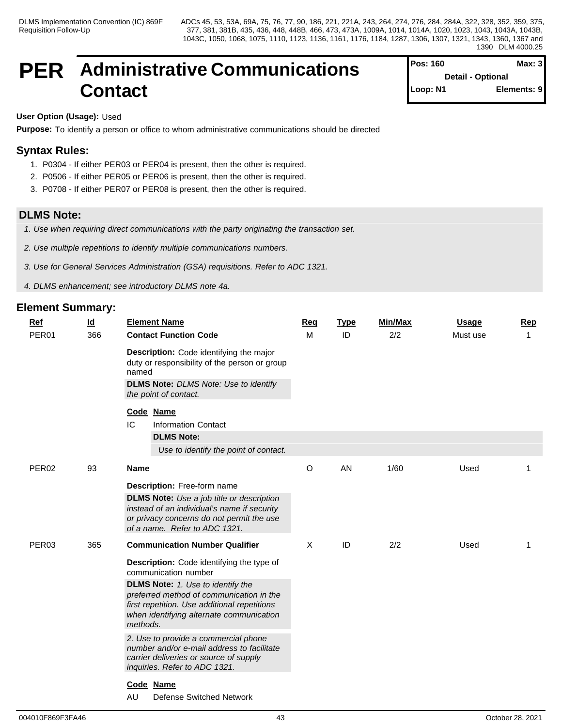# **PER Administrative Communications Contact**

| Pos: 160 | Max: $3$                 |
|----------|--------------------------|
|          | <b>Detail - Optional</b> |
| Loop: N1 | Elements: 9              |

# **User Option (Usage):** Used

**Purpose:** To identify a person or office to whom administrative communications should be directed

# **Syntax Rules:**

- 1. P0304 If either PER03 or PER04 is present, then the other is required.
- 2. P0506 If either PER05 or PER06 is present, then the other is required.
- 3. P0708 If either PER07 or PER08 is present, then the other is required.

# **DLMS Note:**

*1. Use when requiring direct communications with the party originating the transaction set.*

- *2. Use multiple repetitions to identify multiple communications numbers.*
- *3. Use for General Services Administration (GSA) requisitions. Refer to ADC 1321.*
- *4. DLMS enhancement; see introductory DLMS note 4a.*

| Ref<br>PER01      | $\underline{\mathsf{Id}}$<br>366 |             | <b>Element Name</b><br><b>Contact Function Code</b>                                                                                                                              | Req<br>M | <b>Type</b><br>ID | <b>Min/Max</b><br>2/2 | <b>Usage</b><br>Must use | <b>Rep</b><br>$\mathbf{1}$ |
|-------------------|----------------------------------|-------------|----------------------------------------------------------------------------------------------------------------------------------------------------------------------------------|----------|-------------------|-----------------------|--------------------------|----------------------------|
|                   |                                  | named       | Description: Code identifying the major<br>duty or responsibility of the person or group<br><b>DLMS Note: DLMS Note: Use to identify</b>                                         |          |                   |                       |                          |                            |
|                   |                                  |             | the point of contact.                                                                                                                                                            |          |                   |                       |                          |                            |
|                   |                                  | IC          | Code Name<br><b>Information Contact</b>                                                                                                                                          |          |                   |                       |                          |                            |
|                   |                                  |             | <b>DLMS Note:</b><br>Use to identify the point of contact.                                                                                                                       |          |                   |                       |                          |                            |
| PER <sub>02</sub> | 93                               | <b>Name</b> |                                                                                                                                                                                  | $\circ$  | AN                | 1/60                  | Used                     | 1                          |
|                   |                                  |             | Description: Free-form name                                                                                                                                                      |          |                   |                       |                          |                            |
|                   |                                  |             | <b>DLMS Note:</b> Use a job title or description<br>instead of an individual's name if security<br>or privacy concerns do not permit the use<br>of a name. Refer to ADC 1321.    |          |                   |                       |                          |                            |
| PER03             | 365                              |             | <b>Communication Number Qualifier</b>                                                                                                                                            | $\times$ | ID                | 2/2                   | Used                     | $\mathbf 1$                |
|                   |                                  |             | <b>Description:</b> Code identifying the type of<br>communication number                                                                                                         |          |                   |                       |                          |                            |
|                   |                                  | methods.    | <b>DLMS Note:</b> 1. Use to identify the<br>preferred method of communication in the<br>first repetition. Use additional repetitions<br>when identifying alternate communication |          |                   |                       |                          |                            |
|                   |                                  |             | 2. Use to provide a commercial phone<br>number and/or e-mail address to facilitate<br>carrier deliveries or source of supply<br>inquiries. Refer to ADC 1321.                    |          |                   |                       |                          |                            |
|                   |                                  |             | Code Name                                                                                                                                                                        |          |                   |                       |                          |                            |
|                   |                                  | AU          | <b>Defense Switched Network</b>                                                                                                                                                  |          |                   |                       |                          |                            |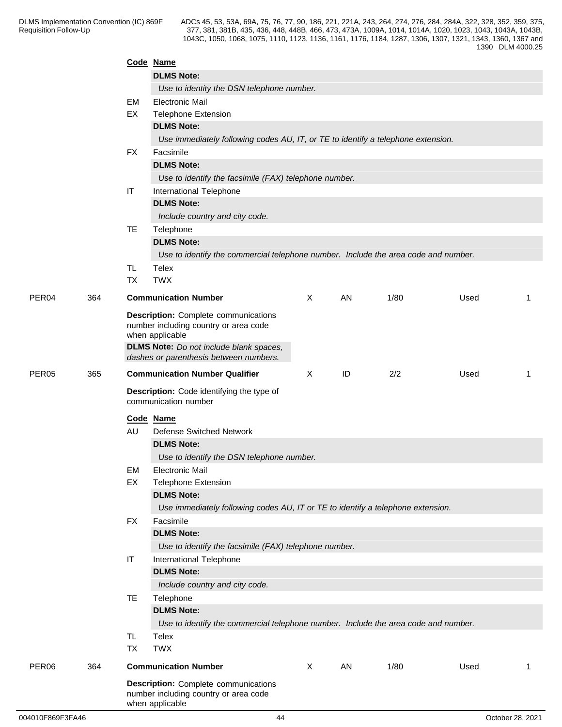|                   |     |                        | Code Name                                                                                                                                                                                           |          |    |      |      |             |
|-------------------|-----|------------------------|-----------------------------------------------------------------------------------------------------------------------------------------------------------------------------------------------------|----------|----|------|------|-------------|
|                   |     |                        | <b>DLMS Note:</b>                                                                                                                                                                                   |          |    |      |      |             |
|                   |     |                        | Use to identity the DSN telephone number.                                                                                                                                                           |          |    |      |      |             |
|                   |     | EM                     | <b>Electronic Mail</b>                                                                                                                                                                              |          |    |      |      |             |
|                   |     | EX                     | <b>Telephone Extension</b>                                                                                                                                                                          |          |    |      |      |             |
|                   |     |                        | <b>DLMS Note:</b>                                                                                                                                                                                   |          |    |      |      |             |
|                   |     |                        | Use immediately following codes AU, IT, or TE to identify a telephone extension.                                                                                                                    |          |    |      |      |             |
|                   |     | <b>FX</b>              | Facsimile                                                                                                                                                                                           |          |    |      |      |             |
|                   |     |                        | <b>DLMS Note:</b>                                                                                                                                                                                   |          |    |      |      |             |
|                   |     |                        | Use to identify the facsimile (FAX) telephone number.                                                                                                                                               |          |    |      |      |             |
|                   |     | IT                     | International Telephone                                                                                                                                                                             |          |    |      |      |             |
|                   |     |                        | <b>DLMS Note:</b>                                                                                                                                                                                   |          |    |      |      |             |
|                   |     |                        | Include country and city code.                                                                                                                                                                      |          |    |      |      |             |
|                   |     | TE                     | Telephone                                                                                                                                                                                           |          |    |      |      |             |
|                   |     |                        | <b>DLMS Note:</b>                                                                                                                                                                                   |          |    |      |      |             |
|                   |     |                        | Use to identify the commercial telephone number. Include the area code and number.                                                                                                                  |          |    |      |      |             |
|                   |     | TL                     | Telex                                                                                                                                                                                               |          |    |      |      |             |
|                   |     | <b>TX</b>              | <b>TWX</b>                                                                                                                                                                                          |          |    |      |      |             |
| PER <sub>04</sub> | 364 |                        | <b>Communication Number</b>                                                                                                                                                                         | X        | AN | 1/80 | Used | $\mathbf 1$ |
|                   |     |                        | <b>Description:</b> Complete communications<br>number including country or area code<br>when applicable<br><b>DLMS Note:</b> Do not include blank spaces,<br>dashes or parenthesis between numbers. |          |    |      |      |             |
| PER <sub>05</sub> | 365 |                        | <b>Communication Number Qualifier</b>                                                                                                                                                               | $\times$ | ID | 2/2  | Used | $\mathbf 1$ |
|                   |     |                        | Description: Code identifying the type of<br>communication number                                                                                                                                   |          |    |      |      |             |
|                   |     |                        | Code Name                                                                                                                                                                                           |          |    |      |      |             |
|                   |     | AU                     | <b>Defense Switched Network</b>                                                                                                                                                                     |          |    |      |      |             |
|                   |     |                        | <b>DLMS Note:</b>                                                                                                                                                                                   |          |    |      |      |             |
|                   |     |                        | Use to identify the DSN telephone number.                                                                                                                                                           |          |    |      |      |             |
|                   |     | EM                     | <b>Electronic Mail</b>                                                                                                                                                                              |          |    |      |      |             |
|                   |     | EX                     | <b>Telephone Extension</b>                                                                                                                                                                          |          |    |      |      |             |
|                   |     |                        | <b>DLMS Note:</b>                                                                                                                                                                                   |          |    |      |      |             |
|                   |     |                        | Use immediately following codes AU, IT or TE to identify a telephone extension.                                                                                                                     |          |    |      |      |             |
|                   |     | FX                     | Facsimile                                                                                                                                                                                           |          |    |      |      |             |
|                   |     |                        | <b>DLMS Note:</b>                                                                                                                                                                                   |          |    |      |      |             |
|                   |     |                        | Use to identify the facsimile (FAX) telephone number.                                                                                                                                               |          |    |      |      |             |
|                   |     | IT                     | International Telephone                                                                                                                                                                             |          |    |      |      |             |
|                   |     |                        | <b>DLMS Note:</b>                                                                                                                                                                                   |          |    |      |      |             |
|                   |     |                        | Include country and city code.                                                                                                                                                                      |          |    |      |      |             |
|                   |     | TE                     | Telephone                                                                                                                                                                                           |          |    |      |      |             |
|                   |     |                        | <b>DLMS Note:</b>                                                                                                                                                                                   |          |    |      |      |             |
|                   |     |                        | Use to identify the commercial telephone number. Include the area code and number.                                                                                                                  |          |    |      |      |             |
|                   |     | <b>TL</b><br><b>TX</b> | Telex<br><b>TWX</b>                                                                                                                                                                                 |          |    |      |      |             |
| PER <sub>06</sub> | 364 |                        | <b>Communication Number</b>                                                                                                                                                                         | X        | AN | 1/80 | Used | -1          |
|                   |     |                        | <b>Description:</b> Complete communications<br>number including country or area code<br>when applicable                                                                                             |          |    |      |      |             |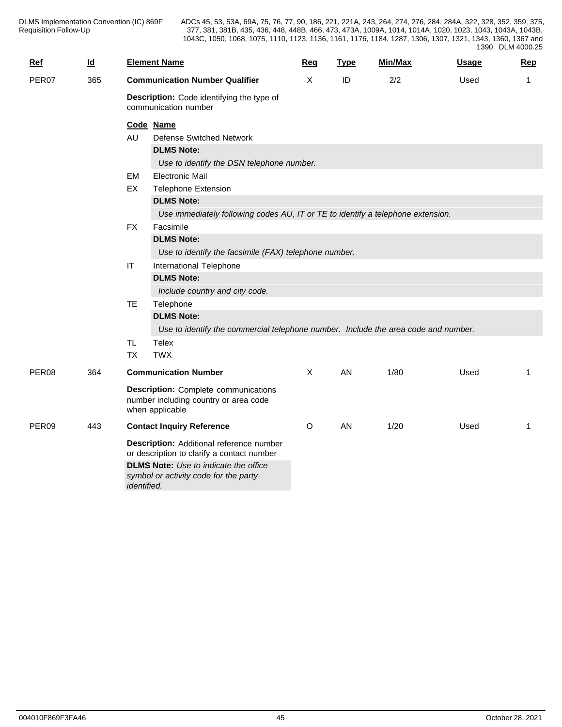| <b>Ref</b>        | <u>ld</u> |                        | <b>Element Name</b>                                                                                                                                                                                                                                                            | Req | <b>Type</b> | Min/Max | <b>Usage</b> | Rep            |
|-------------------|-----------|------------------------|--------------------------------------------------------------------------------------------------------------------------------------------------------------------------------------------------------------------------------------------------------------------------------|-----|-------------|---------|--------------|----------------|
| PER07             | 365       |                        | <b>Communication Number Qualifier</b>                                                                                                                                                                                                                                          | X   | ID          | 2/2     | Used         | $\mathbf 1$    |
|                   |           |                        | Description: Code identifying the type of<br>communication number                                                                                                                                                                                                              |     |             |         |              |                |
|                   |           | AU<br>EM<br>EX         | Code Name<br><b>Defense Switched Network</b><br><b>DLMS Note:</b><br>Use to identify the DSN telephone number.<br><b>Electronic Mail</b><br><b>Telephone Extension</b><br><b>DLMS Note:</b><br>Use immediately following codes AU, IT or TE to identify a telephone extension. |     |             |         |              |                |
|                   |           | <b>FX</b>              | Facsimile<br><b>DLMS Note:</b><br>Use to identify the facsimile (FAX) telephone number.                                                                                                                                                                                        |     |             |         |              |                |
|                   |           | $\sf IT$               | International Telephone<br><b>DLMS Note:</b><br>Include country and city code.                                                                                                                                                                                                 |     |             |         |              |                |
|                   |           | <b>TE</b>              | Telephone<br><b>DLMS Note:</b><br>Use to identify the commercial telephone number. Include the area code and number.                                                                                                                                                           |     |             |         |              |                |
|                   |           | <b>TL</b><br><b>TX</b> | <b>Telex</b><br><b>TWX</b>                                                                                                                                                                                                                                                     |     |             |         |              |                |
| PER <sub>08</sub> | 364       |                        | <b>Communication Number</b>                                                                                                                                                                                                                                                    | X   | AN          | 1/80    | Used         | 1              |
|                   |           |                        | <b>Description:</b> Complete communications<br>number including country or area code<br>when applicable                                                                                                                                                                        |     |             |         |              |                |
| PER09             | 443       |                        | <b>Contact Inquiry Reference</b>                                                                                                                                                                                                                                               | O   | AN.         | 1/20    | Used         | $\overline{1}$ |
|                   |           | identified.            | Description: Additional reference number<br>or description to clarify a contact number<br><b>DLMS Note:</b> Use to indicate the office<br>symbol or activity code for the party                                                                                                |     |             |         |              |                |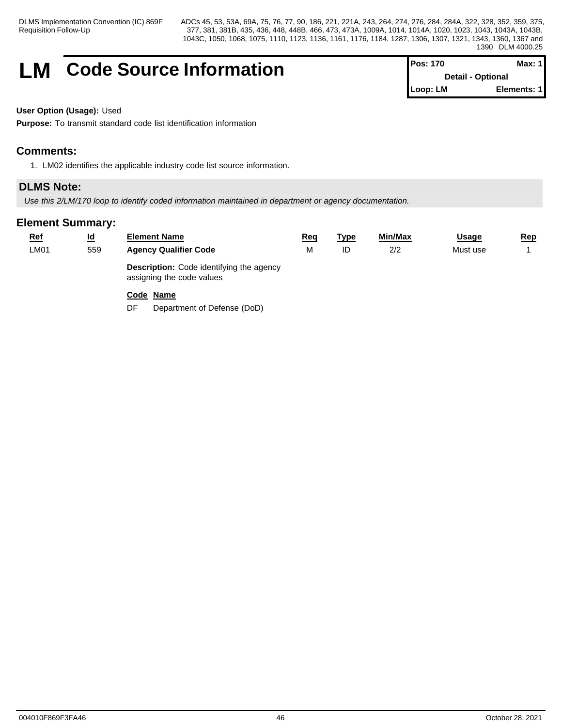Requisition Follow-Up

DLMS Implementation Convention (IC) 869F ADCs 45, 53, 53A, 69A, 75, 76, 77, 90, 186, 221, 221A, 243, 264, 274, 276, 284, 284A, 322, 328, 352, 359, 375, 377, 381, 381B, 435, 436, 448, 448B, 466, 473, 473A, 1009A, 1014, 1014A, 1020, 1023, 1043, 1043A, 1043B, 1043C, 1050, 1068, 1075, 1110, 1123, 1136, 1161, 1176, 1184, 1287, 1306, 1307, 1321, 1343, 1360, 1367 and 1390 DLM 4000.25

# **LM** Code Source Information

| <b>Pos: 170</b> | Max: $1$                 |
|-----------------|--------------------------|
|                 | <b>Detail - Optional</b> |
| Loop: LM        | Elements: 1              |

**User Option (Usage):** Used

**Purpose:** To transmit standard code list identification information

# **Comments:**

1. LM02 identifies the applicable industry code list source information.

# **DLMS Note:**

*Use this 2/LM/170 loop to identify coded information maintained in department or agency documentation.*

# **Element Summary:**

| $Ref$       | $\underline{\mathsf{Id}}$ | <b>Element Name</b>                                                          | <u>Req</u> | <u>Type</u> | Min/Max | <u>Usage</u> | <u>Rep</u> |
|-------------|---------------------------|------------------------------------------------------------------------------|------------|-------------|---------|--------------|------------|
| <b>LM01</b> | 559                       | <b>Agency Qualifier Code</b>                                                 | М          | ID          | 2/2     | Must use     |            |
|             |                           | <b>Description:</b> Code identifying the agency<br>assigning the code values |            |             |         |              |            |
|             |                           | Code Name                                                                    |            |             |         |              |            |

DF Department of Defense (DoD)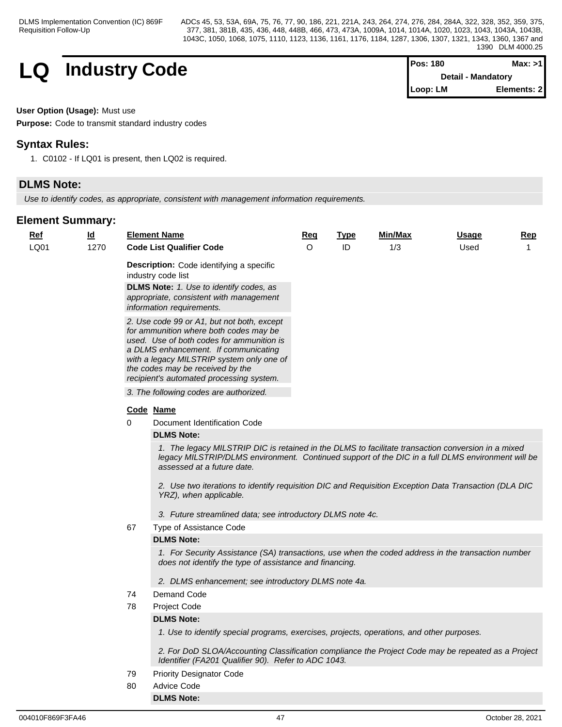

| $Pos: 180$                | Max: >1     |  |
|---------------------------|-------------|--|
| <b>Detail - Mandatory</b> |             |  |
| $Loop: LM$                | Elements: 2 |  |

## **User Option (Usage):** Must use

**Purpose:** Code to transmit standard industry codes

# **Syntax Rules:**

1. C0102 - If LQ01 is present, then LQ02 is required.

# **DLMS Note:**

*Use to identify codes, as appropriate, consistent with management information requirements.*

# **Element Summary:**

| <u>Ref</u> | $\underline{\mathsf{Id}}$ |          | <b>Element Name</b>                                                                                                                                                                                                                                                                                                                                                      | <u>Req</u> | <b>Type</b> | Min/Max | <b>Usage</b> | <u>Rep</u> |
|------------|---------------------------|----------|--------------------------------------------------------------------------------------------------------------------------------------------------------------------------------------------------------------------------------------------------------------------------------------------------------------------------------------------------------------------------|------------|-------------|---------|--------------|------------|
| LQ01       | 1270                      |          | <b>Code List Qualifier Code</b>                                                                                                                                                                                                                                                                                                                                          | $\circ$    | ID          | 1/3     | Used         | 1          |
|            |                           |          | <b>Description:</b> Code identifying a specific<br>industry code list                                                                                                                                                                                                                                                                                                    |            |             |         |              |            |
|            |                           |          | DLMS Note: 1. Use to identify codes, as                                                                                                                                                                                                                                                                                                                                  |            |             |         |              |            |
|            |                           |          | appropriate, consistent with management                                                                                                                                                                                                                                                                                                                                  |            |             |         |              |            |
|            |                           |          | information requirements.                                                                                                                                                                                                                                                                                                                                                |            |             |         |              |            |
|            |                           |          | 2. Use code 99 or A1, but not both, except<br>for ammunition where both codes may be<br>used. Use of both codes for ammunition is<br>a DLMS enhancement. If communicating<br>with a legacy MILSTRIP system only one of<br>the codes may be received by the                                                                                                               |            |             |         |              |            |
|            |                           |          | recipient's automated processing system.                                                                                                                                                                                                                                                                                                                                 |            |             |         |              |            |
|            |                           |          | 3. The following codes are authorized.                                                                                                                                                                                                                                                                                                                                   |            |             |         |              |            |
|            |                           |          | Code Name                                                                                                                                                                                                                                                                                                                                                                |            |             |         |              |            |
|            |                           | $\Omega$ | Document Identification Code                                                                                                                                                                                                                                                                                                                                             |            |             |         |              |            |
|            |                           |          | <b>DLMS Note:</b>                                                                                                                                                                                                                                                                                                                                                        |            |             |         |              |            |
|            |                           |          | 1. The legacy MILSTRIP DIC is retained in the DLMS to facilitate transaction conversion in a mixed<br>legacy MILSTRIP/DLMS environment. Continued support of the DIC in a full DLMS environment will be<br>assessed at a future date.<br>2. Use two iterations to identify requisition DIC and Requisition Exception Data Transaction (DLA DIC<br>YRZ), when applicable. |            |             |         |              |            |
|            |                           |          | 3. Future streamlined data; see introductory DLMS note 4c.                                                                                                                                                                                                                                                                                                               |            |             |         |              |            |
|            |                           | 67       | Type of Assistance Code                                                                                                                                                                                                                                                                                                                                                  |            |             |         |              |            |
|            |                           |          | <b>DLMS Note:</b>                                                                                                                                                                                                                                                                                                                                                        |            |             |         |              |            |
|            |                           |          | 1. For Security Assistance (SA) transactions, use when the coded address in the transaction number<br>does not identify the type of assistance and financing.                                                                                                                                                                                                            |            |             |         |              |            |
|            |                           |          | 2. DLMS enhancement; see introductory DLMS note 4a.                                                                                                                                                                                                                                                                                                                      |            |             |         |              |            |
|            |                           | 74       | Demand Code                                                                                                                                                                                                                                                                                                                                                              |            |             |         |              |            |
|            |                           | 78       | Project Code<br><b>DLMS Note:</b>                                                                                                                                                                                                                                                                                                                                        |            |             |         |              |            |
|            |                           |          | 1. Use to identify special programs, exercises, projects, operations, and other purposes.                                                                                                                                                                                                                                                                                |            |             |         |              |            |
|            |                           |          | 2. For DoD SLOA/Accounting Classification compliance the Project Code may be repeated as a Project<br>Identifier (FA201 Qualifier 90). Refer to ADC 1043.                                                                                                                                                                                                                |            |             |         |              |            |
|            |                           | 79       | <b>Priority Designator Code</b>                                                                                                                                                                                                                                                                                                                                          |            |             |         |              |            |
|            |                           | 80       | Advice Code                                                                                                                                                                                                                                                                                                                                                              |            |             |         |              |            |

**DLMS Note:**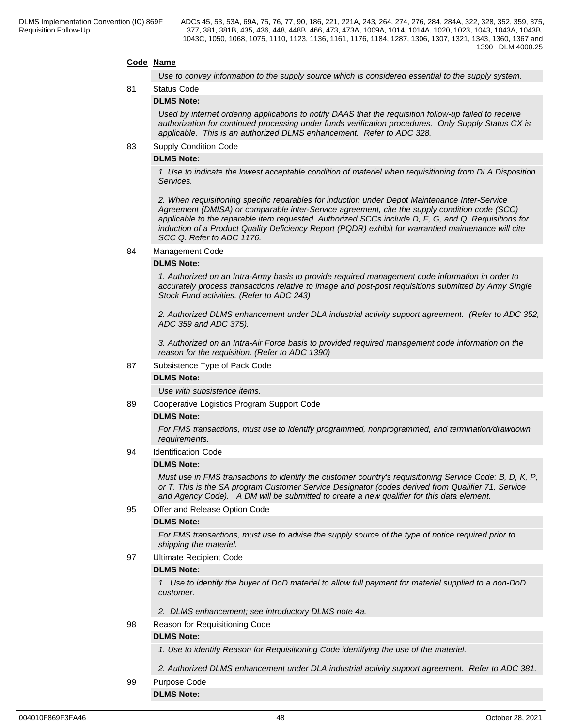## **Code Name**

*Use to convey information to the supply source which is considered essential to the supply system.*

## 81 Status Code **DLMS Note:**

*Used by internet ordering applications to notify DAAS that the requisition follow-up failed to receive authorization for continued processing under funds verification procedures. Only Supply Status CX is applicable. This is an authorized DLMS enhancement. Refer to ADC 328.*

## 83 Supply Condition Code

### **DLMS Note:**

*1. Use to indicate the lowest acceptable condition of materiel when requisitioning from DLA Disposition Services.*

*2. When requisitioning specific reparables for induction under Depot Maintenance Inter-Service Agreement (DMISA) or comparable inter-Service agreement, cite the supply condition code (SCC) applicable to the reparable item requested. Authorized SCCs include D, F, G, and Q. Requisitions for induction of a Product Quality Deficiency Report (PQDR) exhibit for warrantied maintenance will cite SCC Q. Refer to ADC 1176.*

84 Management Code

### **DLMS Note:**

*1. Authorized on an Intra-Army basis to provide required management code information in order to accurately process transactions relative to image and post-post requisitions submitted by Army Single Stock Fund activities. (Refer to ADC 243)*

*2. Authorized DLMS enhancement under DLA industrial activity support agreement. (Refer to ADC 352, ADC 359 and ADC 375).*

*3. Authorized on an Intra-Air Force basis to provided required management code information on the reason for the requisition. (Refer to ADC 1390)*

87 Subsistence Type of Pack Code

### **DLMS Note:**

*Use with subsistence items.*

89 Cooperative Logistics Program Support Code

## **DLMS Note:**

*For FMS transactions, must use to identify programmed, nonprogrammed, and termination/drawdown requirements.*

94 Identification Code

## **DLMS Note:**

*Must use in FMS transactions to identify the customer country's requisitioning Service Code: B, D, K, P, or T. This is the SA program Customer Service Designator (codes derived from Qualifier 71, Service and Agency Code). A DM will be submitted to create a new qualifier for this data element.*

95 Offer and Release Option Code

## **DLMS Note:**

*For FMS transactions, must use to advise the supply source of the type of notice required prior to shipping the materiel.*

97 Ultimate Recipient Code

## **DLMS Note:**

*1. Use to identify the buyer of DoD materiel to allow full payment for materiel supplied to a non-DoD customer.*

- *2. DLMS enhancement; see introductory DLMS note 4a.*
- 98 Reason for Requisitioning Code

## **DLMS Note:**

*1. Use to identify Reason for Requisitioning Code identifying the use of the materiel.* 

*2. Authorized DLMS enhancement under DLA industrial activity support agreement. Refer to ADC 381.*

99 Purpose Code

**DLMS Note:**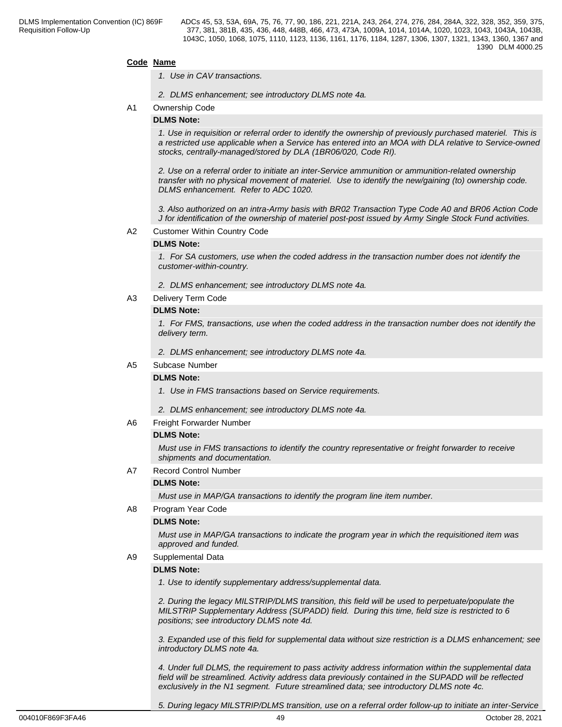### **Code Name**

- *1. Use in CAV transactions.*
- *2. DLMS enhancement; see introductory DLMS note 4a.*

## A1 Ownership Code

## **DLMS Note:**

*1. Use in requisition or referral order to identify the ownership of previously purchased materiel. This is a restricted use applicable when a Service has entered into an MOA with DLA relative to Service-owned stocks, centrally-managed/stored by DLA (1BR06/020, Code RI).*

*2. Use on a referral order to initiate an inter-Service ammunition or ammunition-related ownership transfer with no physical movement of materiel. Use to identify the new/gaining (to) ownership code. DLMS enhancement. Refer to ADC 1020.*

*3. Also authorized on an intra-Army basis with BR02 Transaction Type Code A0 and BR06 Action Code J for identification of the ownership of materiel post-post issued by Army Single Stock Fund activities.*

## A2 Customer Within Country Code

## **DLMS Note:**

*1. For SA customers, use when the coded address in the transaction number does not identify the customer-within-country.*

- *2. DLMS enhancement; see introductory DLMS note 4a.*
- A3 Delivery Term Code

### **DLMS Note:**

*1. For FMS, transactions, use when the coded address in the transaction number does not identify the delivery term.*

*2. DLMS enhancement; see introductory DLMS note 4a.*

### A5 Subcase Number

### **DLMS Note:**

*1. Use in FMS transactions based on Service requirements.*

- *2. DLMS enhancement; see introductory DLMS note 4a.*
- A6 Freight Forwarder Number

## **DLMS Note:**

*Must use in FMS transactions to identify the country representative or freight forwarder to receive shipments and documentation.*

## A7 Record Control Number

### **DLMS Note:**

*Must use in MAP/GA transactions to identify the program line item number.*

A8 Program Year Code

## **DLMS Note:**

*Must use in MAP/GA transactions to indicate the program year in which the requisitioned item was approved and funded.*

## A9 Supplemental Data

## **DLMS Note:**

*1. Use to identify supplementary address/supplemental data.*

*2. During the legacy MILSTRIP/DLMS transition, this field will be used to perpetuate/populate the MILSTRIP Supplementary Address (SUPADD) field. During this time, field size is restricted to 6 positions; see introductory DLMS note 4d.*

*3. Expanded use of this field for supplemental data without size restriction is a DLMS enhancement; see introductory DLMS note 4a.*

*4. Under full DLMS, the requirement to pass activity address information within the supplemental data field will be streamlined. Activity address data previously contained in the SUPADD will be reflected exclusively in the N1 segment. Future streamlined data; see introductory DLMS note 4c.*

*5. During legacy MILSTRIP/DLMS transition, use on a referral order follow-up to initiate an inter-Service*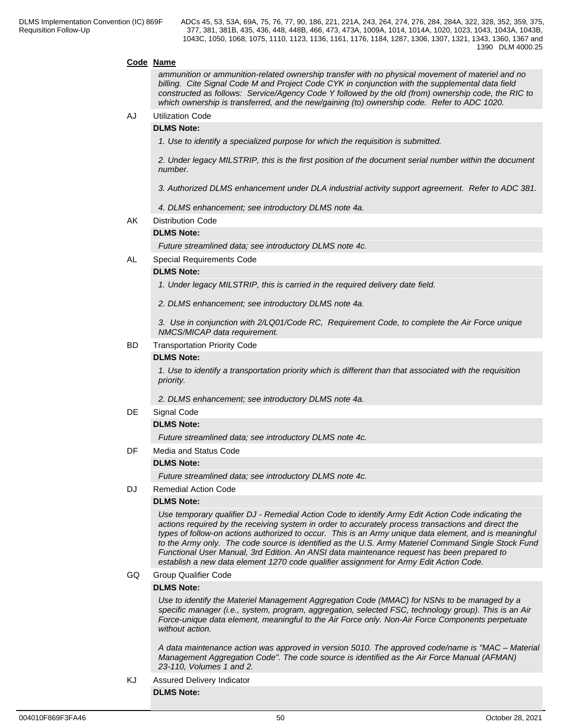### **Code Name**

*ammunition or ammunition-related ownership transfer with no physical movement of materiel and no billing. Cite Signal Code M and Project Code CYK in conjunction with the supplemental data field constructed as follows: Service/Agency Code Y followed by the old (from) ownership code, the RIC to which ownership is transferred, and the new/gaining (to) ownership code. Refer to ADC 1020.*

## AJ Utilization Code

### **DLMS Note:**

*1. Use to identify a specialized purpose for which the requisition is submitted.*

*2. Under legacy MILSTRIP, this is the first position of the document serial number within the document number.*

*3. Authorized DLMS enhancement under DLA industrial activity support agreement. Refer to ADC 381.*

- *4. DLMS enhancement; see introductory DLMS note 4a.*
- AK Distribution Code

## **DLMS Note:**

*Future streamlined data; see introductory DLMS note 4c.*

AL Special Requirements Code

### **DLMS Note:**

*1. Under legacy MILSTRIP, this is carried in the required delivery date field.*

*2. DLMS enhancement; see introductory DLMS note 4a.*

*3. Use in conjunction with 2/LQ01/Code RC, Requirement Code, to complete the Air Force unique NMCS/MICAP data requirement.* 

### BD Transportation Priority Code

## **DLMS Note:**

*1. Use to identify a transportation priority which is different than that associated with the requisition priority.*

*2. DLMS enhancement; see introductory DLMS note 4a.*

DE Signal Code

### **DLMS Note:**

*Future streamlined data; see introductory DLMS note 4c.*

### DF Media and Status Code

## **DLMS Note:**

*Future streamlined data; see introductory DLMS note 4c.*

DJ Remedial Action Code

### **DLMS Note:**

*Use temporary qualifier DJ - Remedial Action Code to identify Army Edit Action Code indicating the actions required by the receiving system in order to accurately process transactions and direct the types of follow-on actions authorized to occur. This is an Army unique data element, and is meaningful to the Army only. The code source is identified as the U.S. Army Materiel Command Single Stock Fund Functional User Manual, 3rd Edition. An ANSI data maintenance request has been prepared to establish a new data element 1270 code qualifier assignment for Army Edit Action Code.*

GQ Group Qualifier Code

### **DLMS Note:**

*Use to identify the Materiel Management Aggregation Code (MMAC) for NSNs to be managed by a specific manager (i.e., system, program, aggregation, selected FSC, technology group). This is an Air Force-unique data element, meaningful to the Air Force only. Non-Air Force Components perpetuate without action.*

*A data maintenance action was approved in version 5010. The approved code/name is "MAC – Material Management Aggregation Code". The code source is identified as the Air Force Manual (AFMAN) 23-110, Volumes 1 and 2.*

# KJ Assured Delivery Indicator

**DLMS Note:**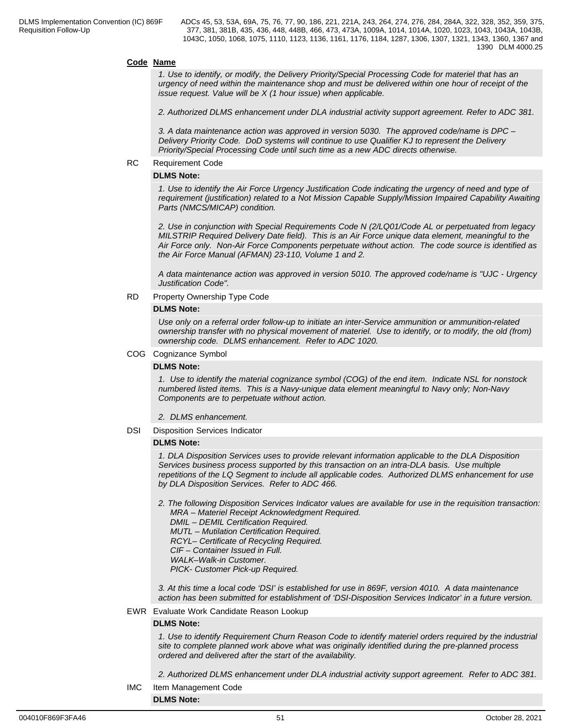### **Code Name**

*1. Use to identify, or modify, the Delivery Priority/Special Processing Code for materiel that has an urgency of need within the maintenance shop and must be delivered within one hour of receipt of the issue request. Value will be X (1 hour issue) when applicable.*

*2. Authorized DLMS enhancement under DLA industrial activity support agreement. Refer to ADC 381.*

*3. A data maintenance action was approved in version 5030. The approved code/name is DPC – Delivery Priority Code. DoD systems will continue to use Qualifier KJ to represent the Delivery Priority/Special Processing Code until such time as a new ADC directs otherwise.*

## RC Requirement Code

### **DLMS Note:**

*1. Use to identify the Air Force Urgency Justification Code indicating the urgency of need and type of requirement (justification) related to a Not Mission Capable Supply/Mission Impaired Capability Awaiting Parts (NMCS/MICAP) condition.* 

*2. Use in conjunction with Special Requirements Code N (2/LQ01/Code AL or perpetuated from legacy MILSTRIP Required Delivery Date field). This is an Air Force unique data element, meaningful to the Air Force only. Non-Air Force Components perpetuate without action. The code source is identified as the Air Force Manual (AFMAN) 23-110, Volume 1 and 2.*

*A data maintenance action was approved in version 5010. The approved code/name is "UJC - Urgency Justification Code".* 

### RD Property Ownership Type Code

### **DLMS Note:**

*Use only on a referral order follow-up to initiate an inter-Service ammunition or ammunition-related ownership transfer with no physical movement of materiel. Use to identify, or to modify, the old (from) ownership code. DLMS enhancement. Refer to ADC 1020.*

### COG Cognizance Symbol

### **DLMS Note:**

*1. Use to identify the material cognizance symbol (COG) of the end item. Indicate NSL for nonstock numbered listed items. This is a Navy-unique data element meaningful to Navy only; Non-Navy Components are to perpetuate without action.*

*2. DLMS enhancement.*

### DSI Disposition Services Indicator

### **DLMS Note:**

*1. DLA Disposition Services uses to provide relevant information applicable to the DLA Disposition Services business process supported by this transaction on an intra-DLA basis. Use multiple repetitions of the LQ Segment to include all applicable codes. Authorized DLMS enhancement for use by DLA Disposition Services. Refer to ADC 466.*

*2. The following Disposition Services Indicator values are available for use in the requisition transaction: MRA – Materiel Receipt Acknowledgment Required.* 

 *DMIL – DEMIL Certification Required.* 

- *MUTL Mutilation Certification Required.*
- *RCYL– Certificate of Recycling Required.*
- *CIF Container Issued in Full.*
- *WALK–Walk-in Customer.*

 *PICK- Customer Pick-up Required.*

*3. At this time a local code 'DSI' is established for use in 869F, version 4010. A data maintenance action has been submitted for establishment of 'DSI-Disposition Services Indicator' in a future version.*

### EWR Evaluate Work Candidate Reason Lookup

## **DLMS Note:**

*1. Use to identify Requirement Churn Reason Code to identify materiel orders required by the industrial site to complete planned work above what was originally identified during the pre-planned process ordered and delivered after the start of the availability.* 

*2. Authorized DLMS enhancement under DLA industrial activity support agreement. Refer to ADC 381.*

IMC Item Management Code

**DLMS Note:**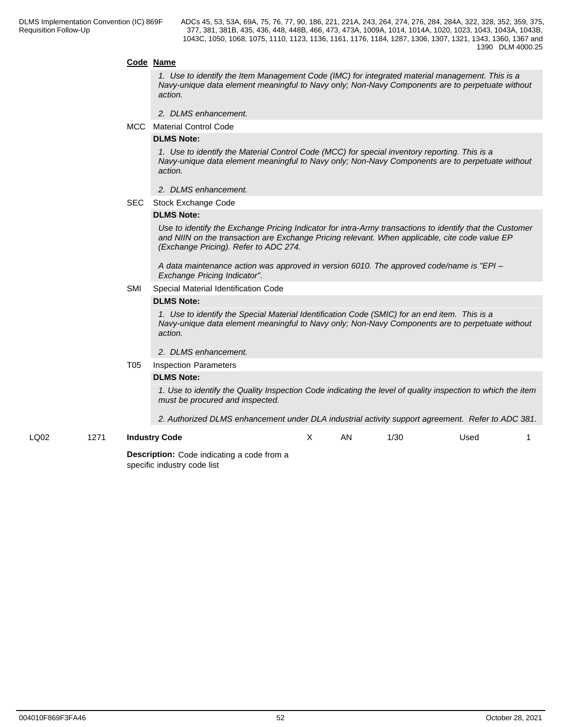### **Code Name**

*1. Use to identify the Item Management Code (IMC) for integrated material management. This is a Navy-unique data element meaningful to Navy only; Non-Navy Components are to perpetuate without action.*

- *2. DLMS enhancement.*
- MCC Material Control Code

## **DLMS Note:**

*1. Use to identify the Material Control Code (MCC) for special inventory reporting. This is a Navy-unique data element meaningful to Navy only; Non-Navy Components are to perpetuate without action.*

- *2. DLMS enhancement.*
- SEC Stock Exchange Code

### **DLMS Note:**

*Use to identify the Exchange Pricing Indicator for intra-Army transactions to identify that the Customer and NIIN on the transaction are Exchange Pricing relevant. When applicable, cite code value EP (Exchange Pricing). Refer to ADC 274.*

*A data maintenance action was approved in version 6010. The approved code/name is "EPI – Exchange Pricing Indicator".*

SMI Special Material Identification Code

#### **DLMS Note:**

*1. Use to identify the Special Material Identification Code (SMIC) for an end item. This is a Navy-unique data element meaningful to Navy only; Non-Navy Components are to perpetuate without action.*

#### *2. DLMS enhancement.*

#### T05 Inspection Parameters

### **DLMS Note:**

*1. Use to identify the Quality Inspection Code indicating the level of quality inspection to which the item must be procured and inspected.*

*2. Authorized DLMS enhancement under DLA industrial activity support agreement. Refer to ADC 381.*

LQ02 1271 **Industry Code** X AN 1/30 Used 1

> **Description:** Code indicating a code from a specific industry code list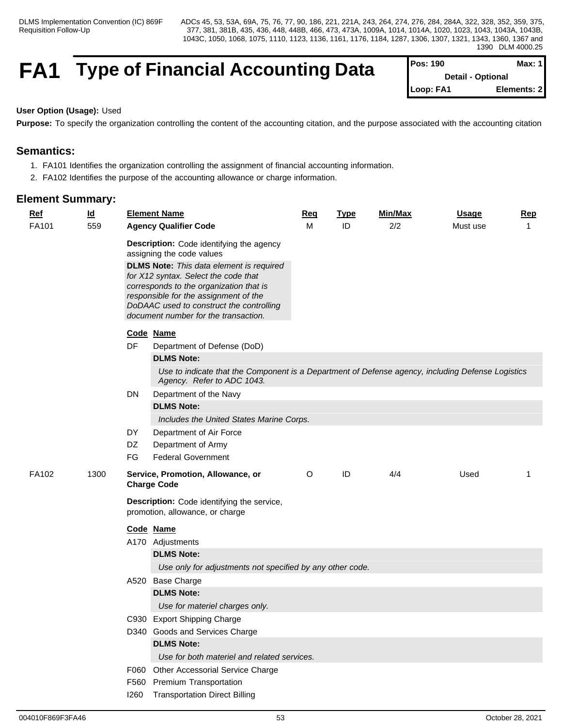# **FA1** Type of Financial Accounting Data

| <b>IPos: 190</b>         | Max: 1      |  |
|--------------------------|-------------|--|
| <b>Detail - Optional</b> |             |  |
| Loop: FA1                | Elements: 2 |  |

## **User Option (Usage):** Used

**Purpose:** To specify the organization controlling the content of the accounting citation, and the purpose associated with the accounting citation

# **Semantics:**

- 1. FA101 Identifies the organization controlling the assignment of financial accounting information.
- 2. FA102 Identifies the purpose of the accounting allowance or charge information.

## **Element Summary:**

| <b>Ref</b> | $\underline{\mathsf{Id}}$           | <b>Element Name</b> |                                                                                                                                                                                                                                                                                                                                                 | <u>Req</u> | <b>Type</b> | Min/Max  | <b>Usage</b> | <b>Rep</b>   |
|------------|-------------------------------------|---------------------|-------------------------------------------------------------------------------------------------------------------------------------------------------------------------------------------------------------------------------------------------------------------------------------------------------------------------------------------------|------------|-------------|----------|--------------|--------------|
| FA101      | 559<br><b>Agency Qualifier Code</b> |                     | M                                                                                                                                                                                                                                                                                                                                               | ID         | 2/2         | Must use | $\mathbf{1}$ |              |
|            |                                     |                     | <b>Description:</b> Code identifying the agency<br>assigning the code values<br><b>DLMS Note:</b> This data element is required<br>for X12 syntax. Select the code that<br>corresponds to the organization that is<br>responsible for the assignment of the<br>DoDAAC used to construct the controlling<br>document number for the transaction. |            |             |          |              |              |
|            |                                     |                     | Code Name                                                                                                                                                                                                                                                                                                                                       |            |             |          |              |              |
|            |                                     | DF                  | Department of Defense (DoD)                                                                                                                                                                                                                                                                                                                     |            |             |          |              |              |
|            |                                     |                     | <b>DLMS Note:</b>                                                                                                                                                                                                                                                                                                                               |            |             |          |              |              |
|            |                                     |                     | Use to indicate that the Component is a Department of Defense agency, including Defense Logistics<br>Agency. Refer to ADC 1043.                                                                                                                                                                                                                 |            |             |          |              |              |
|            |                                     | DN.                 | Department of the Navy                                                                                                                                                                                                                                                                                                                          |            |             |          |              |              |
|            |                                     |                     | <b>DLMS Note:</b>                                                                                                                                                                                                                                                                                                                               |            |             |          |              |              |
|            |                                     |                     | Includes the United States Marine Corps.                                                                                                                                                                                                                                                                                                        |            |             |          |              |              |
|            |                                     | DY.                 | Department of Air Force                                                                                                                                                                                                                                                                                                                         |            |             |          |              |              |
|            |                                     | DZ                  | Department of Army                                                                                                                                                                                                                                                                                                                              |            |             |          |              |              |
|            |                                     | FG                  | <b>Federal Government</b>                                                                                                                                                                                                                                                                                                                       |            |             |          |              |              |
| FA102      | 1300                                |                     | Service, Promotion, Allowance, or<br><b>Charge Code</b>                                                                                                                                                                                                                                                                                         | $\circ$    | ID          | 4/4      | Used         | $\mathbf{1}$ |
|            |                                     |                     | Description: Code identifying the service,<br>promotion, allowance, or charge                                                                                                                                                                                                                                                                   |            |             |          |              |              |
|            |                                     |                     | Code Name                                                                                                                                                                                                                                                                                                                                       |            |             |          |              |              |
|            |                                     |                     | A170 Adjustments                                                                                                                                                                                                                                                                                                                                |            |             |          |              |              |
|            |                                     |                     | <b>DLMS Note:</b>                                                                                                                                                                                                                                                                                                                               |            |             |          |              |              |
|            |                                     |                     | Use only for adjustments not specified by any other code.                                                                                                                                                                                                                                                                                       |            |             |          |              |              |
|            |                                     |                     | A520 Base Charge                                                                                                                                                                                                                                                                                                                                |            |             |          |              |              |
|            |                                     |                     | <b>DLMS Note:</b>                                                                                                                                                                                                                                                                                                                               |            |             |          |              |              |
|            |                                     |                     | Use for materiel charges only.                                                                                                                                                                                                                                                                                                                  |            |             |          |              |              |
|            |                                     |                     | C930 Export Shipping Charge                                                                                                                                                                                                                                                                                                                     |            |             |          |              |              |
|            |                                     |                     | D340 Goods and Services Charge                                                                                                                                                                                                                                                                                                                  |            |             |          |              |              |
|            |                                     |                     | <b>DLMS Note:</b>                                                                                                                                                                                                                                                                                                                               |            |             |          |              |              |
|            |                                     |                     | Use for both materiel and related services.                                                                                                                                                                                                                                                                                                     |            |             |          |              |              |
|            |                                     |                     | F060 Other Accessorial Service Charge                                                                                                                                                                                                                                                                                                           |            |             |          |              |              |
|            |                                     |                     | F560 Premium Transportation                                                                                                                                                                                                                                                                                                                     |            |             |          |              |              |

I260 Transportation Direct Billing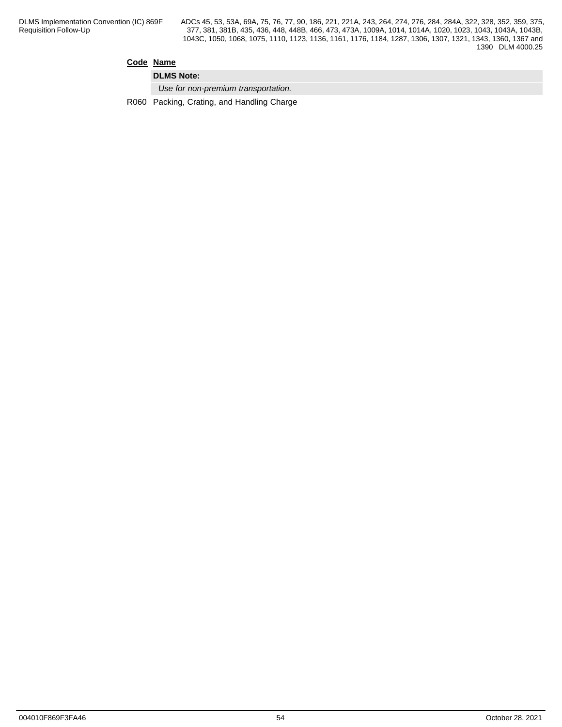## **Code Name**

**DLMS Note:**

*Use for non-premium transportation.*

R060 Packing, Crating, and Handling Charge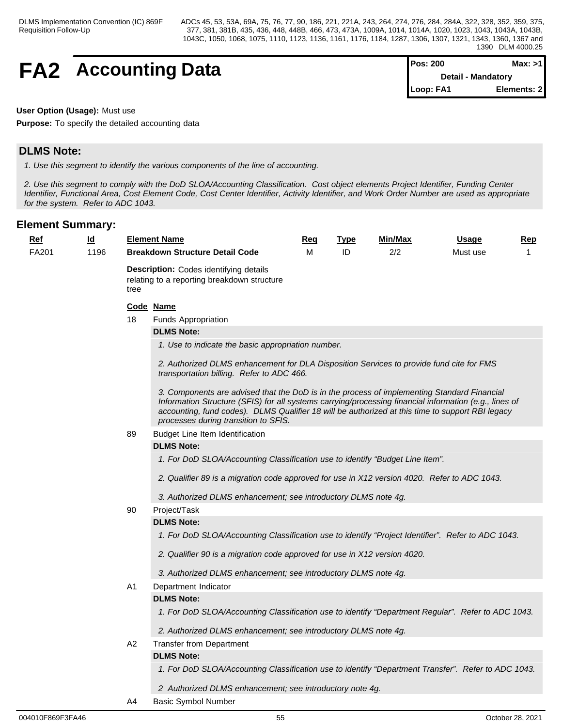# **FA2** Accounting Data

| Pos: 200                  | Max: >11     |  |
|---------------------------|--------------|--|
| <b>Detail - Mandatory</b> |              |  |
| <b>ILoop: FA1</b>         | Elements: 21 |  |

## **User Option (Usage):** Must use

**Purpose:** To specify the detailed accounting data

# **DLMS Note:**

*1. Use this segment to identify the various components of the line of accounting.*

*2. Use this segment to comply with the DoD SLOA/Accounting Classification. Cost object elements Project Identifier, Funding Center Identifier, Functional Area, Cost Element Code, Cost Center Identifier, Activity Identifier, and Work Order Number are used as appropriate for the system. Refer to ADC 1043.*

| <b>Ref</b> | <u>ld</u> |                                                                                                      | <b>Element Name</b>                                                                                                                                                                                                                                                                                                                               |   | <b>Type</b> | Min/Max | <u>Usage</u> | <u>Rep</u> |  |  |  |
|------------|-----------|------------------------------------------------------------------------------------------------------|---------------------------------------------------------------------------------------------------------------------------------------------------------------------------------------------------------------------------------------------------------------------------------------------------------------------------------------------------|---|-------------|---------|--------------|------------|--|--|--|
| FA201      | 1196      |                                                                                                      | <b>Breakdown Structure Detail Code</b>                                                                                                                                                                                                                                                                                                            | м | ID          | 2/2     | Must use     | 1          |  |  |  |
|            |           | <b>Description:</b> Codes identifying details<br>relating to a reporting breakdown structure<br>tree |                                                                                                                                                                                                                                                                                                                                                   |   |             |         |              |            |  |  |  |
|            |           |                                                                                                      | Code Name                                                                                                                                                                                                                                                                                                                                         |   |             |         |              |            |  |  |  |
|            |           | 18                                                                                                   | <b>Funds Appropriation</b>                                                                                                                                                                                                                                                                                                                        |   |             |         |              |            |  |  |  |
|            |           |                                                                                                      | <b>DLMS Note:</b>                                                                                                                                                                                                                                                                                                                                 |   |             |         |              |            |  |  |  |
|            |           |                                                                                                      | 1. Use to indicate the basic appropriation number.                                                                                                                                                                                                                                                                                                |   |             |         |              |            |  |  |  |
|            |           |                                                                                                      | 2. Authorized DLMS enhancement for DLA Disposition Services to provide fund cite for FMS<br>transportation billing. Refer to ADC 466.                                                                                                                                                                                                             |   |             |         |              |            |  |  |  |
|            |           |                                                                                                      | 3. Components are advised that the DoD is in the process of implementing Standard Financial<br>Information Structure (SFIS) for all systems carrying/processing financial information (e.g., lines of<br>accounting, fund codes). DLMS Qualifier 18 will be authorized at this time to support RBI legacy<br>processes during transition to SFIS. |   |             |         |              |            |  |  |  |
|            |           | 89<br><b>Budget Line Item Identification</b>                                                         |                                                                                                                                                                                                                                                                                                                                                   |   |             |         |              |            |  |  |  |
|            |           |                                                                                                      | <b>DLMS Note:</b>                                                                                                                                                                                                                                                                                                                                 |   |             |         |              |            |  |  |  |
|            |           |                                                                                                      | 1. For DoD SLOA/Accounting Classification use to identify "Budget Line Item".                                                                                                                                                                                                                                                                     |   |             |         |              |            |  |  |  |
|            |           |                                                                                                      | 2. Qualifier 89 is a migration code approved for use in X12 version 4020. Refer to ADC 1043.                                                                                                                                                                                                                                                      |   |             |         |              |            |  |  |  |
|            |           |                                                                                                      | 3. Authorized DLMS enhancement; see introductory DLMS note 4g.                                                                                                                                                                                                                                                                                    |   |             |         |              |            |  |  |  |
|            |           | 90                                                                                                   | Project/Task                                                                                                                                                                                                                                                                                                                                      |   |             |         |              |            |  |  |  |
|            |           |                                                                                                      | <b>DLMS Note:</b>                                                                                                                                                                                                                                                                                                                                 |   |             |         |              |            |  |  |  |
|            |           |                                                                                                      | 1. For DoD SLOA/Accounting Classification use to identify "Project Identifier". Refer to ADC 1043.                                                                                                                                                                                                                                                |   |             |         |              |            |  |  |  |
|            |           |                                                                                                      | 2. Qualifier 90 is a migration code approved for use in X12 version 4020.                                                                                                                                                                                                                                                                         |   |             |         |              |            |  |  |  |
|            |           |                                                                                                      | 3. Authorized DLMS enhancement; see introductory DLMS note 4g.                                                                                                                                                                                                                                                                                    |   |             |         |              |            |  |  |  |
|            |           | A1                                                                                                   | Department Indicator                                                                                                                                                                                                                                                                                                                              |   |             |         |              |            |  |  |  |
|            |           |                                                                                                      | <b>DLMS Note:</b>                                                                                                                                                                                                                                                                                                                                 |   |             |         |              |            |  |  |  |
|            |           |                                                                                                      | 1. For DoD SLOA/Accounting Classification use to identify "Department Regular". Refer to ADC 1043.                                                                                                                                                                                                                                                |   |             |         |              |            |  |  |  |
|            |           |                                                                                                      | 2. Authorized DLMS enhancement; see introductory DLMS note 4g.                                                                                                                                                                                                                                                                                    |   |             |         |              |            |  |  |  |
|            |           | A2                                                                                                   | <b>Transfer from Department</b>                                                                                                                                                                                                                                                                                                                   |   |             |         |              |            |  |  |  |
|            |           |                                                                                                      | <b>DLMS Note:</b>                                                                                                                                                                                                                                                                                                                                 |   |             |         |              |            |  |  |  |
|            |           |                                                                                                      | 1. For DoD SLOA/Accounting Classification use to identify "Department Transfer". Refer to ADC 1043.                                                                                                                                                                                                                                               |   |             |         |              |            |  |  |  |
|            |           |                                                                                                      | 2 Authorized DLMS enhancement; see introductory note 4g.                                                                                                                                                                                                                                                                                          |   |             |         |              |            |  |  |  |
|            |           | A4                                                                                                   | <b>Basic Symbol Number</b>                                                                                                                                                                                                                                                                                                                        |   |             |         |              |            |  |  |  |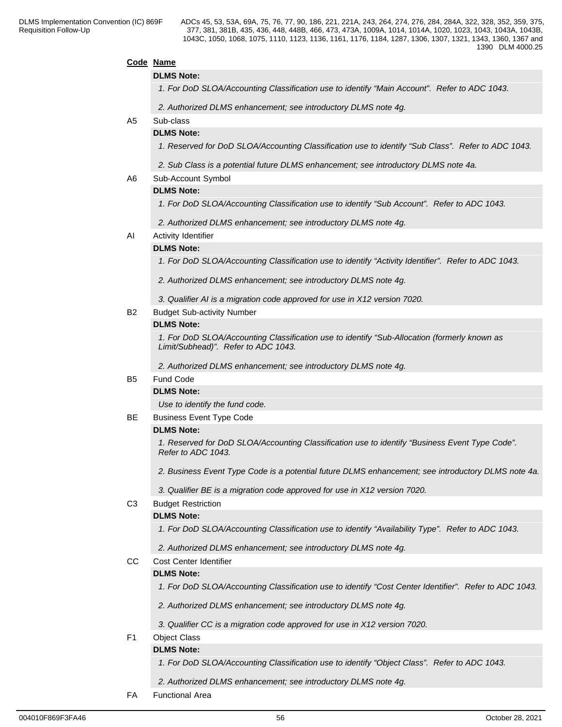## **Code Name**

## **DLMS Note:**

*1. For DoD SLOA/Accounting Classification use to identify "Main Account". Refer to ADC 1043.*

*2. Authorized DLMS enhancement; see introductory DLMS note 4g.*

# A5 Sub-class

## **DLMS Note:**

*1. Reserved for DoD SLOA/Accounting Classification use to identify "Sub Class". Refer to ADC 1043.*

*2. Sub Class is a potential future DLMS enhancement; see introductory DLMS note 4a.*

A6 Sub-Account Symbol

## **DLMS Note:**

*1. For DoD SLOA/Accounting Classification use to identify "Sub Account". Refer to ADC 1043.*

*2. Authorized DLMS enhancement; see introductory DLMS note 4g.*

AI Activity Identifier

## **DLMS Note:**

*1. For DoD SLOA/Accounting Classification use to identify "Activity Identifier". Refer to ADC 1043.*

*2. Authorized DLMS enhancement; see introductory DLMS note 4g.*

*3. Qualifier AI is a migration code approved for use in X12 version 7020.*

B2 Budget Sub-activity Number

### **DLMS Note:**

*1. For DoD SLOA/Accounting Classification use to identify "Sub-Allocation (formerly known as Limit/Subhead)". Refer to ADC 1043.*

*2. Authorized DLMS enhancement; see introductory DLMS note 4g.*

## B5 Fund Code

## **DLMS Note:**

*Use to identify the fund code.*

BE Business Event Type Code

## **DLMS Note:**

*1. Reserved for DoD SLOA/Accounting Classification use to identify "Business Event Type Code". Refer to ADC 1043.*

*2. Business Event Type Code is a potential future DLMS enhancement; see introductory DLMS note 4a.*

*3. Qualifier BE is a migration code approved for use in X12 version 7020.*

## C3 Budget Restriction

## **DLMS Note:**

*1. For DoD SLOA/Accounting Classification use to identify "Availability Type". Refer to ADC 1043.*

*2. Authorized DLMS enhancement; see introductory DLMS note 4g.*

# CC Cost Center Identifier

# **DLMS Note:**

*1. For DoD SLOA/Accounting Classification use to identify "Cost Center Identifier". Refer to ADC 1043.*

*2. Authorized DLMS enhancement; see introductory DLMS note 4g.*

*3. Qualifier CC is a migration code approved for use in X12 version 7020.*

F1 Object Class

# **DLMS Note:**

*1. For DoD SLOA/Accounting Classification use to identify "Object Class". Refer to ADC 1043.*

*2. Authorized DLMS enhancement; see introductory DLMS note 4g.*

FA Functional Area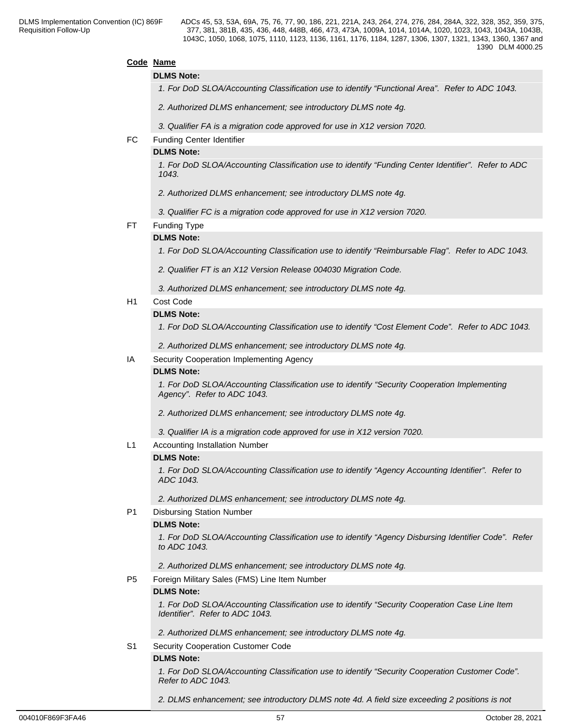## **Code Name**

### **DLMS Note:**

*1. For DoD SLOA/Accounting Classification use to identify "Functional Area". Refer to ADC 1043.*

- *2. Authorized DLMS enhancement; see introductory DLMS note 4g.*
- *3. Qualifier FA is a migration code approved for use in X12 version 7020.*
- FC Funding Center Identifier

### **DLMS Note:**

*1. For DoD SLOA/Accounting Classification use to identify "Funding Center Identifier". Refer to ADC 1043.*

- *2. Authorized DLMS enhancement; see introductory DLMS note 4g.*
- *3. Qualifier FC is a migration code approved for use in X12 version 7020.*

# FT Funding Type

## **DLMS Note:**

*1. For DoD SLOA/Accounting Classification use to identify "Reimbursable Flag". Refer to ADC 1043.* 

*2. Qualifier FT is an X12 Version Release 004030 Migration Code.* 

*3. Authorized DLMS enhancement; see introductory DLMS note 4g.*

### H1 Cost Code

## **DLMS Note:**

*1. For DoD SLOA/Accounting Classification use to identify "Cost Element Code". Refer to ADC 1043.*

*2. Authorized DLMS enhancement; see introductory DLMS note 4g.*

## IA Security Cooperation Implementing Agency

## **DLMS Note:**

*1. For DoD SLOA/Accounting Classification use to identify "Security Cooperation Implementing Agency". Refer to ADC 1043.*

*2. Authorized DLMS enhancement; see introductory DLMS note 4g.*

*3. Qualifier IA is a migration code approved for use in X12 version 7020.*

### L1 Accounting Installation Number

## **DLMS Note:**

*1. For DoD SLOA/Accounting Classification use to identify "Agency Accounting Identifier". Refer to ADC 1043.* 

*2. Authorized DLMS enhancement; see introductory DLMS note 4g.*

### P1 Disbursing Station Number

## **DLMS Note:**

*1. For DoD SLOA/Accounting Classification use to identify "Agency Disbursing Identifier Code". Refer to ADC 1043.*

*2. Authorized DLMS enhancement; see introductory DLMS note 4g.*

P5 Foreign Military Sales (FMS) Line Item Number

## **DLMS Note:**

*1. For DoD SLOA/Accounting Classification use to identify "Security Cooperation Case Line Item Identifier". Refer to ADC 1043.*

*2. Authorized DLMS enhancement; see introductory DLMS note 4g.*

S1 Security Cooperation Customer Code

## **DLMS Note:**

*1. For DoD SLOA/Accounting Classification use to identify "Security Cooperation Customer Code". Refer to ADC 1043.*

*2. DLMS enhancement; see introductory DLMS note 4d. A field size exceeding 2 positions is not*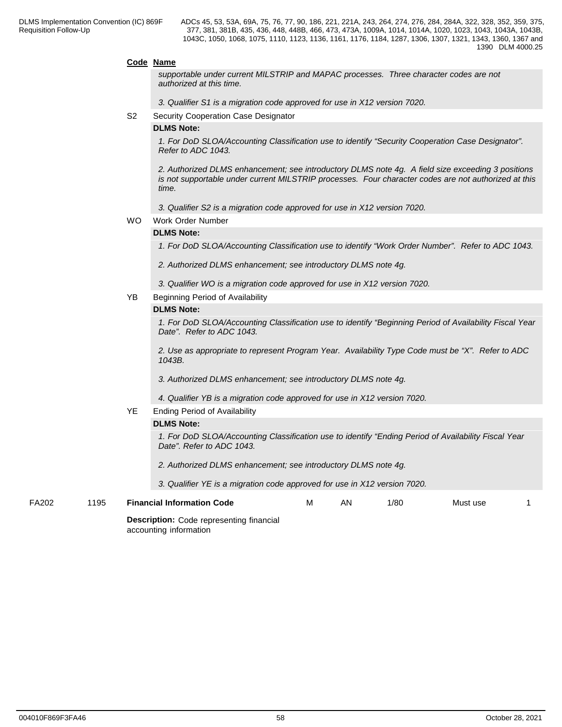### **Code Name**

*supportable under current MILSTRIP and MAPAC processes. Three character codes are not authorized at this time.*

*3. Qualifier S1 is a migration code approved for use in X12 version 7020.*

S2 Security Cooperation Case Designator

### **DLMS Note:**

*1. For DoD SLOA/Accounting Classification use to identify "Security Cooperation Case Designator". Refer to ADC 1043.*

*2. Authorized DLMS enhancement; see introductory DLMS note 4g. A field size exceeding 3 positions is not supportable under current MILSTRIP processes. Four character codes are not authorized at this time.*

- *3. Qualifier S2 is a migration code approved for use in X12 version 7020.*
- WO Work Order Number

## **DLMS Note:**

*1. For DoD SLOA/Accounting Classification use to identify "Work Order Number". Refer to ADC 1043.*

*2. Authorized DLMS enhancement; see introductory DLMS note 4g.*

*3. Qualifier WO is a migration code approved for use in X12 version 7020.*

YB Beginning Period of Availability

### **DLMS Note:**

*1. For DoD SLOA/Accounting Classification use to identify "Beginning Period of Availability Fiscal Year Date". Refer to ADC 1043.*

*2. Use as appropriate to represent Program Year. Availability Type Code must be "X". Refer to ADC 1043B.*

*3. Authorized DLMS enhancement; see introductory DLMS note 4g.*

*4. Qualifier YB is a migration code approved for use in X12 version 7020.*

YE Ending Period of Availability

## **DLMS Note:**

*1. For DoD SLOA/Accounting Classification use to identify "Ending Period of Availability Fiscal Year Date". Refer to ADC 1043.* 

*2. Authorized DLMS enhancement; see introductory DLMS note 4g.*

*3. Qualifier YE is a migration code approved for use in X12 version 7020.*

**Description:** Code representing financial accounting information